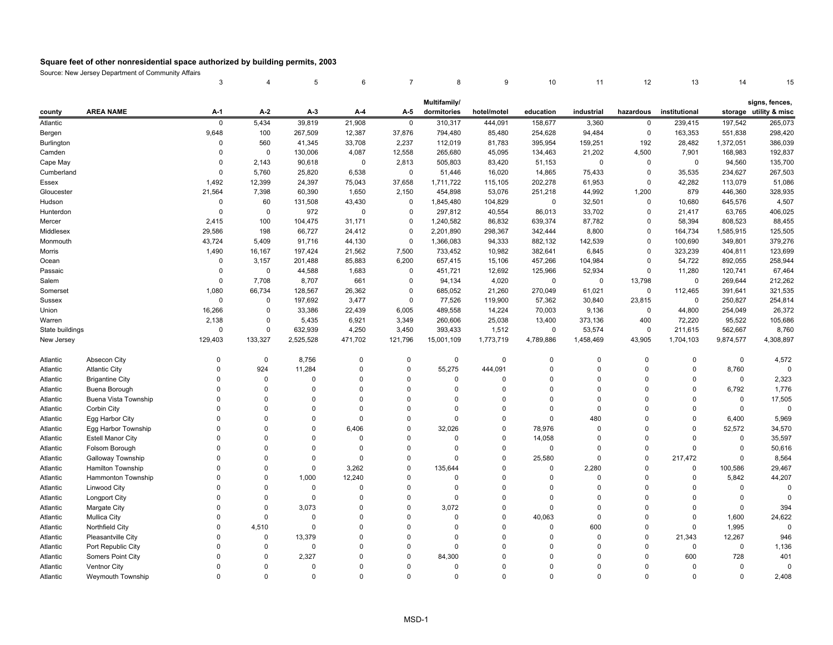|                 |                          | 3           | $\overline{4}$ | 5           | 6           | $\overline{7}$ | 8            | 9           | 10          | 11          | 12          | 13            | 14           | 15                     |
|-----------------|--------------------------|-------------|----------------|-------------|-------------|----------------|--------------|-------------|-------------|-------------|-------------|---------------|--------------|------------------------|
|                 |                          |             |                |             |             |                | Multifamily/ |             |             |             |             |               |              | signs, fences,         |
| county          | <b>AREA NAME</b>         | A-1         | $A-2$          | $A-3$       | A-4         | A-5            | dormitories  | hotel/motel | education   | industrial  | hazardous   | institutional |              | storage utility & misc |
| Atlantic        |                          | $\mathbf 0$ | 5,434          | 39,819      | 21,908      | $\mathbf 0$    | 310,317      | 444,091     | 158,677     | 3,360       | 0           | 239,415       | 197,542      | 265,073                |
| Bergen          |                          | 9,648       | 100            | 267,509     | 12,387      | 37,876         | 794,480      | 85,480      | 254,628     | 94,484      | $\mathbf 0$ | 163,353       | 551,838      | 298,420                |
| Burlington      |                          | $\Omega$    | 560            | 41,345      | 33,708      | 2,237          | 112,019      | 81,783      | 395,954     | 159,251     | 192         | 28,482        | 1,372,051    | 386,039                |
| Camden          |                          | $\Omega$    | $\mathbf 0$    | 130,006     | 4,087       | 12,558         | 265,680      | 45,095      | 134,463     | 21,202      | 4,500       | 7,901         | 168,983      | 192,837                |
| Cape May        |                          | $\Omega$    | 2,143          | 90,618      | $\mathbf 0$ | 2,813          | 505,803      | 83,420      | 51,153      | $\Omega$    | $\mathbf 0$ | 0             | 94,560       | 135,700                |
| Cumberland      |                          | $\Omega$    | 5,760          | 25,820      | 6,538       | $\mathbf 0$    | 51,446       | 16,020      | 14,865      | 75,433      | 0           | 35,535        | 234,627      | 267,503                |
| Essex           |                          | 1,492       | 12,399         | 24,397      | 75,043      | 37,658         | 1,711,722    | 115,105     | 202,278     | 61,953      | 0           | 42,282        | 113,079      | 51,086                 |
| Gloucester      |                          | 21,564      | 7,398          | 60,390      | 1,650       | 2,150          | 454,898      | 53,076      | 251,218     | 44,992      | 1,200       | 879           | 446,360      | 328,935                |
| Hudson          |                          | $\pmb{0}$   | 60             | 131,508     | 43,430      | $\mathbf 0$    | 1,845,480    | 104,829     | $\mathbf 0$ | 32,501      | $\mathbf 0$ | 10,680        | 645,576      | 4,507                  |
| Hunterdon       |                          | $\mathbf 0$ | 0              | 972         | $\mathbf 0$ | $\Omega$       | 297,812      | 40,554      | 86,013      | 33,702      | 0           | 21,417        | 63,765       | 406,025                |
| Mercer          |                          | 2,415       | 100            | 104,475     | 31,171      | $\Omega$       | 1,240,582    | 86,832      | 639,374     | 87,782      | $\Omega$    | 58,394        | 808,523      | 88,455                 |
| Middlesex       |                          | 29,586      | 198            | 66,727      | 24,412      | $\Omega$       | 2,201,890    | 298,367     | 342,444     | 8,800       | $\Omega$    | 164,734       | 1,585,915    | 125,505                |
| Monmouth        |                          | 43,724      | 5,409          | 91,716      | 44,130      | $\Omega$       | 1,366,083    | 94,333      | 882,132     | 142,539     | $\Omega$    | 100,690       | 349,801      | 379,276                |
| Morris          |                          | 1,490       | 16,167         | 197,424     | 21,562      | 7,500          | 733,452      | 10,982      | 382,641     | 6,845       | $\Omega$    | 323,239       | 404,811      | 123,699                |
| Ocean           |                          | $\mathbf 0$ | 3,157          | 201,488     | 85,883      | 6,200          | 657,415      | 15,106      | 457,266     | 104,984     | $\Omega$    | 54,722        | 892,055      | 258,944                |
| Passaic         |                          | $\mathbf 0$ | $\mathbf 0$    | 44,588      | 1,683       | $\Omega$       | 451,721      | 12,692      | 125,966     | 52,934      | $\Omega$    | 11,280        | 120,741      | 67,464                 |
| Salem           |                          | $\Omega$    | 7,708          | 8,707       | 661         | $\Omega$       | 94,134       | 4,020       | $\mathbf 0$ | $\Omega$    | 13,798      | 0             | 269,644      | 212,262                |
| Somerset        |                          | 1,080       | 66,734         | 128,567     | 26,362      | 0              | 685,052      | 21,260      | 270,049     | 61,021      | $\mathsf 0$ | 112,465       | 391,641      | 321,535                |
| Sussex          |                          | $\mathbf 0$ | 0              | 197,692     | 3,477       | $\mathbf 0$    | 77,526       | 119,900     | 57,362      | 30,840      | 23,815      | 0             | 250,827      | 254,814                |
| Union           |                          | 16,266      | $\mathbf 0$    | 33,386      | 22,439      | 6,005          | 489,558      | 14,224      | 70,003      | 9,136       | $\mathsf 0$ | 44,800        | 254,049      | 26,372                 |
| Warren          |                          | 2,138       | 0              | 5,435       | 6,921       | 3,349          | 260,606      | 25,038      | 13,400      | 373,136     | 400         | 72,220        | 95,522       | 105,686                |
| State buildings |                          | $\Omega$    | $\Omega$       | 632,939     | 4,250       | 3,450          | 393,433      | 1,512       | $\Omega$    | 53,574      | $\mathbf 0$ | 211,615       | 562,667      | 8,760                  |
| New Jersey      |                          | 129,403     | 133,327        | 2,525,528   | 471,702     | 121,796        | 15,001,109   | 1,773,719   | 4,789,886   | 1,458,469   | 43,905      | 1,704,103     | 9,874,577    | 4,308,897              |
| Atlantic        | Absecon City             | $\Omega$    | $\pmb{0}$      | 8,756       | $\Omega$    | $\Omega$       | $\mathbf 0$  | $\mathbf 0$ | $\mathbf 0$ | $\mathbf 0$ | $\Omega$    | 0             | $\mathbf 0$  | 4,572                  |
| Atlantic        | <b>Atlantic City</b>     | $\Omega$    | 924            | 11,284      | $\Omega$    | $\mathbf 0$    | 55,275       | 444,091     | $\mathbf 0$ | $\mathbf 0$ | $\Omega$    | $\mathbf 0$   | 8,760        | $\Omega$               |
| Atlantic        | <b>Brigantine City</b>   | $\Omega$    | $\mathbf 0$    | $\Omega$    | $\Omega$    | $\Omega$       | $\Omega$     | $\Omega$    | $\mathbf 0$ | $\Omega$    | $\Omega$    | $\Omega$      | $\mathbf 0$  | 2,323                  |
| Atlantic        | Buena Borough            | $\Omega$    | $\Omega$       | $\Omega$    | $\Omega$    | $\Omega$       | $\Omega$     | $\Omega$    | $\Omega$    | $\Omega$    | $\Omega$    | $\Omega$      | 6,792        | 1,776                  |
| Atlantic        | Buena Vista Township     | $\Omega$    | $\mathbf 0$    | $\Omega$    | $\Omega$    | $\Omega$       | $\Omega$     | $\Omega$    | $\mathbf 0$ | $\Omega$    | $\Omega$    | $\Omega$      | 0            | 17,505                 |
| Atlantic        | Corbin City              | $\Omega$    | $\Omega$       | $\Omega$    | $\Omega$    | $\Omega$       | $\Omega$     | $\mathbf 0$ | $\mathbf 0$ | $\mathbf 0$ | $\Omega$    | $\Omega$      | $\mathbf 0$  | $\mathbf 0$            |
| Atlantic        | Egg Harbor City          | $\Omega$    | $\mathbf 0$    | $\Omega$    | $\Omega$    | $\Omega$       | $\mathbf 0$  | 0           | $\mathbf 0$ | 480         | $\mathbf 0$ | $\mathbf 0$   | 6,400        | 5,969                  |
| Atlantic        | Egg Harbor Township      | $\Omega$    | $\mathbf 0$    | $\Omega$    | 6,406       | $\mathbf 0$    | 32,026       | 0           | 78,976      | 0           | $\mathbf 0$ | $\mathbf 0$   | 52,572       | 34,570                 |
| Atlantic        | <b>Estell Manor City</b> | $\Omega$    | $\Omega$       | $\Omega$    | $\Omega$    | $\Omega$       | $\Omega$     | $\Omega$    | 14,058      | $\mathbf 0$ | $\Omega$    | $\Omega$      | $\mathbf 0$  | 35,597                 |
| Atlantic        | Folsom Borough           | $\Omega$    | $\mathbf 0$    | $\Omega$    | $\Omega$    | $\Omega$       | $\Omega$     | 0           | $\mathbf 0$ | $\mathbf 0$ | $\mathbf 0$ | $\mathbf 0$   | 0            | 50,616                 |
| Atlantic        | Galloway Township        | $\Omega$    | $\Omega$       | $\Omega$    | $\Omega$    | $\Omega$       | $\Omega$     | $\mathbf 0$ | 25,580      | $\mathbf 0$ | $\Omega$    | 217,472       | $\mathbf{0}$ | 8,564                  |
| Atlantic        | Hamilton Township        | $\Omega$    | $\Omega$       | 0           | 3,262       | $\Omega$       | 135,644      | 0           | $\mathbf 0$ | 2,280       | $\Omega$    | $\mathbf 0$   | 100,586      | 29,467                 |
| Atlantic        | Hammonton Township       | $\Omega$    | $\Omega$       | 1,000       | 12,240      | $\Omega$       | $\Omega$     | $\Omega$    | 0           | 0           | $\Omega$    | 0             | 5,842        | 44,207                 |
| Atlantic        | Linwood City             | $\Omega$    | $\Omega$       | $\mathbf 0$ | $\Omega$    | $\Omega$       | $\Omega$     | $\Omega$    | $\mathbf 0$ | $\mathbf 0$ | $\Omega$    | $\Omega$      | $\mathbf 0$  | $\Omega$               |
| Atlantic        | <b>Longport City</b>     | $\Omega$    | $\Omega$       | $\Omega$    | $\Omega$    | $\Omega$       | $\Omega$     | $\Omega$    | $\mathbf 0$ | $\Omega$    | $\Omega$    | $\Omega$      | $\Omega$     | $\Omega$               |
| Atlantic        | Margate City             | $\Omega$    | $\mathbf 0$    | 3,073       | $\mathbf 0$ | $\Omega$       | 3,072        | $\mathbf 0$ | $\mathbf 0$ | $\Omega$    | $\Omega$    | $\mathbf 0$   | 0            | 394                    |
| Atlantic        | <b>Mullica City</b>      | $\Omega$    | $\Omega$       | $\Omega$    | $\Omega$    | $\Omega$       | $\Omega$     | $\mathbf 0$ | 40,063      | $\mathbf 0$ | $\Omega$    | $\mathbf 0$   | 1,600        | 24,622                 |
| Atlantic        | Northfield City          | $\Omega$    | 4,510          | $\mathbf 0$ | $\mathbf 0$ | $\Omega$       | $\Omega$     | 0           | $\mathbf 0$ | 600         | $\mathbf 0$ | 0             | 1,995        | $\overline{0}$         |
| Atlantic        | Pleasantville City       | $\Omega$    | $\pmb{0}$      | 13,379      | $\Omega$    | $\Omega$       | $\Omega$     | 0           | $\mathbf 0$ | $\mathbf 0$ | $\Omega$    | 21,343        | 12,267       | 946                    |
| Atlantic        | Port Republic City       | $\Omega$    | $\Omega$       | $\mathbf 0$ | $\Omega$    | $\Omega$       | $\Omega$     | $\Omega$    | $\Omega$    | $\mathbf 0$ | $\Omega$    | $\mathbf 0$   | $\mathbf 0$  | 1,136                  |
| Atlantic        | Somers Point City        | $\Omega$    | 0              | 2,327       | $\Omega$    | $\Omega$       | 84,300       | $\Omega$    | $\Omega$    | $\Omega$    | $\Omega$    | 600           | 728          | 401                    |
| Atlantic        | Ventnor City             | $\Omega$    | $\Omega$       | $\Omega$    | $\Omega$    | $\Omega$       | $\Omega$     | $\mathbf 0$ | $\Omega$    | $\Omega$    | $\Omega$    | $\Omega$      | $\Omega$     | $\Omega$               |
| Atlantic        | Weymouth Township        | $\Omega$    | $\Omega$       | $\Omega$    | $\Omega$    | $\Omega$       | $\Omega$     | $\Omega$    | $\mathbf 0$ | $\mathbf 0$ | $\Omega$    | $\Omega$      | $\Omega$     | 2,408                  |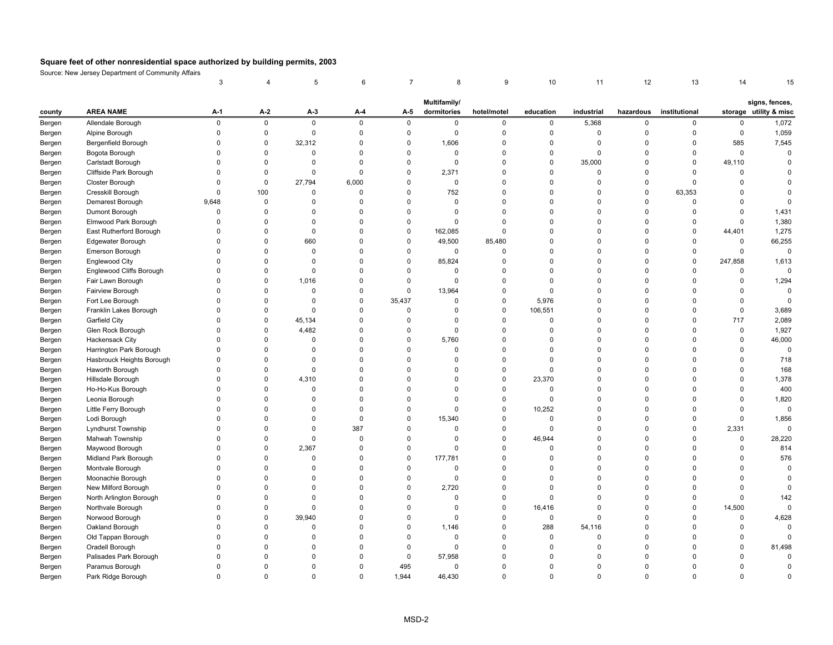|        |                           | 3            | 4           | 5           | 6           |             | 8            | 9           | 10             | 11          | 12           | 13            | 14           | 15                     |
|--------|---------------------------|--------------|-------------|-------------|-------------|-------------|--------------|-------------|----------------|-------------|--------------|---------------|--------------|------------------------|
|        |                           |              |             |             |             |             | Multifamily/ |             |                |             |              |               |              | signs, fences,         |
| county | <b>AREA NAME</b>          | A-1          | A-2         | A-3         | $A-4$       | A-5         | dormitories  | hotel/motel | education      | industrial  | hazardous    | institutional |              | storage utility & misc |
| Bergen | Allendale Borough         | $\mathsf 0$  | $\mathsf 0$ | $\mathsf 0$ | $\mathsf 0$ | $\mathsf 0$ | $\mathbf 0$  | 0           | $\mathsf 0$    | 5,368       | $\mathbf 0$  | 0             | 0            | 1,072                  |
| Bergen | Alpine Borough            | $\Omega$     | $\mathbf 0$ | 0           | $\mathbf 0$ | $\pmb{0}$   | $\mathbf 0$  | 0           | $\mathbf 0$    | $\mathbf 0$ | $\Omega$     | $\mathbf 0$   | 0            | 1,059                  |
| Bergen | Bergenfield Borough       | $\mathbf 0$  | $\mathbf 0$ | 32,312      | $\mathbf 0$ | $\mathbf 0$ | 1,606        | 0           | $\mathbf 0$    | $\mathbf 0$ | $\mathbf 0$  | $\mathbf 0$   | 585          | 7,545                  |
| Bergen | Bogota Borough            | $\Omega$     | $\mathsf 0$ | 0           | $\mathbf 0$ | $\pmb{0}$   | $\mathbf 0$  | 0           | $\mathbf 0$    | $\mathbf 0$ | $\Omega$     | $\Omega$      | 0            | $\mathbf 0$            |
| Bergen | Carlstadt Borough         | $\mathbf 0$  | $\pmb{0}$   | $\mathbf 0$ | $\mathbf 0$ | $\pmb{0}$   | $\mathbf 0$  | 0           | $\mathbf 0$    | 35,000      | $\mathbf 0$  | 0             | 49,110       | $\overline{0}$         |
| Bergen | Cliffside Park Borough    | $\mathbf 0$  | $\mathbf 0$ | $\mathbf 0$ | $\mathbf 0$ | $\pmb{0}$   | 2,371        | 0           | $\overline{0}$ | $\mathbf 0$ | $\Omega$     | $\Omega$      | 0            | $\Omega$               |
| Bergen | Closter Borough           | $\Omega$     | $\mathbf 0$ | 27,794      | 6,000       | $\mathbf 0$ | $\mathbf 0$  | 0           | $\mathbf 0$    | $\mathbf 0$ | $\Omega$     | 0             | $\Omega$     | $\Omega$               |
| Bergen | Cresskill Borough         | $\Omega$     | 100         | 0           | $\mathbf 0$ | $\mathbf 0$ | 752          | 0           | $\overline{0}$ | $\mathbf 0$ | $\Omega$     | 63,353        | $\Omega$     | $\mathbf 0$            |
| Bergen | Demarest Borough          | 9,648        | $\pmb{0}$   | $\Omega$    | $\Omega$    | $\mathbf 0$ | $\mathbf 0$  | $\mathbf 0$ | $\Omega$       | $\Omega$    | $\Omega$     | $\Omega$      | $\mathbf{0}$ | $\Omega$               |
| Bergen | Dumont Borough            | 0            | $\mathbf 0$ | $\Omega$    | $\Omega$    | $\mathbf 0$ | $\mathbf 0$  | 0           | $\mathbf 0$    | $\Omega$    | $\Omega$     | 0             | $\Omega$     | 1,431                  |
| Bergen | Elmwood Park Borough      | $\Omega$     | $\pmb{0}$   | $\mathbf 0$ | $\mathbf 0$ | $\pmb{0}$   | $\Omega$     | $\mathsf 0$ | $\overline{0}$ | $\mathbf 0$ | $\Omega$     | $\mathbf 0$   | 0            | 1,380                  |
| Bergen | East Rutherford Borough   | $\Omega$     | $\mathbf 0$ | $\mathbf 0$ | $\mathbf 0$ | $\mathbf 0$ | 162,085      | $\mathbf 0$ | $\mathbf 0$    | $\Omega$    | $\Omega$     | 0             | 44,401       | 1,275                  |
| Bergen | Edgewater Borough         | $\mathbf 0$  | $\mathbf 0$ | 660         | $\mathbf 0$ | $\mathbf 0$ | 49,500       | 85,480      | $\overline{0}$ | $\mathbf 0$ | $\Omega$     | 0             | 0            | 66,255                 |
| Bergen | Emerson Borough           | $\mathbf 0$  | $\mathbf 0$ | $\mathbf 0$ | $\mathbf 0$ | $\mathbf 0$ | $\mathbf 0$  | $\mathbf 0$ | $\Omega$       | $\Omega$    | $\Omega$     | $\mathbf 0$   | $\mathbf{0}$ | $\mathbf 0$            |
| Bergen | <b>Englewood City</b>     | $\Omega$     | 0           | $\Omega$    | $\Omega$    | $\pmb{0}$   | 85,824       | 0           | $\Omega$       | $\Omega$    | $\Omega$     | 0             | 247,858      | 1,613                  |
| Bergen | Englewood Cliffs Borough  | $\Omega$     | $\mathbf 0$ | $\Omega$    | $\Omega$    | $\mathbf 0$ | $\mathbf 0$  | $\Omega$    | $\Omega$       | $\Omega$    | $\Omega$     | $\Omega$      | 0            | $\mathbf 0$            |
| Bergen | Fair Lawn Borough         | $\Omega$     | $\Omega$    | 1,016       | $\Omega$    | $\mathbf 0$ | $\mathbf 0$  | $\mathbf 0$ | $\Omega$       | $\Omega$    | $\Omega$     | $\Omega$      | $\mathbf{0}$ | 1,294                  |
| Bergen | Fairview Borough          | $\Omega$     | $\mathbf 0$ | $\mathbf 0$ | 0           | $\pmb{0}$   | 13,964       | 0           | $\mathbf 0$    | $\mathbf 0$ | $\Omega$     | $\Omega$      | $\Omega$     | $\mathbf 0$            |
| Bergen | Fort Lee Borough          | $\Omega$     | $\pmb{0}$   | $\Omega$    | $\Omega$    | 35,437      | $\mathbf 0$  | $\mathsf 0$ | 5,976          | $\Omega$    | $\Omega$     | $\Omega$      | 0            | $\mathbf 0$            |
| Bergen | Franklin Lakes Borough    | $\Omega$     | $\pmb{0}$   | $\mathbf 0$ | $\Omega$    | $\Omega$    | $\Omega$     | 0           | 106,551        | $\Omega$    | $\Omega$     | $\Omega$      | 0            | 3,689                  |
| Bergen | Garfield City             | $\Omega$     | $\mathbf 0$ | 45,134      | $\mathbf 0$ | $\mathbf 0$ | $\mathbf 0$  | 0           | $\overline{0}$ | $\mathbf 0$ | $\mathbf 0$  | $\mathbf 0$   | 717          | 2,089                  |
| Bergen | Glen Rock Borough         | $\mathbf 0$  | $\mathbf 0$ | 4,482       | $\mathbf 0$ | $\mathbf 0$ | $\mathbf 0$  | 0           | $\overline{0}$ | $\Omega$    | $\Omega$     | $\Omega$      | 0            | 1,927                  |
| Bergen | Hackensack City           | $\Omega$     | $\mathbf 0$ | 0           | 0           | $\mathbf 0$ | 5,760        | 0           | $\mathbf 0$    | $\mathbf 0$ | $\mathbf 0$  | $\Omega$      | 0            | 46,000                 |
| Bergen | Harrington Park Borough   | $\Omega$     | $\mathbf 0$ | $\Omega$    | $\mathbf 0$ | $\mathbf 0$ | $\mathbf 0$  | 0           | $\mathbf 0$    | $\Omega$    | $\Omega$     | $\Omega$      | $\Omega$     | $\overline{0}$         |
| Bergen | Hasbrouck Heights Borough | 0            | $\Omega$    | $\Omega$    | $\mathbf 0$ | $\mathbf 0$ | $\Omega$     | $\mathbf 0$ | $\mathbf 0$    | $\Omega$    | $\Omega$     | $\Omega$      | 0            | 718                    |
| Bergen | Haworth Borough           | $\Omega$     | $\mathbf 0$ | $\mathbf 0$ | $\Omega$    | $\pmb{0}$   | $\Omega$     | $\mathsf 0$ | $\mathbf 0$    | $\Omega$    | $\Omega$     | $\Omega$      | $\Omega$     | 168                    |
| Bergen | Hillsdale Borough         | $\Omega$     | $\mathbf 0$ | 4,310       | $\Omega$    | $\Omega$    | $\Omega$     | $\mathbf 0$ | 23,370         | $\Omega$    | $\Omega$     | $\Omega$      | 0            | 1,378                  |
| Bergen | Ho-Ho-Kus Borough         | $\Omega$     | $\mathbf 0$ | $\mathbf 0$ | $\mathbf 0$ | $\pmb{0}$   | $\Omega$     | $\mathsf 0$ | $\mathbf 0$    | $\mathbf 0$ | $\Omega$     | $\Omega$      | 0            | 400                    |
| Bergen | Leonia Borough            | $\Omega$     | $\mathbf 0$ | $\Omega$    | $\mathbf 0$ | $\mathbf 0$ | $\Omega$     | $\mathsf 0$ | $\mathbf 0$    | $\Omega$    | $\Omega$     | $\Omega$      | 0            | 1,820                  |
| Bergen | Little Ferry Borough      | $\Omega$     | $\mathbf 0$ | 0           | $\mathbf 0$ | $\mathbf 0$ | $\Omega$     | $\mathbf 0$ | 10,252         | $\Omega$    | $\Omega$     | $\Omega$      | 0            | $\mathbf 0$            |
| Bergen | Lodi Borough              | $\mathbf 0$  | $\mathbf 0$ | 0           | $\mathbf 0$ | $\mathbf 0$ | 15,340       | 0           | $\overline{0}$ | $\mathbf 0$ | $\Omega$     | $\Omega$      | $\Omega$     | 1,856                  |
| Bergen | Lyndhurst Township        | $\Omega$     | $\Omega$    | $\Omega$    | 387         | $\mathbf 0$ | $\mathbf 0$  | $\mathsf 0$ | $\overline{0}$ | $\Omega$    | $\Omega$     | $\mathbf 0$   | 2,331        | $\mathbf 0$            |
| Bergen | Mahwah Township           | 0            | $\mathbf 0$ | 0           | $\mathbf 0$ | $\mathbf 0$ | $\mathbf 0$  | 0           | 46,944         | $\Omega$    | $\Omega$     | 0             | 0            | 28,220                 |
| Bergen | Maywood Borough           | $\Omega$     | $\mathbf 0$ | 2,367       | $\mathbf 0$ | $\mathbf 0$ | $\mathbf 0$  | 0           | $\mathbf 0$    | $\Omega$    | $\Omega$     | $\Omega$      | $\Omega$     | 814                    |
| Bergen | Midland Park Borough      | $\Omega$     | $\mathbf 0$ | $\Omega$    | $\Omega$    | $\mathbf 0$ | 177,781      | $\mathbf 0$ | $\Omega$       | $\Omega$    | $\Omega$     | $\Omega$      | $\Omega$     | 576                    |
| Bergen | Montvale Borough          | $\Omega$     | $\mathbf 0$ | $\Omega$    | $\Omega$    | $\mathbf 0$ | $\mathbf 0$  | $\mathbf 0$ | $\mathbf 0$    | $\Omega$    | $\Omega$     | $\Omega$      | $\Omega$     | $\overline{0}$         |
| Bergen | Moonachie Borough         | $\Omega$     | $\mathbf 0$ | $\Omega$    | $\Omega$    | $\mathbf 0$ | $\mathbf 0$  | $\mathbf 0$ | $\Omega$       | $\Omega$    | $\Omega$     | $\Omega$      | $\mathbf{0}$ | $\Omega$               |
| Bergen | New Milford Borough       | $\Omega$     | $\mathbf 0$ | 0           | 0           | $\pmb{0}$   | 2,720        | 0           | $\mathbf 0$    | $\mathbf 0$ | $\Omega$     | $\mathbf 0$   | 0            | $\mathbf 0$            |
| Bergen | North Arlington Borough   | $\Omega$     | $\mathbf 0$ | $\Omega$    | $\Omega$    | $\pmb{0}$   | $\mathbf 0$  | $\mathsf 0$ | $\mathbf 0$    | $\Omega$    | $\Omega$     | $\Omega$      | 0            | 142                    |
| Bergen | Northvale Borough         | $\Omega$     | $\mathbf 0$ | $\mathbf 0$ | $\Omega$    | $\Omega$    | $\Omega$     | $\mathbf 0$ | 16,416         | $\Omega$    | $\Omega$     | $\mathbf 0$   | 14,500       | $\Omega$               |
| Bergen | Norwood Borough           | $\mathbf 0$  | $\mathbf 0$ | 39,940      | 0           | $\mathbf 0$ | 0            | 0           | $\mathbf 0$    | $\mathbf 0$ | $\mathbf 0$  | $\mathbf 0$   | 0            | 4,628                  |
| Bergen | Oakland Borough           | $\Omega$     | $\mathbf 0$ | $\mathbf 0$ | $\mathbf 0$ | $\pmb{0}$   | 1,146        | 0           | 288            | 54,116      | $\Omega$     | $\Omega$      | $\Omega$     | $\Omega$               |
| Bergen | Old Tappan Borough        | $\Omega$     | $\mathbf 0$ | $\Omega$    | $\Omega$    | $\mathbf 0$ | $\mathbf 0$  | 0           | 0              | 0           | $\Omega$     | $\Omega$      | $\Omega$     | $\Omega$               |
| Bergen | Oradell Borough           | $\Omega$     | $\Omega$    | $\Omega$    | $\mathbf 0$ | $\mathbf 0$ | $\mathbf 0$  | $\mathbf 0$ | $\Omega$       | $\Omega$    | $\Omega$     | $\Omega$      | 0            | 81,498                 |
| Bergen | Palisades Park Borough    | $\Omega$     | $\Omega$    | $\Omega$    | $\Omega$    | $\pmb{0}$   | 57,958       | $\mathbf 0$ | $\Omega$       | $\Omega$    | $\Omega$     | $\Omega$      | $\Omega$     | $\mathbf 0$            |
| Bergen | Paramus Borough           | $\Omega$     | $\mathbf 0$ | $\Omega$    | 0           | 495         | $\mathbf 0$  | 0           | $\mathbf 0$    | $\mathbf 0$ | $\Omega$     | $\mathbf 0$   | 0            | $\pmb{0}$              |
| Bergen | Park Ridge Borough        | $\mathbf{0}$ | $\mathbf 0$ | $\mathbf 0$ | $\Omega$    | 1,944       | 46,430       | $\mathbf 0$ | $\Omega$       | $\mathbf 0$ | $\mathbf{0}$ | $\Omega$      | $\Omega$     | $\mathbf 0$            |
|        |                           |              |             |             |             |             |              |             |                |             |              |               |              |                        |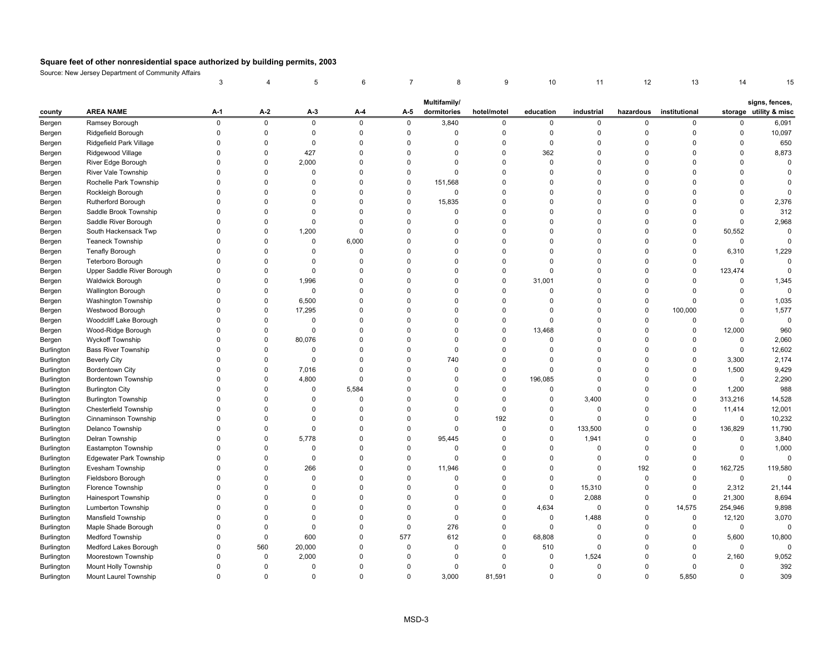|            |                                | 3           |             | 5           | 6            | 7           | 8            | 9           | 10          | 11             | 12          | 13            | 14           |                        |
|------------|--------------------------------|-------------|-------------|-------------|--------------|-------------|--------------|-------------|-------------|----------------|-------------|---------------|--------------|------------------------|
|            |                                |             |             |             |              |             | Multifamily/ |             |             |                |             |               |              | signs, fences,         |
| county     | <b>AREA NAME</b>               | A-1         | A-2         | A-3         | $A-4$        | A-5         | dormitories  | hotel/motel | education   | industrial     | hazardous   | institutional |              | storage utility & misc |
| Bergen     | Ramsey Borough                 | $\pmb{0}$   | $\mathsf 0$ | $\mathsf 0$ | 0            | $\mathsf 0$ | 3,840        | $\mathbf 0$ | 0           | $\mathsf{O}$   | $\pmb{0}$   | 0             | 0            | 6,091                  |
| Bergen     | Ridgefield Borough             | $\Omega$    | $\mathsf 0$ | $\mathbf 0$ | $\mathbf{0}$ | $\mathsf 0$ | $\Omega$     | $\mathbf 0$ | $\mathsf 0$ | $\mathsf 0$    | $\pmb{0}$   | $\mathbf 0$   | $\mathbf 0$  | 10,097                 |
| Bergen     | Ridgefield Park Village        | $\Omega$    | $\mathbf 0$ | 0           | $\Omega$     | $\mathbf 0$ | $\Omega$     | $\Omega$    | 0           | $\Omega$       | $\mathbf 0$ | $\Omega$      | $\Omega$     | 650                    |
| Bergen     | Ridgewood Village              | $\mathbf 0$ | $\mathbf 0$ | 427         | $\mathbf 0$  | $\mathsf 0$ | $\Omega$     | $\mathbf 0$ | 362         | $\mathbf 0$    | $\pmb{0}$   | $\Omega$      | $\mathbf 0$  | 8,873                  |
| Bergen     | River Edge Borough             | $\Omega$    | $\mathsf 0$ | 2,000       | $\Omega$     | $\mathbf 0$ | $\Omega$     | $\Omega$    | $\mathbf 0$ | $\Omega$       | $\mathbf 0$ | $\Omega$      | $\mathbf{0}$ | $\mathbf 0$            |
| Bergen     | River Vale Township            | $\Omega$    | $\mathbf 0$ | 0           | 0            | $\mathbf 0$ | $\Omega$     | $\mathbf 0$ | 0           | $\mathbf 0$    | $\mathbf 0$ | $\Omega$      | 0            | $\mathbf 0$            |
| Bergen     | Rochelle Park Township         | $\Omega$    | $\mathbf 0$ | $\Omega$    | 0            | $\mathsf 0$ | 151,568      | $\mathbf 0$ | $\Omega$    | $\mathbf 0$    | $\pmb{0}$   | $\Omega$      | $\mathbf{0}$ | $\Omega$               |
| Bergen     | Rockleigh Borough              | $\Omega$    | $\Omega$    | $\Omega$    | $\Omega$     | $\mathbf 0$ | $\Omega$     | $\Omega$    | $\Omega$    | $\Omega$       | $\mathbf 0$ | $\Omega$      | $\Omega$     | $\Omega$               |
| Bergen     | <b>Rutherford Borough</b>      | $\Omega$    | $\mathbf 0$ | $\Omega$    | $\Omega$     | $\mathsf 0$ | 15,835       | $\mathbf 0$ | $\Omega$    | $\mathbf 0$    | $\pmb{0}$   | $\Omega$      | 0            | 2,376                  |
| Bergen     | Saddle Brook Township          | $\Omega$    | $\Omega$    | $\Omega$    | $\Omega$     | $\mathbf 0$ | $\Omega$     | $\Omega$    | $\Omega$    | $\Omega$       | $\mathbf 0$ | $\Omega$      | $\mathbf 0$  | 312                    |
| Bergen     | Saddle River Borough           | $\Omega$    | $\Omega$    | $\mathbf 0$ | $\Omega$     | $\mathbf 0$ | $\Omega$     | $\Omega$    | $\Omega$    | 0              | $\mathbf 0$ | $\Omega$      | $\mathbf 0$  | 2,968                  |
| Bergen     | South Hackensack Twp           | $\Omega$    | $\pmb{0}$   | 1,200       | $\mathbf 0$  | $\mathsf 0$ | $\Omega$     | $\Omega$    | $\Omega$    | 0              | $\pmb{0}$   | $\mathbf 0$   | 50,552       | $\mathsf 0$            |
| Bergen     | <b>Teaneck Township</b>        | $\Omega$    | $\pmb{0}$   | $\mathbf 0$ | 6,000        | $\mathsf 0$ | $\Omega$     | $\Omega$    | $\Omega$    | $\mathbf 0$    | $\mathbf 0$ | $\Omega$      | $\mathsf 0$  | $\mathbf 0$            |
| Bergen     | <b>Tenafly Borough</b>         | $\Omega$    | $\mathbf 0$ | 0           | $\Omega$     | $\mathbf 0$ | $\Omega$     | $\Omega$    | $\Omega$    | $\Omega$       | $\mathbf 0$ | $\Omega$      | 6,310        | 1,229                  |
| Bergen     | Teterboro Borough              | $\Omega$    | $\mathbf 0$ | $\mathbf 0$ | $\Omega$     | $\mathbf 0$ | $\Omega$     | $\Omega$    | $\Omega$    | $\Omega$       | $\mathbf 0$ | $\Omega$      | $\mathbf 0$  | $\mathbf 0$            |
| Bergen     | Upper Saddle River Borough     | $\Omega$    | $\mathbf 0$ | $\mathbf 0$ | $\Omega$     | $\mathbf 0$ | $\Omega$     | $\Omega$    | $\Omega$    | $\Omega$       | $\mathbf 0$ | $\mathbf 0$   | 123,474      | $\mathbf 0$            |
| Bergen     | <b>Waldwick Borough</b>        | $\Omega$    | $\Omega$    | 1,996       | $\Omega$     | $\mathbf 0$ | $\Omega$     | $\Omega$    | 31,001      | $\Omega$       | $\Omega$    | $\Omega$      | $\Omega$     | 1,345                  |
| Bergen     | Wallington Borough             | $\Omega$    | $\mathbf 0$ | 0           | $\Omega$     | $\mathbf 0$ | $\Omega$     | $\Omega$    | $\Omega$    | $\Omega$       | $\mathbf 0$ | $\Omega$      | $\Omega$     | $\mathbf 0$            |
| Bergen     | Washington Township            | $\Omega$    | $\Omega$    | 6,500       | $\Omega$     | $\Omega$    | $\Omega$     | $\mathbf 0$ | $\Omega$    | $\Omega$       | $\mathbf 0$ | $\Omega$      | $\Omega$     | 1,035                  |
| Bergen     | Westwood Borough               | $\Omega$    | $\mathbf 0$ | 17,295      | 0            | $\mathbf 0$ | $\Omega$     | $\pmb{0}$   | 0           | 0              | $\pmb{0}$   | 100,000       | $\mathsf 0$  | 1,577                  |
| Bergen     | Woodcliff Lake Borough         | $\Omega$    | $\pmb{0}$   | 0           | $\Omega$     | $\mathsf 0$ | $\Omega$     | $\pmb{0}$   | 0           | $\Omega$       | $\pmb{0}$   | $\Omega$      | $\mathsf 0$  | $\mathsf 0$            |
| Bergen     | Wood-Ridge Borough             | $\Omega$    | $\pmb{0}$   | $\Omega$    | $\Omega$     | $\mathbf 0$ | $\Omega$     | $\Omega$    | 13,468      | $\Omega$       | $\mathbf 0$ | $\Omega$      | 12,000       | 960                    |
| Bergen     | <b>Wyckoff Township</b>        | $\Omega$    | $\mathbf 0$ | 80,076      | $\mathbf 0$  | $\mathbf 0$ | $\Omega$     | $\mathbf 0$ | 0           | $\mathbf 0$    | $\mathbf 0$ | $\mathbf 0$   | 0            | 2,060                  |
| Burlington | <b>Bass River Township</b>     | $\Omega$    | $\mathbf 0$ | $\mathbf 0$ | 0            | $\mathbf 0$ | $\mathbf 0$  | $\mathbf 0$ | $\Omega$    | $\mathbf 0$    | $\pmb{0}$   | $\Omega$      | $\mathsf 0$  | 12,602                 |
| Burlington | <b>Beverly City</b>            | $\Omega$    | $\mathbf 0$ | $\Omega$    | $\Omega$     | $\mathbf 0$ | 740          | $\Omega$    | $\Omega$    | $\Omega$       | $\mathbf 0$ | $\Omega$      | 3,300        | 2,174                  |
| Burlington | <b>Bordentown City</b>         | $\Omega$    | $\mathbf 0$ | 7,016       | $\mathbf 0$  | $\mathbf 0$ | $\Omega$     | $\mathbf 0$ | 0           | $\mathbf 0$    | $\mathbf 0$ | $\Omega$      | 1,500        | 9,429                  |
| Burlington | Bordentown Township            | $\Omega$    | $\pmb{0}$   | 4,800       | $\mathbf 0$  | $\mathbf 0$ | $\Omega$     | $\mathbf 0$ | 196,085     | $\mathbf 0$    | $\mathbf 0$ | $\Omega$      | $\mathsf 0$  | 2,290                  |
| Burlington | <b>Burlington City</b>         | $\Omega$    | $\mathbf 0$ | $\Omega$    | 5,584        | $\mathbf 0$ | $\Omega$     | $\Omega$    | $\Omega$    | $\mathbf 0$    | $\mathbf 0$ | $\mathbf 0$   | 1,200        | 988                    |
| Burlington | <b>Burlington Township</b>     | $\Omega$    | $\Omega$    | $\Omega$    | 0            | $\mathbf 0$ | $\Omega$     | $\pmb{0}$   | $\mathbf 0$ | 3,400          | $\mathbf 0$ | $\mathbf 0$   | 313,216      | 14,528                 |
| Burlington | <b>Chesterfield Township</b>   | $\Omega$    | $\Omega$    | $\Omega$    | $\Omega$     | $\mathbf 0$ | $\Omega$     | $\mathbf 0$ | $\Omega$    | $\mathbf 0$    | $\mathbf 0$ | $\mathbf 0$   | 11,414       | 12,001                 |
| Burlington | Cinnaminson Township           | $\Omega$    | $\Omega$    | $\Omega$    | $\Omega$     | $\mathbf 0$ | $\Omega$     | 192         | $\mathbf 0$ | $\mathbf 0$    | $\mathbf 0$ | 0             | 0            | 10,232                 |
| Burlington | Delanco Township               | $\Omega$    | $\mathbf 0$ | $\mathbf 0$ | $\mathbf{0}$ | $\mathsf 0$ | $\Omega$     | $\mathbf 0$ | 0           | 133,500        | $\pmb{0}$   | $\mathbf 0$   | 136,829      | 11,790                 |
| Burlington | Delran Township                | $\Omega$    | $\mathbf 0$ | 5,778       | $\mathbf 0$  | $\mathsf 0$ | 95,445       | $\Omega$    | $\mathbf 0$ | 1,941          | $\mathbf 0$ | $\Omega$      | $\mathbf 0$  | 3,840                  |
| Burlington | Eastampton Township            | $\Omega$    | $\mathbf 0$ | $\mathbf 0$ | 0            | $\mathbf 0$ | $\Omega$     | $\mathbf 0$ | 0           | $\mathbf 0$    | $\mathbf 0$ | $\Omega$      | 0            | 1,000                  |
| Burlington | <b>Edgewater Park Township</b> | $\Omega$    | $\mathbf 0$ | 0           | $\Omega$     | $\mathbf 0$ | $\Omega$     | $\Omega$    | $\Omega$    | $\Omega$       | $\mathbf 0$ | $\mathbf 0$   | $\mathbf 0$  | $\mathbf 0$            |
| Burlington | Evesham Township               | $\Omega$    | $\Omega$    | 266         | $\Omega$     | $\mathbf 0$ | 11,946       | $\Omega$    | $\Omega$    | $\Omega$       | 192         | 0             | 162,725      | 119,580                |
| Burlington | Fieldsboro Borough             | $\Omega$    | $\mathbf 0$ | 0           | $\Omega$     | $\mathbf 0$ | $\Omega$     | $\Omega$    | $\Omega$    | $\mathbf 0$    | $\mathbf 0$ | $\Omega$      | 0            | $\Omega$               |
| Burlington | Florence Township              | $\Omega$    | $\Omega$    | $\Omega$    | $\Omega$     | $\mathbf 0$ | $\Omega$     | $\Omega$    | $\Omega$    | 15,310         | $\mathbf 0$ | $\Omega$      | 2,312        | 21,144                 |
| Burlington | Hainesport Township            | $\Omega$    | $\Omega$    | $\Omega$    | $\Omega$     | $\Omega$    | $\Omega$     | $\Omega$    | 0           | 2,088          | $\mathbf 0$ | $\Omega$      | 21,300       | 8,694                  |
| Burlington | Lumberton Township             | $\Omega$    | $\Omega$    | $\Omega$    | $\Omega$     | $\mathbf 0$ | $\Omega$     | $\Omega$    | 4,634       | $\overline{0}$ | $\mathbf 0$ | 14,575        | 254,946      | 9,898                  |
| Burlington | Mansfield Township             | $\Omega$    | $\mathbf 0$ | $\Omega$    | $\Omega$     | $\mathsf 0$ | $\mathbf 0$  | $\mathbf 0$ | $\mathsf 0$ | 1,488          | $\pmb{0}$   | $\mathbf 0$   | 12,120       | 3,070                  |
| Burlington | Maple Shade Borough            | $\Omega$    | $\mathbf 0$ | $\Omega$    | $\Omega$     | $\mathbf 0$ | 276          | $\mathbf 0$ | $\mathbf 0$ | $\Omega$       | $\mathbf 0$ | $\Omega$      | 0            | $\mathbf 0$            |
| Burlington | Medford Township               | $\Omega$    | $\mathbf 0$ | 600         | 0            | 577         | 612          | $\mathbf 0$ | 68,808      | $\mathbf 0$    | $\pmb{0}$   | $\mathbf 0$   | 5,600        | 10,800                 |
| Burlington | Medford Lakes Borough          | $\Omega$    | 560         | 20,000      | $\Omega$     | $\mathsf 0$ | $\Omega$     | $\mathbf 0$ | 510         | $\mathbf 0$    | $\mathbf 0$ | $\Omega$      | 0            | $\mathbf 0$            |
| Burlington | Moorestown Township            | $\Omega$    | $\pmb{0}$   | 2,000       | $\Omega$     | $\Omega$    | $\Omega$     | $\Omega$    | 0           | 1,524          | $\mathbf 0$ | $\Omega$      | 2,160        | 9,052                  |
| Burlington | Mount Holly Township           | $\Omega$    | $\mathbf 0$ | $\Omega$    | $\Omega$     | $\mathbf 0$ | $\Omega$     | $\Omega$    | $\mathbf 0$ | $\mathbf 0$    | $\mathbf 0$ | $\Omega$      | 0            | 392                    |
| Burlington | Mount Laurel Township          | $\Omega$    | $\Omega$    | $\Omega$    | $\Omega$     | $\Omega$    | 3,000        | 81,591      | $\Omega$    | $\Omega$       | $\Omega$    | 5,850         | $\Omega$     | 309                    |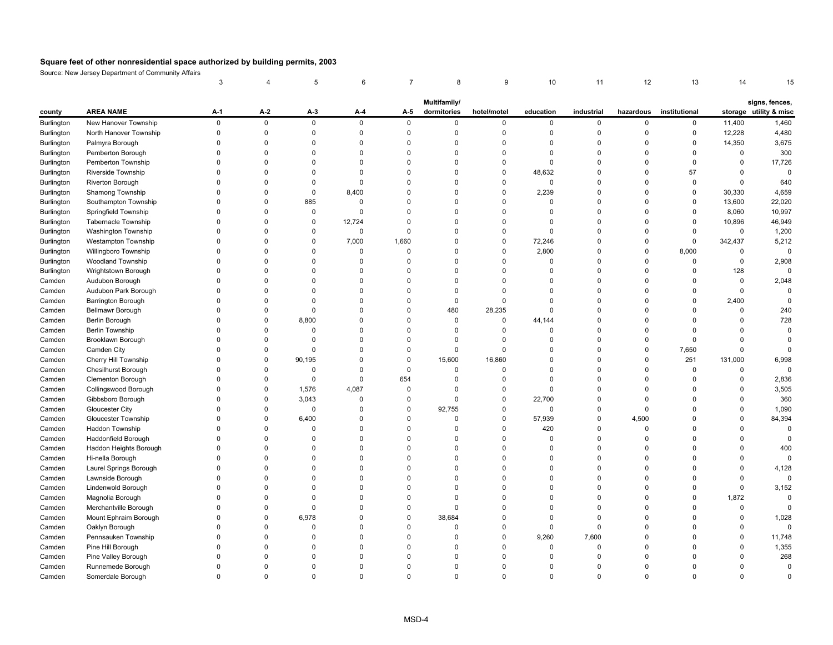| Multifamily/<br>signs, fences,<br><b>AREA NAME</b><br>A-1<br>A-2<br>A-3<br>A-4<br>dormitories<br>hotel/motel<br>education<br>industrial<br>hazardous<br>institutional<br>storage utility & misc<br>county<br>A-5<br>$\mathsf 0$<br>$\pmb{0}$<br>$\pmb{0}$<br>Burlington<br>New Hanover Township<br>0<br>$\mathbf 0$<br>$\mathbf 0$<br>0<br>$\mathbf 0$<br>$\mathbf 0$<br>$\mathbf 0$<br>0<br>11,400<br>1,460<br>$\Omega$<br>$\pmb{0}$<br>$\Omega$<br>$\mathbf 0$<br>$\mathbf 0$<br>$\mathbf 0$<br>$\mathsf 0$<br>$\Omega$<br>$\mathsf 0$<br>12,228<br>4,480<br>North Hanover Township<br>$\Omega$<br>$\Omega$<br>Burlington<br>3,675<br>$\mathbf 0$<br>$\mathbf 0$<br>$\Omega$<br>0<br>$\mathbf 0$<br>$\mathbf 0$<br>$\mathbf 0$<br>0<br>14,350<br>Burlington<br>Palmyra Borough<br>$\Omega$<br>0<br>0<br>300<br>Burlington<br>Pemberton Borough<br>$\Omega$<br>$\mathbf 0$<br>$\Omega$<br>$\mathbf 0$<br>$\Omega$<br>$\Omega$<br>0<br>$\mathbf 0$<br>$\mathbf 0$<br>$\mathbf 0$<br>$\mathbf 0$<br>0<br>$\mathbf 0$<br>$\Omega$<br>0<br>$\mathbf 0$<br>0<br>17,726<br>Burlington<br>Pemberton Township<br>$\Omega$<br>$\Omega$<br>$\Omega$<br>$\Omega$<br>0<br>$\Omega$<br>$\mathbf 0$<br>$\overline{0}$<br>Riverside Township<br>$\Omega$<br>$\mathbf 0$<br>$\Omega$<br>0<br>48,632<br>$\mathbf 0$<br>$\mathbf 0$<br>57<br>0<br>Burlington<br>$\Omega$<br>$\Omega$<br>$\Omega$<br>$\mathbf 0$<br>$\mathbf 0$<br>$\mathbf 0$<br>640<br>Riverton Borough<br>$\Omega$<br>$\Omega$<br>$\Omega$<br>$\Omega$<br>$\Omega$<br>$\mathbf 0$<br>$\mathbf 0$<br>$\Omega$<br>$\mathbf 0$<br>Burlington<br>$\Omega$<br>0<br>2,239<br>4,659<br>Burlington<br>Shamong Township<br>$\Omega$<br>$\Omega$<br>0<br>8,400<br>$\Omega$<br>$\Omega$<br>$\Omega$<br>0<br>30,330<br>885<br>22,020<br>$\Omega$<br>$\Omega$<br>$\Omega$<br>$\Omega$<br>$\Omega$<br>$\Omega$<br>$\mathbf 0$<br>$\Omega$<br>$\Omega$<br>$\Omega$<br>13,600<br>Burlington<br>Southampton Township<br>$\Omega$<br>$\Omega$<br>$\mathbf 0$<br>$\mathbf 0$<br>10,997<br>Springfield Township<br>$\Omega$<br>0<br>$\Omega$<br>$\Omega$<br>$\mathbf 0$<br>$\Omega$<br>$\Omega$<br>8,060<br>Burlington<br>12,724<br>$\Omega$<br>$\mathbf 0$<br>0<br>$\Omega$<br>$\Omega$<br>0<br>$\mathbf 0$<br>$\mathbf 0$<br>$\mathbf 0$<br>0<br>10,896<br>46,949<br><b>Tabernacle Township</b><br>Burlington<br>$\Omega$<br>$\mathbf 0$<br>0<br>$\mathbf 0$<br>1,200<br>Washington Township<br>$\Omega$<br>$\Omega$<br>$\Omega$<br>$\Omega$<br>$\Omega$<br>$\Omega$<br>$\mathbf 0$<br>0<br>Burlington<br>1,660<br><b>Westampton Township</b><br>$\Omega$<br>7,000<br>0<br>72,246<br>$\Omega$<br>$\Omega$<br>$\mathbf 0$<br>342,437<br>5,212<br>$\Omega$<br>$\Omega$<br>$\Omega$<br>Burlington<br>2,800<br>Willingboro Township<br>$\Omega$<br>$\Omega$<br>$\mathbf 0$<br>$\mathbf 0$<br>$\mathbf 0$<br>$\mathbf 0$<br>$\mathbf 0$<br>8,000<br>0<br>$\mathbf 0$<br>Burlington<br>$\Omega$<br>$\Omega$<br>$\mathsf 0$<br>2,908<br>Burlington<br><b>Woodland Township</b><br>$\Omega$<br>$\Omega$<br>$\Omega$<br>$\Omega$<br>$\Omega$<br>$\Omega$<br>$\Omega$<br>$\mathbf 0$<br>$\mathbf 0$<br>$\Omega$<br>0<br>128<br>$\Omega$<br>Burlington<br>Wrightstown Borough<br>$\Omega$<br>$\Omega$<br>$\Omega$<br>$\Omega$<br>$\Omega$<br>$\Omega$<br>$\Omega$<br>0<br>$\Omega$<br>$\Omega$<br>$\Omega$<br>$\mathbf 0$<br>2,048<br>$\Omega$<br>$\Omega$<br>$\Omega$<br>$\Omega$<br>$\Omega$<br>$\Omega$<br>$\Omega$<br>$\Omega$<br>Camden<br>Audubon Borough<br>$\Omega$<br>$\Omega$<br>$\Omega$<br>$\Omega$<br>$\Omega$<br>$\mathbf{0}$<br>$\Omega$<br>Camden<br>Audubon Park Borough<br>$\Omega$<br>$\Omega$<br>$\Omega$<br>$\Omega$<br>$\Omega$<br>$\Omega$<br>$\mathbf 0$<br>$\Omega$<br>$\Omega$<br>0<br>$\mathbf 0$<br>$\mathbf 0$<br>0<br>$\Omega$<br>$\mathbf 0$<br>$\mathbf 0$<br>$\mathbf 0$<br>$\mathbf 0$<br>2,400<br>Camden<br>Barrington Borough<br>$\Omega$<br>$\Omega$<br>0<br>$\pmb{0}$<br>480<br>28,235<br>240<br>Bellmawr Borough<br>$\Omega$<br>$\Omega$<br>$\Omega$<br>$\Omega$<br>$\mathbf 0$<br>$\Omega$<br>$\Omega$<br>$\Omega$<br>0<br>Camden<br>$\Omega$<br>8,800<br>$\Omega$<br>$\Omega$<br>$\mathbf 0$<br>0<br>44,144<br>$\Omega$<br>$\Omega$<br>$\Omega$<br>728<br>Camden<br>Berlin Borough<br>$\Omega$<br>$\Omega$<br>$\Omega$<br>$\mathbf 0$<br>0<br>$\Omega$<br>0<br>$\overline{0}$<br>$\mathbf 0$<br>$\mathbf 0$<br>0<br>$\overline{0}$<br>Camden<br><b>Berlin Township</b><br>0<br>0<br>$\mathbf 0$<br>$\mathbf 0$<br>$\mathbf 0$<br>Camden<br>Brooklawn Borough<br>$\Omega$<br>$\Omega$<br>$\Omega$<br>$\Omega$<br>$\Omega$<br>0<br>$\mathbf 0$<br>$\Omega$<br>$\mathbf 0$<br>$\mathbf 0$<br>0<br>$\pmb{0}$<br>$\Omega$<br>0<br>$\Omega$<br>7,650<br>$\Omega$<br>$\Omega$<br>Camden City<br>$\Omega$<br>0<br>$\Omega$<br>$\Omega$<br>0<br>0<br>Camden<br>$\mathbf 0$<br>251<br>Cherry Hill Township<br>$\Omega$<br>90,195<br>$\mathbf 0$<br>$\Omega$<br>15,600<br>16,860<br>$\overline{0}$<br>$\Omega$<br>$\mathbf 0$<br>131,000<br>6,998<br>Camden<br>$\Omega$<br>$\mathsf 0$<br>$\Omega$<br>Chesilhurst Borough<br>$\Omega$<br>$\Omega$<br>$\Omega$<br>$\Omega$<br>$\Omega$<br>0<br>0<br>0<br>$\Omega$<br>0<br>Camden<br>$\mathbf 0$<br>$\mathbf 0$<br>654<br>$\overline{0}$<br>$\mathbf 0$<br>0<br>2,836<br>Camden<br>Clementon Borough<br>$\Omega$<br>$\mathbf 0$<br>$\Omega$<br>0<br>$\Omega$<br>0<br>$\mathbf 0$<br>1,576<br>4,087<br>$\mathbf 0$<br>$\Omega$<br>3,505<br>Collingswood Borough<br>$\Omega$<br>$\mathbf 0$<br>$\Omega$<br>$\Omega$<br>$\mathbf 0$<br>$\Omega$<br>$\Omega$<br>Camden<br>$\mathbf 0$<br>3,043<br>$\Omega$<br>$\Omega$<br>0<br>22,700<br>$\Omega$<br>$\Omega$<br>360<br>Camden<br>Gibbsboro Borough<br>$\Omega$<br>0<br>$\Omega$<br>$\Omega$<br>$\pmb{0}$<br>92,755<br>0<br>$\mathbf 0$<br>$\mathbf 0$<br>1,090<br>$\Omega$<br>0<br>$\mathbf 0$<br>$\mathbf 0$<br>$\mathbf 0$<br>$\Omega$<br>$\Omega$<br>Camden<br>Gloucester City<br>$\pmb{0}$<br>6,400<br>$\mathbf 0$<br>0<br>57,939<br>4,500<br>84,394<br>Camden<br>Gloucester Township<br>$\Omega$<br>$\mathbf 0$<br>$\Omega$<br>$\mathbf 0$<br>$\Omega$<br>$\Omega$<br>$\Omega$<br>$\mathbf 0$<br>$\mathbf 0$<br>$\Omega$<br>0<br>420<br>$\mathbf 0$<br>$\mathbf 0$<br>$\mathbf 0$<br>$\Omega$<br>$\mathbf 0$<br>Camden<br>Haddon Township<br>0<br>$\Omega$<br>Camden<br>Haddonfield Borough<br>$\mathbf 0$<br>$\Omega$<br>$\Omega$<br>0<br>$\mathbf 0$<br>$\mathbf 0$<br>$\Omega$<br>$\Omega$<br>$\Omega$<br>$\mathbf 0$<br>$\Omega$<br>$\Omega$<br>$\Omega$<br>Haddon Heights Borough<br>$\Omega$<br>$\mathbf 0$<br>400<br>Camden<br>$\Omega$<br>$\Omega$<br>$\Omega$<br>$\Omega$<br>$\Omega$<br>$\mathbf 0$<br>0<br>$\Omega$<br>$\Omega$<br>$\Omega$<br>Hi-nella Borough<br>$\Omega$<br>$\Omega$<br>0<br>$\mathbf 0$<br>$\Omega$<br>$\mathbf 0$<br>Camden<br>$\Omega$<br>$\Omega$<br>$\Omega$<br>$\Omega$<br>0<br>$\mathbf 0$<br>$\Omega$<br>4,128<br>Camden<br>Laurel Springs Borough<br>$\Omega$<br>$\Omega$<br>$\Omega$<br>$\Omega$<br>$\Omega$<br>$\Omega$<br>$\Omega$<br>$\Omega$<br>$\Omega$<br>$\Omega$<br>$\Omega$<br>$\Omega$<br>$\Omega$<br>$\Omega$<br>Camden<br>Lawnside Borough<br>$\Omega$<br>$\Omega$<br>$\Omega$<br>$\Omega$<br>$\Omega$<br>$\Omega$<br>$\Omega$<br>$\mathbf 0$<br>$\Omega$<br>$\Omega$<br>$\Omega$<br>$\mathbf 0$<br>3,152<br>Lindenwold Borough<br>$\Omega$<br>$\Omega$<br>$\Omega$<br>$\overline{0}$<br>$\Omega$<br>$\Omega$<br>Camden<br>$\Omega$<br>$\Omega$<br>$\Omega$<br>$\Omega$<br>$\Omega$<br>1,872<br>$\Omega$<br>$\Omega$<br>$\Omega$<br>Magnolia Borough<br>$\Omega$<br>$\Omega$<br>$\Omega$<br>$\Omega$<br>$\Omega$<br>$\mathbf 0$<br>$\Omega$<br>$\Omega$<br>$\Omega$<br>Camden<br>Merchantville Borough<br>$\mathbf 0$<br>0<br>$\Omega$<br>$\Omega$<br>$\mathbf 0$<br>$\mathbf 0$<br>$\mathbf 0$<br>$\mathbf 0$<br>$\Omega$<br>$\Omega$<br>0<br>$\Omega$<br>Camden<br>$\Omega$<br>Mount Ephraim Borough<br>$\mathbf 0$<br>6,978<br>$\mathbf 0$<br>$\mathbf 0$<br>38,684<br>0<br>$\mathbf 0$<br>$\mathbf 0$<br>$\mathbf 0$<br>$\Omega$<br>0<br>1,028<br>Camden<br>$\Omega$<br>$\mathbf 0$<br>$\mathbf 0$<br>Camden<br>Oaklyn Borough<br>$\Omega$<br>$\Omega$<br>$\Omega$<br>0<br>$\Omega$<br>$\Omega$<br>0<br>0<br>$\Omega$<br>$\Omega$<br>$\Omega$<br>$\mathbf 0$<br>$\Omega$<br>0<br>9,260<br>7,600<br>$\mathbf 0$<br>11,748<br>Camden<br>Pennsauken Township<br>$\Omega$<br>$\Omega$<br>0<br>$\Omega$<br>$\Omega$<br>0<br>Pine Hill Borough<br>$\Omega$<br>$\Omega$<br>$\Omega$<br>$\Omega$<br>$\mathbf 0$<br>$\mathbf 0$<br>$\mathbf 0$<br>$\Omega$<br>$\Omega$<br>$\Omega$<br>1,355<br>Camden<br>$\Omega$<br>$\Omega$<br>268<br>Pine Valley Borough<br>$\Omega$<br>$\Omega$<br>$\Omega$<br>0<br>$\Omega$<br>$\Omega$<br>$\Omega$<br>$\mathbf 0$<br>$\Omega$<br>$\Omega$<br>$\Omega$<br>$\Omega$<br>Camden<br>$\overline{0}$<br>$\Omega$<br>$\Omega$<br>$\Omega$<br>$\Omega$<br>$\Omega$<br>$\Omega$<br>$\Omega$<br>$\Omega$<br>Camden<br>Runnemede Borough<br>$\Omega$<br>$\Omega$<br>$\Omega$<br>$\Omega$<br>$\mathbf 0$<br>$\Omega$<br>$\Omega$<br>$\Omega$<br>$\Omega$<br>$\Omega$<br>$\Omega$<br>$\Omega$<br>$\Omega$<br>$\Omega$<br>$\Omega$<br>Camden<br>Somerdale Borough<br>$\Omega$<br>$\Omega$ |  | 3 | 5 | 6 | 8 | 9 | 10 | 11 | 12 | 13 | 14 |  |
|-------------------------------------------------------------------------------------------------------------------------------------------------------------------------------------------------------------------------------------------------------------------------------------------------------------------------------------------------------------------------------------------------------------------------------------------------------------------------------------------------------------------------------------------------------------------------------------------------------------------------------------------------------------------------------------------------------------------------------------------------------------------------------------------------------------------------------------------------------------------------------------------------------------------------------------------------------------------------------------------------------------------------------------------------------------------------------------------------------------------------------------------------------------------------------------------------------------------------------------------------------------------------------------------------------------------------------------------------------------------------------------------------------------------------------------------------------------------------------------------------------------------------------------------------------------------------------------------------------------------------------------------------------------------------------------------------------------------------------------------------------------------------------------------------------------------------------------------------------------------------------------------------------------------------------------------------------------------------------------------------------------------------------------------------------------------------------------------------------------------------------------------------------------------------------------------------------------------------------------------------------------------------------------------------------------------------------------------------------------------------------------------------------------------------------------------------------------------------------------------------------------------------------------------------------------------------------------------------------------------------------------------------------------------------------------------------------------------------------------------------------------------------------------------------------------------------------------------------------------------------------------------------------------------------------------------------------------------------------------------------------------------------------------------------------------------------------------------------------------------------------------------------------------------------------------------------------------------------------------------------------------------------------------------------------------------------------------------------------------------------------------------------------------------------------------------------------------------------------------------------------------------------------------------------------------------------------------------------------------------------------------------------------------------------------------------------------------------------------------------------------------------------------------------------------------------------------------------------------------------------------------------------------------------------------------------------------------------------------------------------------------------------------------------------------------------------------------------------------------------------------------------------------------------------------------------------------------------------------------------------------------------------------------------------------------------------------------------------------------------------------------------------------------------------------------------------------------------------------------------------------------------------------------------------------------------------------------------------------------------------------------------------------------------------------------------------------------------------------------------------------------------------------------------------------------------------------------------------------------------------------------------------------------------------------------------------------------------------------------------------------------------------------------------------------------------------------------------------------------------------------------------------------------------------------------------------------------------------------------------------------------------------------------------------------------------------------------------------------------------------------------------------------------------------------------------------------------------------------------------------------------------------------------------------------------------------------------------------------------------------------------------------------------------------------------------------------------------------------------------------------------------------------------------------------------------------------------------------------------------------------------------------------------------------------------------------------------------------------------------------------------------------------------------------------------------------------------------------------------------------------------------------------------------------------------------------------------------------------------------------------------------------------------------------------------------------------------------------------------------------------------------------------------------------------------------------------------------------------------------------------------------------------------------------------------------------------------------------------------------------------------------------------------------------------------------------------------------------------------------------------------------------------------------------------------------------------------------------------------------------------------------------------------------------------------------------------------------------------------------------------------------------------------------------------------------------------------------------------------------------------------------------------------------------------------------------------------------------------------------------------------------------------------------------------------------------------------------------------------------------------------------------------------------------------------------------------------------------------------------------------------------------------------------------------------------------------------------------------------------------------------------------------------------------------------------------------------------------------------------------------------------------------------------------------------------------------------------------------------------------------------------------------------------------------------------------------------------------------------------------------------------------------------------------------------------------------------------------------------------------------------------------------------------------------------------------------------------------------------------------------------------------------------------------------------------------------------------------------------------------------------------------------------------------------------------------------------------------------------------------------------------------------------------------------------------------------------------------------------------------------------------------------------------------------------------------------------------------------------------------------------------------------------------------------------------------------------------------------------------------------------------------------------------------------------------------------------------------------------------------------------------------------------------------------------------------------------------------------------------------------------------------------------------------------------------------------------------|--|---|---|---|---|---|----|----|----|----|----|--|
|                                                                                                                                                                                                                                                                                                                                                                                                                                                                                                                                                                                                                                                                                                                                                                                                                                                                                                                                                                                                                                                                                                                                                                                                                                                                                                                                                                                                                                                                                                                                                                                                                                                                                                                                                                                                                                                                                                                                                                                                                                                                                                                                                                                                                                                                                                                                                                                                                                                                                                                                                                                                                                                                                                                                                                                                                                                                                                                                                                                                                                                                                                                                                                                                                                                                                                                                                                                                                                                                                                                                                                                                                                                                                                                                                                                                                                                                                                                                                                                                                                                                                                                                                                                                                                                                                                                                                                                                                                                                                                                                                                                                                                                                                                                                                                                                                                                                                                                                                                                                                                                                                                                                                                                                                                                                                                                                                                                                                                                                                                                                                                                                                                                                                                                                                                                                                                                                                                                                                                                                                                                                                                                                                                                                                                                                                                                                                                                                                                                                                                                                                                                                                                                                                                                                                                                                                                                                                                                                                                                                                                                                                                                                                                                                                                                                                                                                                                                                                                                                                                                                                                                                                                                                                                                                                                                                                                                                                                                                                                                                                                                                                                                                                                                                                                                                                                                                                                                                                                                                                                                                                                                                                                                                                                                                                                                                                                                                                                                                                                                                                                                                                                                                                                                                                   |  |   |   |   |   |   |    |    |    |    |    |  |
|                                                                                                                                                                                                                                                                                                                                                                                                                                                                                                                                                                                                                                                                                                                                                                                                                                                                                                                                                                                                                                                                                                                                                                                                                                                                                                                                                                                                                                                                                                                                                                                                                                                                                                                                                                                                                                                                                                                                                                                                                                                                                                                                                                                                                                                                                                                                                                                                                                                                                                                                                                                                                                                                                                                                                                                                                                                                                                                                                                                                                                                                                                                                                                                                                                                                                                                                                                                                                                                                                                                                                                                                                                                                                                                                                                                                                                                                                                                                                                                                                                                                                                                                                                                                                                                                                                                                                                                                                                                                                                                                                                                                                                                                                                                                                                                                                                                                                                                                                                                                                                                                                                                                                                                                                                                                                                                                                                                                                                                                                                                                                                                                                                                                                                                                                                                                                                                                                                                                                                                                                                                                                                                                                                                                                                                                                                                                                                                                                                                                                                                                                                                                                                                                                                                                                                                                                                                                                                                                                                                                                                                                                                                                                                                                                                                                                                                                                                                                                                                                                                                                                                                                                                                                                                                                                                                                                                                                                                                                                                                                                                                                                                                                                                                                                                                                                                                                                                                                                                                                                                                                                                                                                                                                                                                                                                                                                                                                                                                                                                                                                                                                                                                                                                                                                   |  |   |   |   |   |   |    |    |    |    |    |  |
|                                                                                                                                                                                                                                                                                                                                                                                                                                                                                                                                                                                                                                                                                                                                                                                                                                                                                                                                                                                                                                                                                                                                                                                                                                                                                                                                                                                                                                                                                                                                                                                                                                                                                                                                                                                                                                                                                                                                                                                                                                                                                                                                                                                                                                                                                                                                                                                                                                                                                                                                                                                                                                                                                                                                                                                                                                                                                                                                                                                                                                                                                                                                                                                                                                                                                                                                                                                                                                                                                                                                                                                                                                                                                                                                                                                                                                                                                                                                                                                                                                                                                                                                                                                                                                                                                                                                                                                                                                                                                                                                                                                                                                                                                                                                                                                                                                                                                                                                                                                                                                                                                                                                                                                                                                                                                                                                                                                                                                                                                                                                                                                                                                                                                                                                                                                                                                                                                                                                                                                                                                                                                                                                                                                                                                                                                                                                                                                                                                                                                                                                                                                                                                                                                                                                                                                                                                                                                                                                                                                                                                                                                                                                                                                                                                                                                                                                                                                                                                                                                                                                                                                                                                                                                                                                                                                                                                                                                                                                                                                                                                                                                                                                                                                                                                                                                                                                                                                                                                                                                                                                                                                                                                                                                                                                                                                                                                                                                                                                                                                                                                                                                                                                                                                                                   |  |   |   |   |   |   |    |    |    |    |    |  |
|                                                                                                                                                                                                                                                                                                                                                                                                                                                                                                                                                                                                                                                                                                                                                                                                                                                                                                                                                                                                                                                                                                                                                                                                                                                                                                                                                                                                                                                                                                                                                                                                                                                                                                                                                                                                                                                                                                                                                                                                                                                                                                                                                                                                                                                                                                                                                                                                                                                                                                                                                                                                                                                                                                                                                                                                                                                                                                                                                                                                                                                                                                                                                                                                                                                                                                                                                                                                                                                                                                                                                                                                                                                                                                                                                                                                                                                                                                                                                                                                                                                                                                                                                                                                                                                                                                                                                                                                                                                                                                                                                                                                                                                                                                                                                                                                                                                                                                                                                                                                                                                                                                                                                                                                                                                                                                                                                                                                                                                                                                                                                                                                                                                                                                                                                                                                                                                                                                                                                                                                                                                                                                                                                                                                                                                                                                                                                                                                                                                                                                                                                                                                                                                                                                                                                                                                                                                                                                                                                                                                                                                                                                                                                                                                                                                                                                                                                                                                                                                                                                                                                                                                                                                                                                                                                                                                                                                                                                                                                                                                                                                                                                                                                                                                                                                                                                                                                                                                                                                                                                                                                                                                                                                                                                                                                                                                                                                                                                                                                                                                                                                                                                                                                                                                                   |  |   |   |   |   |   |    |    |    |    |    |  |
|                                                                                                                                                                                                                                                                                                                                                                                                                                                                                                                                                                                                                                                                                                                                                                                                                                                                                                                                                                                                                                                                                                                                                                                                                                                                                                                                                                                                                                                                                                                                                                                                                                                                                                                                                                                                                                                                                                                                                                                                                                                                                                                                                                                                                                                                                                                                                                                                                                                                                                                                                                                                                                                                                                                                                                                                                                                                                                                                                                                                                                                                                                                                                                                                                                                                                                                                                                                                                                                                                                                                                                                                                                                                                                                                                                                                                                                                                                                                                                                                                                                                                                                                                                                                                                                                                                                                                                                                                                                                                                                                                                                                                                                                                                                                                                                                                                                                                                                                                                                                                                                                                                                                                                                                                                                                                                                                                                                                                                                                                                                                                                                                                                                                                                                                                                                                                                                                                                                                                                                                                                                                                                                                                                                                                                                                                                                                                                                                                                                                                                                                                                                                                                                                                                                                                                                                                                                                                                                                                                                                                                                                                                                                                                                                                                                                                                                                                                                                                                                                                                                                                                                                                                                                                                                                                                                                                                                                                                                                                                                                                                                                                                                                                                                                                                                                                                                                                                                                                                                                                                                                                                                                                                                                                                                                                                                                                                                                                                                                                                                                                                                                                                                                                                                                                   |  |   |   |   |   |   |    |    |    |    |    |  |
|                                                                                                                                                                                                                                                                                                                                                                                                                                                                                                                                                                                                                                                                                                                                                                                                                                                                                                                                                                                                                                                                                                                                                                                                                                                                                                                                                                                                                                                                                                                                                                                                                                                                                                                                                                                                                                                                                                                                                                                                                                                                                                                                                                                                                                                                                                                                                                                                                                                                                                                                                                                                                                                                                                                                                                                                                                                                                                                                                                                                                                                                                                                                                                                                                                                                                                                                                                                                                                                                                                                                                                                                                                                                                                                                                                                                                                                                                                                                                                                                                                                                                                                                                                                                                                                                                                                                                                                                                                                                                                                                                                                                                                                                                                                                                                                                                                                                                                                                                                                                                                                                                                                                                                                                                                                                                                                                                                                                                                                                                                                                                                                                                                                                                                                                                                                                                                                                                                                                                                                                                                                                                                                                                                                                                                                                                                                                                                                                                                                                                                                                                                                                                                                                                                                                                                                                                                                                                                                                                                                                                                                                                                                                                                                                                                                                                                                                                                                                                                                                                                                                                                                                                                                                                                                                                                                                                                                                                                                                                                                                                                                                                                                                                                                                                                                                                                                                                                                                                                                                                                                                                                                                                                                                                                                                                                                                                                                                                                                                                                                                                                                                                                                                                                                                                   |  |   |   |   |   |   |    |    |    |    |    |  |
|                                                                                                                                                                                                                                                                                                                                                                                                                                                                                                                                                                                                                                                                                                                                                                                                                                                                                                                                                                                                                                                                                                                                                                                                                                                                                                                                                                                                                                                                                                                                                                                                                                                                                                                                                                                                                                                                                                                                                                                                                                                                                                                                                                                                                                                                                                                                                                                                                                                                                                                                                                                                                                                                                                                                                                                                                                                                                                                                                                                                                                                                                                                                                                                                                                                                                                                                                                                                                                                                                                                                                                                                                                                                                                                                                                                                                                                                                                                                                                                                                                                                                                                                                                                                                                                                                                                                                                                                                                                                                                                                                                                                                                                                                                                                                                                                                                                                                                                                                                                                                                                                                                                                                                                                                                                                                                                                                                                                                                                                                                                                                                                                                                                                                                                                                                                                                                                                                                                                                                                                                                                                                                                                                                                                                                                                                                                                                                                                                                                                                                                                                                                                                                                                                                                                                                                                                                                                                                                                                                                                                                                                                                                                                                                                                                                                                                                                                                                                                                                                                                                                                                                                                                                                                                                                                                                                                                                                                                                                                                                                                                                                                                                                                                                                                                                                                                                                                                                                                                                                                                                                                                                                                                                                                                                                                                                                                                                                                                                                                                                                                                                                                                                                                                                                                   |  |   |   |   |   |   |    |    |    |    |    |  |
|                                                                                                                                                                                                                                                                                                                                                                                                                                                                                                                                                                                                                                                                                                                                                                                                                                                                                                                                                                                                                                                                                                                                                                                                                                                                                                                                                                                                                                                                                                                                                                                                                                                                                                                                                                                                                                                                                                                                                                                                                                                                                                                                                                                                                                                                                                                                                                                                                                                                                                                                                                                                                                                                                                                                                                                                                                                                                                                                                                                                                                                                                                                                                                                                                                                                                                                                                                                                                                                                                                                                                                                                                                                                                                                                                                                                                                                                                                                                                                                                                                                                                                                                                                                                                                                                                                                                                                                                                                                                                                                                                                                                                                                                                                                                                                                                                                                                                                                                                                                                                                                                                                                                                                                                                                                                                                                                                                                                                                                                                                                                                                                                                                                                                                                                                                                                                                                                                                                                                                                                                                                                                                                                                                                                                                                                                                                                                                                                                                                                                                                                                                                                                                                                                                                                                                                                                                                                                                                                                                                                                                                                                                                                                                                                                                                                                                                                                                                                                                                                                                                                                                                                                                                                                                                                                                                                                                                                                                                                                                                                                                                                                                                                                                                                                                                                                                                                                                                                                                                                                                                                                                                                                                                                                                                                                                                                                                                                                                                                                                                                                                                                                                                                                                                                                   |  |   |   |   |   |   |    |    |    |    |    |  |
|                                                                                                                                                                                                                                                                                                                                                                                                                                                                                                                                                                                                                                                                                                                                                                                                                                                                                                                                                                                                                                                                                                                                                                                                                                                                                                                                                                                                                                                                                                                                                                                                                                                                                                                                                                                                                                                                                                                                                                                                                                                                                                                                                                                                                                                                                                                                                                                                                                                                                                                                                                                                                                                                                                                                                                                                                                                                                                                                                                                                                                                                                                                                                                                                                                                                                                                                                                                                                                                                                                                                                                                                                                                                                                                                                                                                                                                                                                                                                                                                                                                                                                                                                                                                                                                                                                                                                                                                                                                                                                                                                                                                                                                                                                                                                                                                                                                                                                                                                                                                                                                                                                                                                                                                                                                                                                                                                                                                                                                                                                                                                                                                                                                                                                                                                                                                                                                                                                                                                                                                                                                                                                                                                                                                                                                                                                                                                                                                                                                                                                                                                                                                                                                                                                                                                                                                                                                                                                                                                                                                                                                                                                                                                                                                                                                                                                                                                                                                                                                                                                                                                                                                                                                                                                                                                                                                                                                                                                                                                                                                                                                                                                                                                                                                                                                                                                                                                                                                                                                                                                                                                                                                                                                                                                                                                                                                                                                                                                                                                                                                                                                                                                                                                                                                                   |  |   |   |   |   |   |    |    |    |    |    |  |
|                                                                                                                                                                                                                                                                                                                                                                                                                                                                                                                                                                                                                                                                                                                                                                                                                                                                                                                                                                                                                                                                                                                                                                                                                                                                                                                                                                                                                                                                                                                                                                                                                                                                                                                                                                                                                                                                                                                                                                                                                                                                                                                                                                                                                                                                                                                                                                                                                                                                                                                                                                                                                                                                                                                                                                                                                                                                                                                                                                                                                                                                                                                                                                                                                                                                                                                                                                                                                                                                                                                                                                                                                                                                                                                                                                                                                                                                                                                                                                                                                                                                                                                                                                                                                                                                                                                                                                                                                                                                                                                                                                                                                                                                                                                                                                                                                                                                                                                                                                                                                                                                                                                                                                                                                                                                                                                                                                                                                                                                                                                                                                                                                                                                                                                                                                                                                                                                                                                                                                                                                                                                                                                                                                                                                                                                                                                                                                                                                                                                                                                                                                                                                                                                                                                                                                                                                                                                                                                                                                                                                                                                                                                                                                                                                                                                                                                                                                                                                                                                                                                                                                                                                                                                                                                                                                                                                                                                                                                                                                                                                                                                                                                                                                                                                                                                                                                                                                                                                                                                                                                                                                                                                                                                                                                                                                                                                                                                                                                                                                                                                                                                                                                                                                                                                   |  |   |   |   |   |   |    |    |    |    |    |  |
|                                                                                                                                                                                                                                                                                                                                                                                                                                                                                                                                                                                                                                                                                                                                                                                                                                                                                                                                                                                                                                                                                                                                                                                                                                                                                                                                                                                                                                                                                                                                                                                                                                                                                                                                                                                                                                                                                                                                                                                                                                                                                                                                                                                                                                                                                                                                                                                                                                                                                                                                                                                                                                                                                                                                                                                                                                                                                                                                                                                                                                                                                                                                                                                                                                                                                                                                                                                                                                                                                                                                                                                                                                                                                                                                                                                                                                                                                                                                                                                                                                                                                                                                                                                                                                                                                                                                                                                                                                                                                                                                                                                                                                                                                                                                                                                                                                                                                                                                                                                                                                                                                                                                                                                                                                                                                                                                                                                                                                                                                                                                                                                                                                                                                                                                                                                                                                                                                                                                                                                                                                                                                                                                                                                                                                                                                                                                                                                                                                                                                                                                                                                                                                                                                                                                                                                                                                                                                                                                                                                                                                                                                                                                                                                                                                                                                                                                                                                                                                                                                                                                                                                                                                                                                                                                                                                                                                                                                                                                                                                                                                                                                                                                                                                                                                                                                                                                                                                                                                                                                                                                                                                                                                                                                                                                                                                                                                                                                                                                                                                                                                                                                                                                                                                                                   |  |   |   |   |   |   |    |    |    |    |    |  |
|                                                                                                                                                                                                                                                                                                                                                                                                                                                                                                                                                                                                                                                                                                                                                                                                                                                                                                                                                                                                                                                                                                                                                                                                                                                                                                                                                                                                                                                                                                                                                                                                                                                                                                                                                                                                                                                                                                                                                                                                                                                                                                                                                                                                                                                                                                                                                                                                                                                                                                                                                                                                                                                                                                                                                                                                                                                                                                                                                                                                                                                                                                                                                                                                                                                                                                                                                                                                                                                                                                                                                                                                                                                                                                                                                                                                                                                                                                                                                                                                                                                                                                                                                                                                                                                                                                                                                                                                                                                                                                                                                                                                                                                                                                                                                                                                                                                                                                                                                                                                                                                                                                                                                                                                                                                                                                                                                                                                                                                                                                                                                                                                                                                                                                                                                                                                                                                                                                                                                                                                                                                                                                                                                                                                                                                                                                                                                                                                                                                                                                                                                                                                                                                                                                                                                                                                                                                                                                                                                                                                                                                                                                                                                                                                                                                                                                                                                                                                                                                                                                                                                                                                                                                                                                                                                                                                                                                                                                                                                                                                                                                                                                                                                                                                                                                                                                                                                                                                                                                                                                                                                                                                                                                                                                                                                                                                                                                                                                                                                                                                                                                                                                                                                                                                                   |  |   |   |   |   |   |    |    |    |    |    |  |
|                                                                                                                                                                                                                                                                                                                                                                                                                                                                                                                                                                                                                                                                                                                                                                                                                                                                                                                                                                                                                                                                                                                                                                                                                                                                                                                                                                                                                                                                                                                                                                                                                                                                                                                                                                                                                                                                                                                                                                                                                                                                                                                                                                                                                                                                                                                                                                                                                                                                                                                                                                                                                                                                                                                                                                                                                                                                                                                                                                                                                                                                                                                                                                                                                                                                                                                                                                                                                                                                                                                                                                                                                                                                                                                                                                                                                                                                                                                                                                                                                                                                                                                                                                                                                                                                                                                                                                                                                                                                                                                                                                                                                                                                                                                                                                                                                                                                                                                                                                                                                                                                                                                                                                                                                                                                                                                                                                                                                                                                                                                                                                                                                                                                                                                                                                                                                                                                                                                                                                                                                                                                                                                                                                                                                                                                                                                                                                                                                                                                                                                                                                                                                                                                                                                                                                                                                                                                                                                                                                                                                                                                                                                                                                                                                                                                                                                                                                                                                                                                                                                                                                                                                                                                                                                                                                                                                                                                                                                                                                                                                                                                                                                                                                                                                                                                                                                                                                                                                                                                                                                                                                                                                                                                                                                                                                                                                                                                                                                                                                                                                                                                                                                                                                                                                   |  |   |   |   |   |   |    |    |    |    |    |  |
|                                                                                                                                                                                                                                                                                                                                                                                                                                                                                                                                                                                                                                                                                                                                                                                                                                                                                                                                                                                                                                                                                                                                                                                                                                                                                                                                                                                                                                                                                                                                                                                                                                                                                                                                                                                                                                                                                                                                                                                                                                                                                                                                                                                                                                                                                                                                                                                                                                                                                                                                                                                                                                                                                                                                                                                                                                                                                                                                                                                                                                                                                                                                                                                                                                                                                                                                                                                                                                                                                                                                                                                                                                                                                                                                                                                                                                                                                                                                                                                                                                                                                                                                                                                                                                                                                                                                                                                                                                                                                                                                                                                                                                                                                                                                                                                                                                                                                                                                                                                                                                                                                                                                                                                                                                                                                                                                                                                                                                                                                                                                                                                                                                                                                                                                                                                                                                                                                                                                                                                                                                                                                                                                                                                                                                                                                                                                                                                                                                                                                                                                                                                                                                                                                                                                                                                                                                                                                                                                                                                                                                                                                                                                                                                                                                                                                                                                                                                                                                                                                                                                                                                                                                                                                                                                                                                                                                                                                                                                                                                                                                                                                                                                                                                                                                                                                                                                                                                                                                                                                                                                                                                                                                                                                                                                                                                                                                                                                                                                                                                                                                                                                                                                                                                                                   |  |   |   |   |   |   |    |    |    |    |    |  |
|                                                                                                                                                                                                                                                                                                                                                                                                                                                                                                                                                                                                                                                                                                                                                                                                                                                                                                                                                                                                                                                                                                                                                                                                                                                                                                                                                                                                                                                                                                                                                                                                                                                                                                                                                                                                                                                                                                                                                                                                                                                                                                                                                                                                                                                                                                                                                                                                                                                                                                                                                                                                                                                                                                                                                                                                                                                                                                                                                                                                                                                                                                                                                                                                                                                                                                                                                                                                                                                                                                                                                                                                                                                                                                                                                                                                                                                                                                                                                                                                                                                                                                                                                                                                                                                                                                                                                                                                                                                                                                                                                                                                                                                                                                                                                                                                                                                                                                                                                                                                                                                                                                                                                                                                                                                                                                                                                                                                                                                                                                                                                                                                                                                                                                                                                                                                                                                                                                                                                                                                                                                                                                                                                                                                                                                                                                                                                                                                                                                                                                                                                                                                                                                                                                                                                                                                                                                                                                                                                                                                                                                                                                                                                                                                                                                                                                                                                                                                                                                                                                                                                                                                                                                                                                                                                                                                                                                                                                                                                                                                                                                                                                                                                                                                                                                                                                                                                                                                                                                                                                                                                                                                                                                                                                                                                                                                                                                                                                                                                                                                                                                                                                                                                                                                                   |  |   |   |   |   |   |    |    |    |    |    |  |
|                                                                                                                                                                                                                                                                                                                                                                                                                                                                                                                                                                                                                                                                                                                                                                                                                                                                                                                                                                                                                                                                                                                                                                                                                                                                                                                                                                                                                                                                                                                                                                                                                                                                                                                                                                                                                                                                                                                                                                                                                                                                                                                                                                                                                                                                                                                                                                                                                                                                                                                                                                                                                                                                                                                                                                                                                                                                                                                                                                                                                                                                                                                                                                                                                                                                                                                                                                                                                                                                                                                                                                                                                                                                                                                                                                                                                                                                                                                                                                                                                                                                                                                                                                                                                                                                                                                                                                                                                                                                                                                                                                                                                                                                                                                                                                                                                                                                                                                                                                                                                                                                                                                                                                                                                                                                                                                                                                                                                                                                                                                                                                                                                                                                                                                                                                                                                                                                                                                                                                                                                                                                                                                                                                                                                                                                                                                                                                                                                                                                                                                                                                                                                                                                                                                                                                                                                                                                                                                                                                                                                                                                                                                                                                                                                                                                                                                                                                                                                                                                                                                                                                                                                                                                                                                                                                                                                                                                                                                                                                                                                                                                                                                                                                                                                                                                                                                                                                                                                                                                                                                                                                                                                                                                                                                                                                                                                                                                                                                                                                                                                                                                                                                                                                                                                   |  |   |   |   |   |   |    |    |    |    |    |  |
|                                                                                                                                                                                                                                                                                                                                                                                                                                                                                                                                                                                                                                                                                                                                                                                                                                                                                                                                                                                                                                                                                                                                                                                                                                                                                                                                                                                                                                                                                                                                                                                                                                                                                                                                                                                                                                                                                                                                                                                                                                                                                                                                                                                                                                                                                                                                                                                                                                                                                                                                                                                                                                                                                                                                                                                                                                                                                                                                                                                                                                                                                                                                                                                                                                                                                                                                                                                                                                                                                                                                                                                                                                                                                                                                                                                                                                                                                                                                                                                                                                                                                                                                                                                                                                                                                                                                                                                                                                                                                                                                                                                                                                                                                                                                                                                                                                                                                                                                                                                                                                                                                                                                                                                                                                                                                                                                                                                                                                                                                                                                                                                                                                                                                                                                                                                                                                                                                                                                                                                                                                                                                                                                                                                                                                                                                                                                                                                                                                                                                                                                                                                                                                                                                                                                                                                                                                                                                                                                                                                                                                                                                                                                                                                                                                                                                                                                                                                                                                                                                                                                                                                                                                                                                                                                                                                                                                                                                                                                                                                                                                                                                                                                                                                                                                                                                                                                                                                                                                                                                                                                                                                                                                                                                                                                                                                                                                                                                                                                                                                                                                                                                                                                                                                                                   |  |   |   |   |   |   |    |    |    |    |    |  |
|                                                                                                                                                                                                                                                                                                                                                                                                                                                                                                                                                                                                                                                                                                                                                                                                                                                                                                                                                                                                                                                                                                                                                                                                                                                                                                                                                                                                                                                                                                                                                                                                                                                                                                                                                                                                                                                                                                                                                                                                                                                                                                                                                                                                                                                                                                                                                                                                                                                                                                                                                                                                                                                                                                                                                                                                                                                                                                                                                                                                                                                                                                                                                                                                                                                                                                                                                                                                                                                                                                                                                                                                                                                                                                                                                                                                                                                                                                                                                                                                                                                                                                                                                                                                                                                                                                                                                                                                                                                                                                                                                                                                                                                                                                                                                                                                                                                                                                                                                                                                                                                                                                                                                                                                                                                                                                                                                                                                                                                                                                                                                                                                                                                                                                                                                                                                                                                                                                                                                                                                                                                                                                                                                                                                                                                                                                                                                                                                                                                                                                                                                                                                                                                                                                                                                                                                                                                                                                                                                                                                                                                                                                                                                                                                                                                                                                                                                                                                                                                                                                                                                                                                                                                                                                                                                                                                                                                                                                                                                                                                                                                                                                                                                                                                                                                                                                                                                                                                                                                                                                                                                                                                                                                                                                                                                                                                                                                                                                                                                                                                                                                                                                                                                                                                                   |  |   |   |   |   |   |    |    |    |    |    |  |
|                                                                                                                                                                                                                                                                                                                                                                                                                                                                                                                                                                                                                                                                                                                                                                                                                                                                                                                                                                                                                                                                                                                                                                                                                                                                                                                                                                                                                                                                                                                                                                                                                                                                                                                                                                                                                                                                                                                                                                                                                                                                                                                                                                                                                                                                                                                                                                                                                                                                                                                                                                                                                                                                                                                                                                                                                                                                                                                                                                                                                                                                                                                                                                                                                                                                                                                                                                                                                                                                                                                                                                                                                                                                                                                                                                                                                                                                                                                                                                                                                                                                                                                                                                                                                                                                                                                                                                                                                                                                                                                                                                                                                                                                                                                                                                                                                                                                                                                                                                                                                                                                                                                                                                                                                                                                                                                                                                                                                                                                                                                                                                                                                                                                                                                                                                                                                                                                                                                                                                                                                                                                                                                                                                                                                                                                                                                                                                                                                                                                                                                                                                                                                                                                                                                                                                                                                                                                                                                                                                                                                                                                                                                                                                                                                                                                                                                                                                                                                                                                                                                                                                                                                                                                                                                                                                                                                                                                                                                                                                                                                                                                                                                                                                                                                                                                                                                                                                                                                                                                                                                                                                                                                                                                                                                                                                                                                                                                                                                                                                                                                                                                                                                                                                                                                   |  |   |   |   |   |   |    |    |    |    |    |  |
|                                                                                                                                                                                                                                                                                                                                                                                                                                                                                                                                                                                                                                                                                                                                                                                                                                                                                                                                                                                                                                                                                                                                                                                                                                                                                                                                                                                                                                                                                                                                                                                                                                                                                                                                                                                                                                                                                                                                                                                                                                                                                                                                                                                                                                                                                                                                                                                                                                                                                                                                                                                                                                                                                                                                                                                                                                                                                                                                                                                                                                                                                                                                                                                                                                                                                                                                                                                                                                                                                                                                                                                                                                                                                                                                                                                                                                                                                                                                                                                                                                                                                                                                                                                                                                                                                                                                                                                                                                                                                                                                                                                                                                                                                                                                                                                                                                                                                                                                                                                                                                                                                                                                                                                                                                                                                                                                                                                                                                                                                                                                                                                                                                                                                                                                                                                                                                                                                                                                                                                                                                                                                                                                                                                                                                                                                                                                                                                                                                                                                                                                                                                                                                                                                                                                                                                                                                                                                                                                                                                                                                                                                                                                                                                                                                                                                                                                                                                                                                                                                                                                                                                                                                                                                                                                                                                                                                                                                                                                                                                                                                                                                                                                                                                                                                                                                                                                                                                                                                                                                                                                                                                                                                                                                                                                                                                                                                                                                                                                                                                                                                                                                                                                                                                                                   |  |   |   |   |   |   |    |    |    |    |    |  |
|                                                                                                                                                                                                                                                                                                                                                                                                                                                                                                                                                                                                                                                                                                                                                                                                                                                                                                                                                                                                                                                                                                                                                                                                                                                                                                                                                                                                                                                                                                                                                                                                                                                                                                                                                                                                                                                                                                                                                                                                                                                                                                                                                                                                                                                                                                                                                                                                                                                                                                                                                                                                                                                                                                                                                                                                                                                                                                                                                                                                                                                                                                                                                                                                                                                                                                                                                                                                                                                                                                                                                                                                                                                                                                                                                                                                                                                                                                                                                                                                                                                                                                                                                                                                                                                                                                                                                                                                                                                                                                                                                                                                                                                                                                                                                                                                                                                                                                                                                                                                                                                                                                                                                                                                                                                                                                                                                                                                                                                                                                                                                                                                                                                                                                                                                                                                                                                                                                                                                                                                                                                                                                                                                                                                                                                                                                                                                                                                                                                                                                                                                                                                                                                                                                                                                                                                                                                                                                                                                                                                                                                                                                                                                                                                                                                                                                                                                                                                                                                                                                                                                                                                                                                                                                                                                                                                                                                                                                                                                                                                                                                                                                                                                                                                                                                                                                                                                                                                                                                                                                                                                                                                                                                                                                                                                                                                                                                                                                                                                                                                                                                                                                                                                                                                                   |  |   |   |   |   |   |    |    |    |    |    |  |
|                                                                                                                                                                                                                                                                                                                                                                                                                                                                                                                                                                                                                                                                                                                                                                                                                                                                                                                                                                                                                                                                                                                                                                                                                                                                                                                                                                                                                                                                                                                                                                                                                                                                                                                                                                                                                                                                                                                                                                                                                                                                                                                                                                                                                                                                                                                                                                                                                                                                                                                                                                                                                                                                                                                                                                                                                                                                                                                                                                                                                                                                                                                                                                                                                                                                                                                                                                                                                                                                                                                                                                                                                                                                                                                                                                                                                                                                                                                                                                                                                                                                                                                                                                                                                                                                                                                                                                                                                                                                                                                                                                                                                                                                                                                                                                                                                                                                                                                                                                                                                                                                                                                                                                                                                                                                                                                                                                                                                                                                                                                                                                                                                                                                                                                                                                                                                                                                                                                                                                                                                                                                                                                                                                                                                                                                                                                                                                                                                                                                                                                                                                                                                                                                                                                                                                                                                                                                                                                                                                                                                                                                                                                                                                                                                                                                                                                                                                                                                                                                                                                                                                                                                                                                                                                                                                                                                                                                                                                                                                                                                                                                                                                                                                                                                                                                                                                                                                                                                                                                                                                                                                                                                                                                                                                                                                                                                                                                                                                                                                                                                                                                                                                                                                                                                   |  |   |   |   |   |   |    |    |    |    |    |  |
|                                                                                                                                                                                                                                                                                                                                                                                                                                                                                                                                                                                                                                                                                                                                                                                                                                                                                                                                                                                                                                                                                                                                                                                                                                                                                                                                                                                                                                                                                                                                                                                                                                                                                                                                                                                                                                                                                                                                                                                                                                                                                                                                                                                                                                                                                                                                                                                                                                                                                                                                                                                                                                                                                                                                                                                                                                                                                                                                                                                                                                                                                                                                                                                                                                                                                                                                                                                                                                                                                                                                                                                                                                                                                                                                                                                                                                                                                                                                                                                                                                                                                                                                                                                                                                                                                                                                                                                                                                                                                                                                                                                                                                                                                                                                                                                                                                                                                                                                                                                                                                                                                                                                                                                                                                                                                                                                                                                                                                                                                                                                                                                                                                                                                                                                                                                                                                                                                                                                                                                                                                                                                                                                                                                                                                                                                                                                                                                                                                                                                                                                                                                                                                                                                                                                                                                                                                                                                                                                                                                                                                                                                                                                                                                                                                                                                                                                                                                                                                                                                                                                                                                                                                                                                                                                                                                                                                                                                                                                                                                                                                                                                                                                                                                                                                                                                                                                                                                                                                                                                                                                                                                                                                                                                                                                                                                                                                                                                                                                                                                                                                                                                                                                                                                                                   |  |   |   |   |   |   |    |    |    |    |    |  |
|                                                                                                                                                                                                                                                                                                                                                                                                                                                                                                                                                                                                                                                                                                                                                                                                                                                                                                                                                                                                                                                                                                                                                                                                                                                                                                                                                                                                                                                                                                                                                                                                                                                                                                                                                                                                                                                                                                                                                                                                                                                                                                                                                                                                                                                                                                                                                                                                                                                                                                                                                                                                                                                                                                                                                                                                                                                                                                                                                                                                                                                                                                                                                                                                                                                                                                                                                                                                                                                                                                                                                                                                                                                                                                                                                                                                                                                                                                                                                                                                                                                                                                                                                                                                                                                                                                                                                                                                                                                                                                                                                                                                                                                                                                                                                                                                                                                                                                                                                                                                                                                                                                                                                                                                                                                                                                                                                                                                                                                                                                                                                                                                                                                                                                                                                                                                                                                                                                                                                                                                                                                                                                                                                                                                                                                                                                                                                                                                                                                                                                                                                                                                                                                                                                                                                                                                                                                                                                                                                                                                                                                                                                                                                                                                                                                                                                                                                                                                                                                                                                                                                                                                                                                                                                                                                                                                                                                                                                                                                                                                                                                                                                                                                                                                                                                                                                                                                                                                                                                                                                                                                                                                                                                                                                                                                                                                                                                                                                                                                                                                                                                                                                                                                                                                                   |  |   |   |   |   |   |    |    |    |    |    |  |
|                                                                                                                                                                                                                                                                                                                                                                                                                                                                                                                                                                                                                                                                                                                                                                                                                                                                                                                                                                                                                                                                                                                                                                                                                                                                                                                                                                                                                                                                                                                                                                                                                                                                                                                                                                                                                                                                                                                                                                                                                                                                                                                                                                                                                                                                                                                                                                                                                                                                                                                                                                                                                                                                                                                                                                                                                                                                                                                                                                                                                                                                                                                                                                                                                                                                                                                                                                                                                                                                                                                                                                                                                                                                                                                                                                                                                                                                                                                                                                                                                                                                                                                                                                                                                                                                                                                                                                                                                                                                                                                                                                                                                                                                                                                                                                                                                                                                                                                                                                                                                                                                                                                                                                                                                                                                                                                                                                                                                                                                                                                                                                                                                                                                                                                                                                                                                                                                                                                                                                                                                                                                                                                                                                                                                                                                                                                                                                                                                                                                                                                                                                                                                                                                                                                                                                                                                                                                                                                                                                                                                                                                                                                                                                                                                                                                                                                                                                                                                                                                                                                                                                                                                                                                                                                                                                                                                                                                                                                                                                                                                                                                                                                                                                                                                                                                                                                                                                                                                                                                                                                                                                                                                                                                                                                                                                                                                                                                                                                                                                                                                                                                                                                                                                                                                   |  |   |   |   |   |   |    |    |    |    |    |  |
|                                                                                                                                                                                                                                                                                                                                                                                                                                                                                                                                                                                                                                                                                                                                                                                                                                                                                                                                                                                                                                                                                                                                                                                                                                                                                                                                                                                                                                                                                                                                                                                                                                                                                                                                                                                                                                                                                                                                                                                                                                                                                                                                                                                                                                                                                                                                                                                                                                                                                                                                                                                                                                                                                                                                                                                                                                                                                                                                                                                                                                                                                                                                                                                                                                                                                                                                                                                                                                                                                                                                                                                                                                                                                                                                                                                                                                                                                                                                                                                                                                                                                                                                                                                                                                                                                                                                                                                                                                                                                                                                                                                                                                                                                                                                                                                                                                                                                                                                                                                                                                                                                                                                                                                                                                                                                                                                                                                                                                                                                                                                                                                                                                                                                                                                                                                                                                                                                                                                                                                                                                                                                                                                                                                                                                                                                                                                                                                                                                                                                                                                                                                                                                                                                                                                                                                                                                                                                                                                                                                                                                                                                                                                                                                                                                                                                                                                                                                                                                                                                                                                                                                                                                                                                                                                                                                                                                                                                                                                                                                                                                                                                                                                                                                                                                                                                                                                                                                                                                                                                                                                                                                                                                                                                                                                                                                                                                                                                                                                                                                                                                                                                                                                                                                                                   |  |   |   |   |   |   |    |    |    |    |    |  |
|                                                                                                                                                                                                                                                                                                                                                                                                                                                                                                                                                                                                                                                                                                                                                                                                                                                                                                                                                                                                                                                                                                                                                                                                                                                                                                                                                                                                                                                                                                                                                                                                                                                                                                                                                                                                                                                                                                                                                                                                                                                                                                                                                                                                                                                                                                                                                                                                                                                                                                                                                                                                                                                                                                                                                                                                                                                                                                                                                                                                                                                                                                                                                                                                                                                                                                                                                                                                                                                                                                                                                                                                                                                                                                                                                                                                                                                                                                                                                                                                                                                                                                                                                                                                                                                                                                                                                                                                                                                                                                                                                                                                                                                                                                                                                                                                                                                                                                                                                                                                                                                                                                                                                                                                                                                                                                                                                                                                                                                                                                                                                                                                                                                                                                                                                                                                                                                                                                                                                                                                                                                                                                                                                                                                                                                                                                                                                                                                                                                                                                                                                                                                                                                                                                                                                                                                                                                                                                                                                                                                                                                                                                                                                                                                                                                                                                                                                                                                                                                                                                                                                                                                                                                                                                                                                                                                                                                                                                                                                                                                                                                                                                                                                                                                                                                                                                                                                                                                                                                                                                                                                                                                                                                                                                                                                                                                                                                                                                                                                                                                                                                                                                                                                                                                                   |  |   |   |   |   |   |    |    |    |    |    |  |
|                                                                                                                                                                                                                                                                                                                                                                                                                                                                                                                                                                                                                                                                                                                                                                                                                                                                                                                                                                                                                                                                                                                                                                                                                                                                                                                                                                                                                                                                                                                                                                                                                                                                                                                                                                                                                                                                                                                                                                                                                                                                                                                                                                                                                                                                                                                                                                                                                                                                                                                                                                                                                                                                                                                                                                                                                                                                                                                                                                                                                                                                                                                                                                                                                                                                                                                                                                                                                                                                                                                                                                                                                                                                                                                                                                                                                                                                                                                                                                                                                                                                                                                                                                                                                                                                                                                                                                                                                                                                                                                                                                                                                                                                                                                                                                                                                                                                                                                                                                                                                                                                                                                                                                                                                                                                                                                                                                                                                                                                                                                                                                                                                                                                                                                                                                                                                                                                                                                                                                                                                                                                                                                                                                                                                                                                                                                                                                                                                                                                                                                                                                                                                                                                                                                                                                                                                                                                                                                                                                                                                                                                                                                                                                                                                                                                                                                                                                                                                                                                                                                                                                                                                                                                                                                                                                                                                                                                                                                                                                                                                                                                                                                                                                                                                                                                                                                                                                                                                                                                                                                                                                                                                                                                                                                                                                                                                                                                                                                                                                                                                                                                                                                                                                                                                   |  |   |   |   |   |   |    |    |    |    |    |  |
|                                                                                                                                                                                                                                                                                                                                                                                                                                                                                                                                                                                                                                                                                                                                                                                                                                                                                                                                                                                                                                                                                                                                                                                                                                                                                                                                                                                                                                                                                                                                                                                                                                                                                                                                                                                                                                                                                                                                                                                                                                                                                                                                                                                                                                                                                                                                                                                                                                                                                                                                                                                                                                                                                                                                                                                                                                                                                                                                                                                                                                                                                                                                                                                                                                                                                                                                                                                                                                                                                                                                                                                                                                                                                                                                                                                                                                                                                                                                                                                                                                                                                                                                                                                                                                                                                                                                                                                                                                                                                                                                                                                                                                                                                                                                                                                                                                                                                                                                                                                                                                                                                                                                                                                                                                                                                                                                                                                                                                                                                                                                                                                                                                                                                                                                                                                                                                                                                                                                                                                                                                                                                                                                                                                                                                                                                                                                                                                                                                                                                                                                                                                                                                                                                                                                                                                                                                                                                                                                                                                                                                                                                                                                                                                                                                                                                                                                                                                                                                                                                                                                                                                                                                                                                                                                                                                                                                                                                                                                                                                                                                                                                                                                                                                                                                                                                                                                                                                                                                                                                                                                                                                                                                                                                                                                                                                                                                                                                                                                                                                                                                                                                                                                                                                                                   |  |   |   |   |   |   |    |    |    |    |    |  |
|                                                                                                                                                                                                                                                                                                                                                                                                                                                                                                                                                                                                                                                                                                                                                                                                                                                                                                                                                                                                                                                                                                                                                                                                                                                                                                                                                                                                                                                                                                                                                                                                                                                                                                                                                                                                                                                                                                                                                                                                                                                                                                                                                                                                                                                                                                                                                                                                                                                                                                                                                                                                                                                                                                                                                                                                                                                                                                                                                                                                                                                                                                                                                                                                                                                                                                                                                                                                                                                                                                                                                                                                                                                                                                                                                                                                                                                                                                                                                                                                                                                                                                                                                                                                                                                                                                                                                                                                                                                                                                                                                                                                                                                                                                                                                                                                                                                                                                                                                                                                                                                                                                                                                                                                                                                                                                                                                                                                                                                                                                                                                                                                                                                                                                                                                                                                                                                                                                                                                                                                                                                                                                                                                                                                                                                                                                                                                                                                                                                                                                                                                                                                                                                                                                                                                                                                                                                                                                                                                                                                                                                                                                                                                                                                                                                                                                                                                                                                                                                                                                                                                                                                                                                                                                                                                                                                                                                                                                                                                                                                                                                                                                                                                                                                                                                                                                                                                                                                                                                                                                                                                                                                                                                                                                                                                                                                                                                                                                                                                                                                                                                                                                                                                                                                                   |  |   |   |   |   |   |    |    |    |    |    |  |
|                                                                                                                                                                                                                                                                                                                                                                                                                                                                                                                                                                                                                                                                                                                                                                                                                                                                                                                                                                                                                                                                                                                                                                                                                                                                                                                                                                                                                                                                                                                                                                                                                                                                                                                                                                                                                                                                                                                                                                                                                                                                                                                                                                                                                                                                                                                                                                                                                                                                                                                                                                                                                                                                                                                                                                                                                                                                                                                                                                                                                                                                                                                                                                                                                                                                                                                                                                                                                                                                                                                                                                                                                                                                                                                                                                                                                                                                                                                                                                                                                                                                                                                                                                                                                                                                                                                                                                                                                                                                                                                                                                                                                                                                                                                                                                                                                                                                                                                                                                                                                                                                                                                                                                                                                                                                                                                                                                                                                                                                                                                                                                                                                                                                                                                                                                                                                                                                                                                                                                                                                                                                                                                                                                                                                                                                                                                                                                                                                                                                                                                                                                                                                                                                                                                                                                                                                                                                                                                                                                                                                                                                                                                                                                                                                                                                                                                                                                                                                                                                                                                                                                                                                                                                                                                                                                                                                                                                                                                                                                                                                                                                                                                                                                                                                                                                                                                                                                                                                                                                                                                                                                                                                                                                                                                                                                                                                                                                                                                                                                                                                                                                                                                                                                                                                   |  |   |   |   |   |   |    |    |    |    |    |  |
|                                                                                                                                                                                                                                                                                                                                                                                                                                                                                                                                                                                                                                                                                                                                                                                                                                                                                                                                                                                                                                                                                                                                                                                                                                                                                                                                                                                                                                                                                                                                                                                                                                                                                                                                                                                                                                                                                                                                                                                                                                                                                                                                                                                                                                                                                                                                                                                                                                                                                                                                                                                                                                                                                                                                                                                                                                                                                                                                                                                                                                                                                                                                                                                                                                                                                                                                                                                                                                                                                                                                                                                                                                                                                                                                                                                                                                                                                                                                                                                                                                                                                                                                                                                                                                                                                                                                                                                                                                                                                                                                                                                                                                                                                                                                                                                                                                                                                                                                                                                                                                                                                                                                                                                                                                                                                                                                                                                                                                                                                                                                                                                                                                                                                                                                                                                                                                                                                                                                                                                                                                                                                                                                                                                                                                                                                                                                                                                                                                                                                                                                                                                                                                                                                                                                                                                                                                                                                                                                                                                                                                                                                                                                                                                                                                                                                                                                                                                                                                                                                                                                                                                                                                                                                                                                                                                                                                                                                                                                                                                                                                                                                                                                                                                                                                                                                                                                                                                                                                                                                                                                                                                                                                                                                                                                                                                                                                                                                                                                                                                                                                                                                                                                                                                                                   |  |   |   |   |   |   |    |    |    |    |    |  |
|                                                                                                                                                                                                                                                                                                                                                                                                                                                                                                                                                                                                                                                                                                                                                                                                                                                                                                                                                                                                                                                                                                                                                                                                                                                                                                                                                                                                                                                                                                                                                                                                                                                                                                                                                                                                                                                                                                                                                                                                                                                                                                                                                                                                                                                                                                                                                                                                                                                                                                                                                                                                                                                                                                                                                                                                                                                                                                                                                                                                                                                                                                                                                                                                                                                                                                                                                                                                                                                                                                                                                                                                                                                                                                                                                                                                                                                                                                                                                                                                                                                                                                                                                                                                                                                                                                                                                                                                                                                                                                                                                                                                                                                                                                                                                                                                                                                                                                                                                                                                                                                                                                                                                                                                                                                                                                                                                                                                                                                                                                                                                                                                                                                                                                                                                                                                                                                                                                                                                                                                                                                                                                                                                                                                                                                                                                                                                                                                                                                                                                                                                                                                                                                                                                                                                                                                                                                                                                                                                                                                                                                                                                                                                                                                                                                                                                                                                                                                                                                                                                                                                                                                                                                                                                                                                                                                                                                                                                                                                                                                                                                                                                                                                                                                                                                                                                                                                                                                                                                                                                                                                                                                                                                                                                                                                                                                                                                                                                                                                                                                                                                                                                                                                                                                                   |  |   |   |   |   |   |    |    |    |    |    |  |
|                                                                                                                                                                                                                                                                                                                                                                                                                                                                                                                                                                                                                                                                                                                                                                                                                                                                                                                                                                                                                                                                                                                                                                                                                                                                                                                                                                                                                                                                                                                                                                                                                                                                                                                                                                                                                                                                                                                                                                                                                                                                                                                                                                                                                                                                                                                                                                                                                                                                                                                                                                                                                                                                                                                                                                                                                                                                                                                                                                                                                                                                                                                                                                                                                                                                                                                                                                                                                                                                                                                                                                                                                                                                                                                                                                                                                                                                                                                                                                                                                                                                                                                                                                                                                                                                                                                                                                                                                                                                                                                                                                                                                                                                                                                                                                                                                                                                                                                                                                                                                                                                                                                                                                                                                                                                                                                                                                                                                                                                                                                                                                                                                                                                                                                                                                                                                                                                                                                                                                                                                                                                                                                                                                                                                                                                                                                                                                                                                                                                                                                                                                                                                                                                                                                                                                                                                                                                                                                                                                                                                                                                                                                                                                                                                                                                                                                                                                                                                                                                                                                                                                                                                                                                                                                                                                                                                                                                                                                                                                                                                                                                                                                                                                                                                                                                                                                                                                                                                                                                                                                                                                                                                                                                                                                                                                                                                                                                                                                                                                                                                                                                                                                                                                                                                   |  |   |   |   |   |   |    |    |    |    |    |  |
|                                                                                                                                                                                                                                                                                                                                                                                                                                                                                                                                                                                                                                                                                                                                                                                                                                                                                                                                                                                                                                                                                                                                                                                                                                                                                                                                                                                                                                                                                                                                                                                                                                                                                                                                                                                                                                                                                                                                                                                                                                                                                                                                                                                                                                                                                                                                                                                                                                                                                                                                                                                                                                                                                                                                                                                                                                                                                                                                                                                                                                                                                                                                                                                                                                                                                                                                                                                                                                                                                                                                                                                                                                                                                                                                                                                                                                                                                                                                                                                                                                                                                                                                                                                                                                                                                                                                                                                                                                                                                                                                                                                                                                                                                                                                                                                                                                                                                                                                                                                                                                                                                                                                                                                                                                                                                                                                                                                                                                                                                                                                                                                                                                                                                                                                                                                                                                                                                                                                                                                                                                                                                                                                                                                                                                                                                                                                                                                                                                                                                                                                                                                                                                                                                                                                                                                                                                                                                                                                                                                                                                                                                                                                                                                                                                                                                                                                                                                                                                                                                                                                                                                                                                                                                                                                                                                                                                                                                                                                                                                                                                                                                                                                                                                                                                                                                                                                                                                                                                                                                                                                                                                                                                                                                                                                                                                                                                                                                                                                                                                                                                                                                                                                                                                                                   |  |   |   |   |   |   |    |    |    |    |    |  |
|                                                                                                                                                                                                                                                                                                                                                                                                                                                                                                                                                                                                                                                                                                                                                                                                                                                                                                                                                                                                                                                                                                                                                                                                                                                                                                                                                                                                                                                                                                                                                                                                                                                                                                                                                                                                                                                                                                                                                                                                                                                                                                                                                                                                                                                                                                                                                                                                                                                                                                                                                                                                                                                                                                                                                                                                                                                                                                                                                                                                                                                                                                                                                                                                                                                                                                                                                                                                                                                                                                                                                                                                                                                                                                                                                                                                                                                                                                                                                                                                                                                                                                                                                                                                                                                                                                                                                                                                                                                                                                                                                                                                                                                                                                                                                                                                                                                                                                                                                                                                                                                                                                                                                                                                                                                                                                                                                                                                                                                                                                                                                                                                                                                                                                                                                                                                                                                                                                                                                                                                                                                                                                                                                                                                                                                                                                                                                                                                                                                                                                                                                                                                                                                                                                                                                                                                                                                                                                                                                                                                                                                                                                                                                                                                                                                                                                                                                                                                                                                                                                                                                                                                                                                                                                                                                                                                                                                                                                                                                                                                                                                                                                                                                                                                                                                                                                                                                                                                                                                                                                                                                                                                                                                                                                                                                                                                                                                                                                                                                                                                                                                                                                                                                                                                                   |  |   |   |   |   |   |    |    |    |    |    |  |
|                                                                                                                                                                                                                                                                                                                                                                                                                                                                                                                                                                                                                                                                                                                                                                                                                                                                                                                                                                                                                                                                                                                                                                                                                                                                                                                                                                                                                                                                                                                                                                                                                                                                                                                                                                                                                                                                                                                                                                                                                                                                                                                                                                                                                                                                                                                                                                                                                                                                                                                                                                                                                                                                                                                                                                                                                                                                                                                                                                                                                                                                                                                                                                                                                                                                                                                                                                                                                                                                                                                                                                                                                                                                                                                                                                                                                                                                                                                                                                                                                                                                                                                                                                                                                                                                                                                                                                                                                                                                                                                                                                                                                                                                                                                                                                                                                                                                                                                                                                                                                                                                                                                                                                                                                                                                                                                                                                                                                                                                                                                                                                                                                                                                                                                                                                                                                                                                                                                                                                                                                                                                                                                                                                                                                                                                                                                                                                                                                                                                                                                                                                                                                                                                                                                                                                                                                                                                                                                                                                                                                                                                                                                                                                                                                                                                                                                                                                                                                                                                                                                                                                                                                                                                                                                                                                                                                                                                                                                                                                                                                                                                                                                                                                                                                                                                                                                                                                                                                                                                                                                                                                                                                                                                                                                                                                                                                                                                                                                                                                                                                                                                                                                                                                                                                   |  |   |   |   |   |   |    |    |    |    |    |  |
|                                                                                                                                                                                                                                                                                                                                                                                                                                                                                                                                                                                                                                                                                                                                                                                                                                                                                                                                                                                                                                                                                                                                                                                                                                                                                                                                                                                                                                                                                                                                                                                                                                                                                                                                                                                                                                                                                                                                                                                                                                                                                                                                                                                                                                                                                                                                                                                                                                                                                                                                                                                                                                                                                                                                                                                                                                                                                                                                                                                                                                                                                                                                                                                                                                                                                                                                                                                                                                                                                                                                                                                                                                                                                                                                                                                                                                                                                                                                                                                                                                                                                                                                                                                                                                                                                                                                                                                                                                                                                                                                                                                                                                                                                                                                                                                                                                                                                                                                                                                                                                                                                                                                                                                                                                                                                                                                                                                                                                                                                                                                                                                                                                                                                                                                                                                                                                                                                                                                                                                                                                                                                                                                                                                                                                                                                                                                                                                                                                                                                                                                                                                                                                                                                                                                                                                                                                                                                                                                                                                                                                                                                                                                                                                                                                                                                                                                                                                                                                                                                                                                                                                                                                                                                                                                                                                                                                                                                                                                                                                                                                                                                                                                                                                                                                                                                                                                                                                                                                                                                                                                                                                                                                                                                                                                                                                                                                                                                                                                                                                                                                                                                                                                                                                                                   |  |   |   |   |   |   |    |    |    |    |    |  |
|                                                                                                                                                                                                                                                                                                                                                                                                                                                                                                                                                                                                                                                                                                                                                                                                                                                                                                                                                                                                                                                                                                                                                                                                                                                                                                                                                                                                                                                                                                                                                                                                                                                                                                                                                                                                                                                                                                                                                                                                                                                                                                                                                                                                                                                                                                                                                                                                                                                                                                                                                                                                                                                                                                                                                                                                                                                                                                                                                                                                                                                                                                                                                                                                                                                                                                                                                                                                                                                                                                                                                                                                                                                                                                                                                                                                                                                                                                                                                                                                                                                                                                                                                                                                                                                                                                                                                                                                                                                                                                                                                                                                                                                                                                                                                                                                                                                                                                                                                                                                                                                                                                                                                                                                                                                                                                                                                                                                                                                                                                                                                                                                                                                                                                                                                                                                                                                                                                                                                                                                                                                                                                                                                                                                                                                                                                                                                                                                                                                                                                                                                                                                                                                                                                                                                                                                                                                                                                                                                                                                                                                                                                                                                                                                                                                                                                                                                                                                                                                                                                                                                                                                                                                                                                                                                                                                                                                                                                                                                                                                                                                                                                                                                                                                                                                                                                                                                                                                                                                                                                                                                                                                                                                                                                                                                                                                                                                                                                                                                                                                                                                                                                                                                                                                                   |  |   |   |   |   |   |    |    |    |    |    |  |
|                                                                                                                                                                                                                                                                                                                                                                                                                                                                                                                                                                                                                                                                                                                                                                                                                                                                                                                                                                                                                                                                                                                                                                                                                                                                                                                                                                                                                                                                                                                                                                                                                                                                                                                                                                                                                                                                                                                                                                                                                                                                                                                                                                                                                                                                                                                                                                                                                                                                                                                                                                                                                                                                                                                                                                                                                                                                                                                                                                                                                                                                                                                                                                                                                                                                                                                                                                                                                                                                                                                                                                                                                                                                                                                                                                                                                                                                                                                                                                                                                                                                                                                                                                                                                                                                                                                                                                                                                                                                                                                                                                                                                                                                                                                                                                                                                                                                                                                                                                                                                                                                                                                                                                                                                                                                                                                                                                                                                                                                                                                                                                                                                                                                                                                                                                                                                                                                                                                                                                                                                                                                                                                                                                                                                                                                                                                                                                                                                                                                                                                                                                                                                                                                                                                                                                                                                                                                                                                                                                                                                                                                                                                                                                                                                                                                                                                                                                                                                                                                                                                                                                                                                                                                                                                                                                                                                                                                                                                                                                                                                                                                                                                                                                                                                                                                                                                                                                                                                                                                                                                                                                                                                                                                                                                                                                                                                                                                                                                                                                                                                                                                                                                                                                                                                   |  |   |   |   |   |   |    |    |    |    |    |  |
|                                                                                                                                                                                                                                                                                                                                                                                                                                                                                                                                                                                                                                                                                                                                                                                                                                                                                                                                                                                                                                                                                                                                                                                                                                                                                                                                                                                                                                                                                                                                                                                                                                                                                                                                                                                                                                                                                                                                                                                                                                                                                                                                                                                                                                                                                                                                                                                                                                                                                                                                                                                                                                                                                                                                                                                                                                                                                                                                                                                                                                                                                                                                                                                                                                                                                                                                                                                                                                                                                                                                                                                                                                                                                                                                                                                                                                                                                                                                                                                                                                                                                                                                                                                                                                                                                                                                                                                                                                                                                                                                                                                                                                                                                                                                                                                                                                                                                                                                                                                                                                                                                                                                                                                                                                                                                                                                                                                                                                                                                                                                                                                                                                                                                                                                                                                                                                                                                                                                                                                                                                                                                                                                                                                                                                                                                                                                                                                                                                                                                                                                                                                                                                                                                                                                                                                                                                                                                                                                                                                                                                                                                                                                                                                                                                                                                                                                                                                                                                                                                                                                                                                                                                                                                                                                                                                                                                                                                                                                                                                                                                                                                                                                                                                                                                                                                                                                                                                                                                                                                                                                                                                                                                                                                                                                                                                                                                                                                                                                                                                                                                                                                                                                                                                                                   |  |   |   |   |   |   |    |    |    |    |    |  |
|                                                                                                                                                                                                                                                                                                                                                                                                                                                                                                                                                                                                                                                                                                                                                                                                                                                                                                                                                                                                                                                                                                                                                                                                                                                                                                                                                                                                                                                                                                                                                                                                                                                                                                                                                                                                                                                                                                                                                                                                                                                                                                                                                                                                                                                                                                                                                                                                                                                                                                                                                                                                                                                                                                                                                                                                                                                                                                                                                                                                                                                                                                                                                                                                                                                                                                                                                                                                                                                                                                                                                                                                                                                                                                                                                                                                                                                                                                                                                                                                                                                                                                                                                                                                                                                                                                                                                                                                                                                                                                                                                                                                                                                                                                                                                                                                                                                                                                                                                                                                                                                                                                                                                                                                                                                                                                                                                                                                                                                                                                                                                                                                                                                                                                                                                                                                                                                                                                                                                                                                                                                                                                                                                                                                                                                                                                                                                                                                                                                                                                                                                                                                                                                                                                                                                                                                                                                                                                                                                                                                                                                                                                                                                                                                                                                                                                                                                                                                                                                                                                                                                                                                                                                                                                                                                                                                                                                                                                                                                                                                                                                                                                                                                                                                                                                                                                                                                                                                                                                                                                                                                                                                                                                                                                                                                                                                                                                                                                                                                                                                                                                                                                                                                                                                                   |  |   |   |   |   |   |    |    |    |    |    |  |
|                                                                                                                                                                                                                                                                                                                                                                                                                                                                                                                                                                                                                                                                                                                                                                                                                                                                                                                                                                                                                                                                                                                                                                                                                                                                                                                                                                                                                                                                                                                                                                                                                                                                                                                                                                                                                                                                                                                                                                                                                                                                                                                                                                                                                                                                                                                                                                                                                                                                                                                                                                                                                                                                                                                                                                                                                                                                                                                                                                                                                                                                                                                                                                                                                                                                                                                                                                                                                                                                                                                                                                                                                                                                                                                                                                                                                                                                                                                                                                                                                                                                                                                                                                                                                                                                                                                                                                                                                                                                                                                                                                                                                                                                                                                                                                                                                                                                                                                                                                                                                                                                                                                                                                                                                                                                                                                                                                                                                                                                                                                                                                                                                                                                                                                                                                                                                                                                                                                                                                                                                                                                                                                                                                                                                                                                                                                                                                                                                                                                                                                                                                                                                                                                                                                                                                                                                                                                                                                                                                                                                                                                                                                                                                                                                                                                                                                                                                                                                                                                                                                                                                                                                                                                                                                                                                                                                                                                                                                                                                                                                                                                                                                                                                                                                                                                                                                                                                                                                                                                                                                                                                                                                                                                                                                                                                                                                                                                                                                                                                                                                                                                                                                                                                                                                   |  |   |   |   |   |   |    |    |    |    |    |  |
|                                                                                                                                                                                                                                                                                                                                                                                                                                                                                                                                                                                                                                                                                                                                                                                                                                                                                                                                                                                                                                                                                                                                                                                                                                                                                                                                                                                                                                                                                                                                                                                                                                                                                                                                                                                                                                                                                                                                                                                                                                                                                                                                                                                                                                                                                                                                                                                                                                                                                                                                                                                                                                                                                                                                                                                                                                                                                                                                                                                                                                                                                                                                                                                                                                                                                                                                                                                                                                                                                                                                                                                                                                                                                                                                                                                                                                                                                                                                                                                                                                                                                                                                                                                                                                                                                                                                                                                                                                                                                                                                                                                                                                                                                                                                                                                                                                                                                                                                                                                                                                                                                                                                                                                                                                                                                                                                                                                                                                                                                                                                                                                                                                                                                                                                                                                                                                                                                                                                                                                                                                                                                                                                                                                                                                                                                                                                                                                                                                                                                                                                                                                                                                                                                                                                                                                                                                                                                                                                                                                                                                                                                                                                                                                                                                                                                                                                                                                                                                                                                                                                                                                                                                                                                                                                                                                                                                                                                                                                                                                                                                                                                                                                                                                                                                                                                                                                                                                                                                                                                                                                                                                                                                                                                                                                                                                                                                                                                                                                                                                                                                                                                                                                                                                                                   |  |   |   |   |   |   |    |    |    |    |    |  |
|                                                                                                                                                                                                                                                                                                                                                                                                                                                                                                                                                                                                                                                                                                                                                                                                                                                                                                                                                                                                                                                                                                                                                                                                                                                                                                                                                                                                                                                                                                                                                                                                                                                                                                                                                                                                                                                                                                                                                                                                                                                                                                                                                                                                                                                                                                                                                                                                                                                                                                                                                                                                                                                                                                                                                                                                                                                                                                                                                                                                                                                                                                                                                                                                                                                                                                                                                                                                                                                                                                                                                                                                                                                                                                                                                                                                                                                                                                                                                                                                                                                                                                                                                                                                                                                                                                                                                                                                                                                                                                                                                                                                                                                                                                                                                                                                                                                                                                                                                                                                                                                                                                                                                                                                                                                                                                                                                                                                                                                                                                                                                                                                                                                                                                                                                                                                                                                                                                                                                                                                                                                                                                                                                                                                                                                                                                                                                                                                                                                                                                                                                                                                                                                                                                                                                                                                                                                                                                                                                                                                                                                                                                                                                                                                                                                                                                                                                                                                                                                                                                                                                                                                                                                                                                                                                                                                                                                                                                                                                                                                                                                                                                                                                                                                                                                                                                                                                                                                                                                                                                                                                                                                                                                                                                                                                                                                                                                                                                                                                                                                                                                                                                                                                                                                                   |  |   |   |   |   |   |    |    |    |    |    |  |
|                                                                                                                                                                                                                                                                                                                                                                                                                                                                                                                                                                                                                                                                                                                                                                                                                                                                                                                                                                                                                                                                                                                                                                                                                                                                                                                                                                                                                                                                                                                                                                                                                                                                                                                                                                                                                                                                                                                                                                                                                                                                                                                                                                                                                                                                                                                                                                                                                                                                                                                                                                                                                                                                                                                                                                                                                                                                                                                                                                                                                                                                                                                                                                                                                                                                                                                                                                                                                                                                                                                                                                                                                                                                                                                                                                                                                                                                                                                                                                                                                                                                                                                                                                                                                                                                                                                                                                                                                                                                                                                                                                                                                                                                                                                                                                                                                                                                                                                                                                                                                                                                                                                                                                                                                                                                                                                                                                                                                                                                                                                                                                                                                                                                                                                                                                                                                                                                                                                                                                                                                                                                                                                                                                                                                                                                                                                                                                                                                                                                                                                                                                                                                                                                                                                                                                                                                                                                                                                                                                                                                                                                                                                                                                                                                                                                                                                                                                                                                                                                                                                                                                                                                                                                                                                                                                                                                                                                                                                                                                                                                                                                                                                                                                                                                                                                                                                                                                                                                                                                                                                                                                                                                                                                                                                                                                                                                                                                                                                                                                                                                                                                                                                                                                                                                   |  |   |   |   |   |   |    |    |    |    |    |  |
|                                                                                                                                                                                                                                                                                                                                                                                                                                                                                                                                                                                                                                                                                                                                                                                                                                                                                                                                                                                                                                                                                                                                                                                                                                                                                                                                                                                                                                                                                                                                                                                                                                                                                                                                                                                                                                                                                                                                                                                                                                                                                                                                                                                                                                                                                                                                                                                                                                                                                                                                                                                                                                                                                                                                                                                                                                                                                                                                                                                                                                                                                                                                                                                                                                                                                                                                                                                                                                                                                                                                                                                                                                                                                                                                                                                                                                                                                                                                                                                                                                                                                                                                                                                                                                                                                                                                                                                                                                                                                                                                                                                                                                                                                                                                                                                                                                                                                                                                                                                                                                                                                                                                                                                                                                                                                                                                                                                                                                                                                                                                                                                                                                                                                                                                                                                                                                                                                                                                                                                                                                                                                                                                                                                                                                                                                                                                                                                                                                                                                                                                                                                                                                                                                                                                                                                                                                                                                                                                                                                                                                                                                                                                                                                                                                                                                                                                                                                                                                                                                                                                                                                                                                                                                                                                                                                                                                                                                                                                                                                                                                                                                                                                                                                                                                                                                                                                                                                                                                                                                                                                                                                                                                                                                                                                                                                                                                                                                                                                                                                                                                                                                                                                                                                                                   |  |   |   |   |   |   |    |    |    |    |    |  |
|                                                                                                                                                                                                                                                                                                                                                                                                                                                                                                                                                                                                                                                                                                                                                                                                                                                                                                                                                                                                                                                                                                                                                                                                                                                                                                                                                                                                                                                                                                                                                                                                                                                                                                                                                                                                                                                                                                                                                                                                                                                                                                                                                                                                                                                                                                                                                                                                                                                                                                                                                                                                                                                                                                                                                                                                                                                                                                                                                                                                                                                                                                                                                                                                                                                                                                                                                                                                                                                                                                                                                                                                                                                                                                                                                                                                                                                                                                                                                                                                                                                                                                                                                                                                                                                                                                                                                                                                                                                                                                                                                                                                                                                                                                                                                                                                                                                                                                                                                                                                                                                                                                                                                                                                                                                                                                                                                                                                                                                                                                                                                                                                                                                                                                                                                                                                                                                                                                                                                                                                                                                                                                                                                                                                                                                                                                                                                                                                                                                                                                                                                                                                                                                                                                                                                                                                                                                                                                                                                                                                                                                                                                                                                                                                                                                                                                                                                                                                                                                                                                                                                                                                                                                                                                                                                                                                                                                                                                                                                                                                                                                                                                                                                                                                                                                                                                                                                                                                                                                                                                                                                                                                                                                                                                                                                                                                                                                                                                                                                                                                                                                                                                                                                                                                                   |  |   |   |   |   |   |    |    |    |    |    |  |
|                                                                                                                                                                                                                                                                                                                                                                                                                                                                                                                                                                                                                                                                                                                                                                                                                                                                                                                                                                                                                                                                                                                                                                                                                                                                                                                                                                                                                                                                                                                                                                                                                                                                                                                                                                                                                                                                                                                                                                                                                                                                                                                                                                                                                                                                                                                                                                                                                                                                                                                                                                                                                                                                                                                                                                                                                                                                                                                                                                                                                                                                                                                                                                                                                                                                                                                                                                                                                                                                                                                                                                                                                                                                                                                                                                                                                                                                                                                                                                                                                                                                                                                                                                                                                                                                                                                                                                                                                                                                                                                                                                                                                                                                                                                                                                                                                                                                                                                                                                                                                                                                                                                                                                                                                                                                                                                                                                                                                                                                                                                                                                                                                                                                                                                                                                                                                                                                                                                                                                                                                                                                                                                                                                                                                                                                                                                                                                                                                                                                                                                                                                                                                                                                                                                                                                                                                                                                                                                                                                                                                                                                                                                                                                                                                                                                                                                                                                                                                                                                                                                                                                                                                                                                                                                                                                                                                                                                                                                                                                                                                                                                                                                                                                                                                                                                                                                                                                                                                                                                                                                                                                                                                                                                                                                                                                                                                                                                                                                                                                                                                                                                                                                                                                                                                   |  |   |   |   |   |   |    |    |    |    |    |  |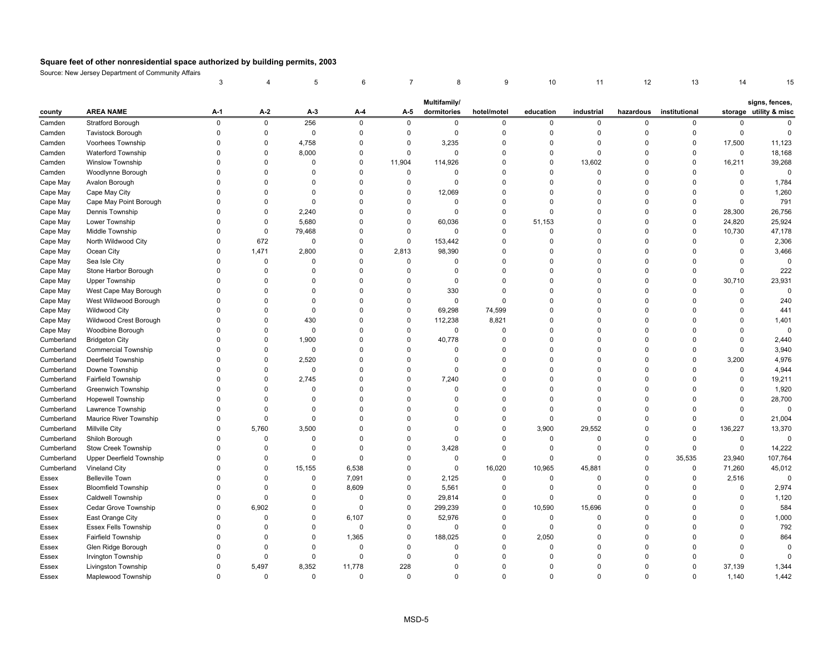|              |                                 | 3           |             | 5           | 6           |             | 8            | 9           | 10             | 11          | 12          | 13            | 14           | 15                     |
|--------------|---------------------------------|-------------|-------------|-------------|-------------|-------------|--------------|-------------|----------------|-------------|-------------|---------------|--------------|------------------------|
|              |                                 |             |             |             |             |             | Multifamily/ |             |                |             |             |               |              | signs, fences,         |
| county       | <b>AREA NAME</b>                | $A-1$       | A-2         | A-3         | A-4         | A-5         | dormitories  | hotel/motel | education      | industrial  | hazardous   | institutional |              | storage utility & misc |
| Camden       | <b>Stratford Borough</b>        | $\mathsf 0$ | $\pmb{0}$   | 256         | $\mathbf 0$ | $\mathbf 0$ | $\mathbf 0$  | 0           | $\mathsf 0$    | $\mathbf 0$ | $\mathbf 0$ | 0             | 0            | $\mathbf 0$            |
| Camden       | <b>Tavistock Borough</b>        | $\mathbf 0$ | $\pmb{0}$   | $\mathsf 0$ | $\Omega$    | $\mathbf 0$ | $\mathbf 0$  | $\mathbf 0$ | $\mathbf 0$    | $\mathbf 0$ | $\Omega$    | $\mathbf 0$   | $\mathbf 0$  | $\mathbf 0$            |
| Camden       | Voorhees Township               | $\Omega$    | $\pmb{0}$   | 4,758       | $\mathbf 0$ | $\mathbf 0$ | 3,235        | 0           | $\mathbf 0$    | $\mathbf 0$ | $\mathbf 0$ | $\mathbf 0$   | 17,500       | 11,123                 |
| Camden       | Waterford Township              | $\Omega$    | $\pmb{0}$   | 8,000       | $\mathbf 0$ | $\mathbf 0$ | $\mathbf 0$  | 0           | $\mathbf 0$    | $\mathbf 0$ | $\mathbf 0$ | $\mathbf 0$   | $\mathbf 0$  | 18,168                 |
| Camden       | <b>Winslow Township</b>         | $\Omega$    | $\mathbf 0$ | $\Omega$    | $\Omega$    | 11,904      | 114,926      | 0           | $\mathbf 0$    | 13,602      | $\Omega$    | $\Omega$      | 16,211       | 39,268                 |
| Camden       | Woodlynne Borough               | $\Omega$    | $\Omega$    | $\Omega$    | $\mathbf 0$ | $\mathbf 0$ | $\mathbf 0$  | $\mathbf 0$ | $\mathbf 0$    | $\mathbf 0$ | $\mathbf 0$ | $\Omega$      | 0            | $\overline{0}$         |
| Cape May     | Avalon Borough                  | $\Omega$    | $\Omega$    | $\Omega$    | $\Omega$    | $\mathsf 0$ | $\mathbf 0$  | $\Omega$    | $\mathbf 0$    | $\Omega$    | $\Omega$    | $\Omega$      | 0            | 1,784                  |
| Cape May     | Cape May City                   | $\Omega$    | $\Omega$    | $\Omega$    | $\Omega$    | $\mathbf 0$ | 12,069       | $\Omega$    | $\Omega$       | $\Omega$    | $\Omega$    | $\Omega$      | $\Omega$     | 1,260                  |
| Cape May     | Cape May Point Borough          | $\Omega$    | $\Omega$    | $\Omega$    | $\Omega$    | $\Omega$    | $\Omega$     | $\Omega$    | $\mathbf 0$    | $\Omega$    | $\Omega$    | $\Omega$      | $\mathbf{0}$ | 791                    |
| Cape May     | Dennis Township                 | $\Omega$    | $\mathbf 0$ | 2,240       | $\Omega$    | $\Omega$    | $\Omega$     | $\Omega$    | $\mathbf 0$    | $\Omega$    | $\Omega$    | $\mathbf 0$   | 28,300       | 26,756                 |
| Cape May     | Lower Township                  | $\Omega$    | $\pmb{0}$   | 5,680       | $\mathbf 0$ | $\mathbf 0$ | 60,036       | $\mathbf 0$ | 51,153         | $\mathbf 0$ | $\Omega$    | 0             | 24,820       | 25,924                 |
| Cape May     | Middle Township                 | $\Omega$    | $\pmb{0}$   | 79,468      | $\Omega$    | $\Omega$    | $\Omega$     | 0           | $\mathbf 0$    | $\Omega$    | $\Omega$    | $\mathsf 0$   | 10,730       | 47,178                 |
| Cape May     | North Wildwood City             | $\Omega$    | 672         | $\mathbf 0$ | $\Omega$    | $\mathbf 0$ | 153,442      | 0           | $\mathbf 0$    | $\Omega$    | $\Omega$    | $\mathbf 0$   | 0            | 2,306                  |
| Cape May     | Ocean City                      | $\Omega$    | 1,471       | 2,800       | $\Omega$    | 2,813       | 98,390       | 0           | $\mathbf 0$    | $\Omega$    | $\Omega$    | $\Omega$      | 0            | 3,466                  |
| Cape May     | Sea Isle City                   | $\Omega$    | $\mathbf 0$ | $\Omega$    | $\Omega$    | $\mathbf 0$ | $\Omega$     | $\Omega$    | $\mathbf 0$    | $\Omega$    | $\Omega$    | $\Omega$      | $\Omega$     | $\mathbf 0$            |
| Cape May     | Stone Harbor Borough            | $\Omega$    | $\mathbf 0$ | $\Omega$    | $\Omega$    | $\Omega$    | $\Omega$     | $\Omega$    | $\Omega$       | $\Omega$    | $\Omega$    | $\Omega$      | $\Omega$     | 222                    |
| Cape May     | <b>Upper Township</b>           | $\Omega$    | $\Omega$    | $\Omega$    | $\Omega$    | $\Omega$    | $\Omega$     | $\Omega$    | $\Omega$       | $\Omega$    | $\Omega$    | $\Omega$      | 30,710       | 23,931                 |
| Cape May     | West Cape May Borough           | $\Omega$    | $\Omega$    | $\Omega$    | $\Omega$    | $\Omega$    | 330          | $\Omega$    | $\mathbf 0$    | $\Omega$    | $\Omega$    | $\Omega$      | $\Omega$     | $\mathbf 0$            |
| Cape May     | West Wildwood Borough           | $\Omega$    | $\Omega$    | $\Omega$    | 0           | $\mathbf 0$ | $\mathbf 0$  | $\Omega$    | $\overline{0}$ | $\mathbf 0$ | $\Omega$    | $\Omega$      | 0            | 240                    |
| Cape May     | <b>Wildwood City</b>            | $\Omega$    | $\Omega$    | $\Omega$    | $\Omega$    | $\mathsf 0$ | 69,298       | 74,599      | $\mathbf 0$    | $\Omega$    | $\Omega$    | $\Omega$      | $\Omega$     | 441                    |
| Cape May     | Wildwood Crest Borough          | $\Omega$    | $\Omega$    | 430         | $\Omega$    | $\mathbf 0$ | 112,238      | 8,821       | $\Omega$       | $\Omega$    | $\Omega$    | $\Omega$      | $\Omega$     | 1,401                  |
| Cape May     | Woodbine Borough                | $\Omega$    | $\mathbf 0$ | $\mathbf 0$ | $\mathbf 0$ | $\mathbf 0$ | $\mathbf 0$  | $\mathbf 0$ | $\mathbf 0$    | $\mathbf 0$ | $\mathbf 0$ | $\Omega$      | 0            | $\mathbf 0$            |
| Cumberland   | <b>Bridgeton City</b>           | $\Omega$    | $\mathbf 0$ | 1,900       | $\Omega$    | $\mathbf 0$ | 40,778       | $\mathbf 0$ | $\mathbf 0$    | $\Omega$    | $\Omega$    | $\Omega$      | $\Omega$     | 2,440                  |
| Cumberland   | <b>Commercial Township</b>      | $\Omega$    | $\pmb{0}$   | $\Omega$    | 0           | $\Omega$    | $\Omega$     | 0           | $\mathbf 0$    | $\Omega$    | $\Omega$    | $\Omega$      | $\Omega$     | 3,940                  |
| Cumberland   | Deerfield Township              | $\Omega$    | $\mathbf 0$ | 2,520       | $\Omega$    | $\Omega$    | $\Omega$     | $\mathbf 0$ | $\mathbf 0$    | $\Omega$    | $\Omega$    | $\Omega$      | 3,200        | 4,976                  |
| Cumberland   | Downe Township                  | $\Omega$    | 0           | $\Omega$    | 0           | $\Omega$    | $\Omega$     | $\Omega$    | $\mathbf 0$    | $\Omega$    | $\Omega$    | $\Omega$      | 0            | 4,944                  |
| Cumberland   | <b>Fairfield Township</b>       | $\Omega$    | $\mathbf 0$ | 2,745       | $\mathbf 0$ | $\Omega$    | 7,240        | $\mathbf 0$ | $\mathbf 0$    | $\Omega$    | $\Omega$    | $\Omega$      | $\Omega$     | 19,211                 |
| Cumberland   | <b>Greenwich Township</b>       | $\Omega$    | $\Omega$    | $\Omega$    | $\Omega$    | $\Omega$    | $\Omega$     | $\Omega$    | $\mathbf 0$    | $\Omega$    | $\Omega$    | $\Omega$      | $\Omega$     | 1,920                  |
| Cumberland   | <b>Hopewell Township</b>        | $\Omega$    | $\mathbf 0$ | $\Omega$    | $\Omega$    | $\Omega$    | $\Omega$     | $\Omega$    | $\mathbf 0$    | $\Omega$    | $\Omega$    | $\Omega$      | $\Omega$     | 28,700                 |
| Cumberland   | Lawrence Township               | $\Omega$    | $\pmb{0}$   | $\Omega$    | $\Omega$    | $\Omega$    | $\Omega$     | 0           | $\mathbf 0$    | $\mathbf 0$ | $\Omega$    | $\Omega$      | $\Omega$     | $\mathbf 0$            |
| Cumberland   | <b>Maurice River Township</b>   | $\Omega$    | $\mathbf 0$ | $\Omega$    | $\Omega$    | $\Omega$    | $\Omega$     | $\mathbf 0$ | $\mathbf 0$    | $\mathbf 0$ | $\Omega$    | $\mathbf 0$   | $\mathbf{0}$ | 21,004                 |
| Cumberland   | Millville City                  | $\Omega$    | 5,760       | 3,500       | $\mathbf 0$ | $\Omega$    | $\Omega$     | $\mathbf 0$ | 3,900          | 29,552      | $\mathbf 0$ | 0             | 136,227      | 13,370                 |
| Cumberland   | Shiloh Borough                  | $\Omega$    | $\mathbf 0$ | $\Omega$    | $\Omega$    | $\Omega$    | $\Omega$     | $\Omega$    | $\mathbf 0$    | $\mathbf 0$ | $\mathbf 0$ | $\Omega$      | 0            | $\mathbf 0$            |
| Cumberland   | Stow Creek Township             | $\Omega$    | 0           | $\Omega$    | $\Omega$    | $\Omega$    | 3,428        | $\Omega$    | 0              | 0           | $\Omega$    | $\mathbf 0$   | $\mathbf 0$  | 14,222                 |
| Cumberland   | <b>Upper Deerfield Township</b> | $\Omega$    | 0           | 0           | $\Omega$    | 0           | 0            | $\Omega$    | 0              | $\mathbf 0$ | $\mathbf 0$ | 35,535        | 23,940       | 107,764                |
| Cumberland   | Vineland City                   | $\Omega$    | $\Omega$    | 15,155      | 6,538       | $\Omega$    | $\mathbf 0$  | 16,020      | 10,965         | 45,881      | $\Omega$    | 0             | 71,260       | 45,012                 |
| Essex        | <b>Belleville Town</b>          | $\Omega$    | 0           | $\Omega$    | 7,091       | 0           | 2,125        | $\Omega$    | $\mathbf 0$    | $\Omega$    | $\Omega$    | 0             | 2,516        | $\Omega$               |
| Essex        | <b>Bloomfield Township</b>      | $\Omega$    | $\mathbf 0$ | $\Omega$    | 8,609       | $\Omega$    | 5,561        | $\Omega$    | $\mathbf 0$    | $\mathbf 0$ | $\Omega$    | $\Omega$      | $\Omega$     | 2,974                  |
| <b>Essex</b> | <b>Caldwell Township</b>        | $\Omega$    | $\mathbf 0$ | $\Omega$    | $\Omega$    | $\Omega$    | 29,814       | $\Omega$    | $\mathbf 0$    | $\mathbf 0$ | $\Omega$    | $\Omega$      | $\mathbf{0}$ | 1,120                  |
| Essex        | Cedar Grove Township            | $\Omega$    | 6,902       | $\Omega$    | $\mathbf 0$ | $\Omega$    | 299,239      | $\mathbf 0$ | 10,590         | 15,696      | $\Omega$    | $\Omega$      | 0            | 584                    |
| Essex        | East Orange City                | $\Omega$    | $\mathbf 0$ | $\Omega$    | 6,107       | $\mathbf 0$ | 52,976       | 0           | $\mathbf 0$    | $\mathbf 0$ | $\mathbf 0$ | $\Omega$      | 0            | 1,000                  |
| Essex        | <b>Essex Fells Township</b>     | $\Omega$    | 0           | $\Omega$    | $\mathbf 0$ | $\mathbf 0$ | 0            | 0           | $\mathbf 0$    | 0           | $\Omega$    | $\Omega$      | $\mathbf{0}$ | 792                    |
| Essex        | Fairfield Township              | $\Omega$    | $\mathbf 0$ | $\Omega$    | 1,365       | $\mathbf 0$ | 188,025      | 0           | 2,050          | $\mathbf 0$ | $\mathbf 0$ | $\Omega$      | 0            | 864                    |
| Essex        | Glen Ridge Borough              | $\Omega$    | $\Omega$    | $\Omega$    | $\mathbf 0$ | $\Omega$    | $\Omega$     | $\mathbf 0$ | $\mathbf 0$    | $\Omega$    | $\Omega$    | $\Omega$      | $\Omega$     | $\overline{0}$         |
| Essex        | <b>Irvington Township</b>       | $\Omega$    | 0           | 0           | $\Omega$    | $\Omega$    | $\Omega$     | $\Omega$    | $\mathbf 0$    | $\Omega$    | $\Omega$    | $\Omega$      | $\Omega$     | $\Omega$               |
| Essex        | Livingston Township             | $\Omega$    | 5,497       | 8,352       | 11,778      | 228         | $\Omega$     | $\Omega$    | $\Omega$       | $\Omega$    | $\Omega$    | $\Omega$      | 37,139       | 1,344                  |
| Essex        | Maplewood Township              | $\Omega$    | $\Omega$    | $\Omega$    | $\Omega$    | $\Omega$    | $\Omega$     | $\Omega$    | $\Omega$       | $\Omega$    | $\Omega$    | $\Omega$      | 1,140        | 1,442                  |
|              |                                 |             |             |             |             |             |              |             |                |             |             |               |              |                        |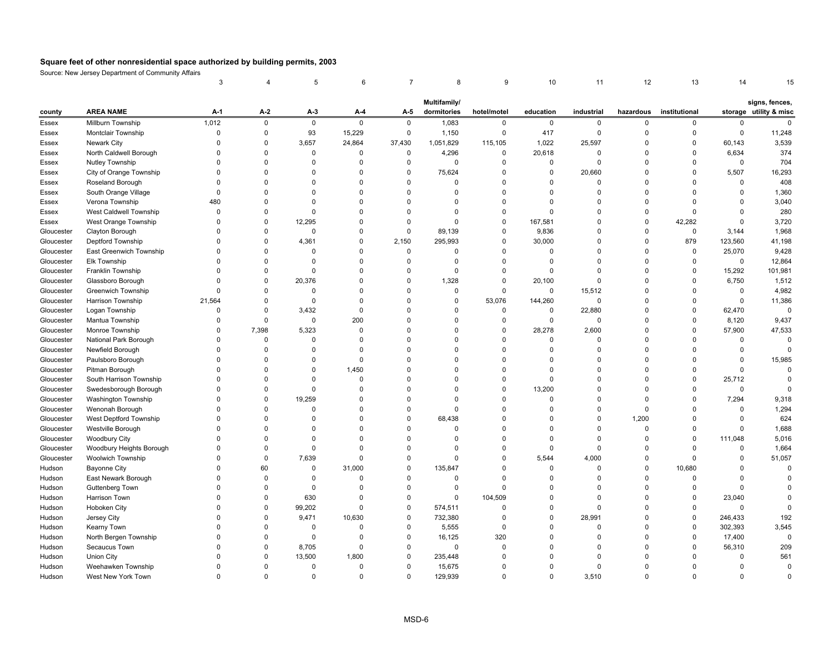|            |                           | 3              |             | 5           | 6           | 7           | 8            | 9           | 10          | 11          | 12          | 13            | 14          |                        |
|------------|---------------------------|----------------|-------------|-------------|-------------|-------------|--------------|-------------|-------------|-------------|-------------|---------------|-------------|------------------------|
|            |                           |                |             |             |             |             | Multifamily/ |             |             |             |             |               |             | signs, fences,         |
| county     | <b>AREA NAME</b>          | $A-1$          | $A-2$       | A-3         | $A-4$       | A-5         | dormitories  | hotel/motel | education   | industrial  | hazardous   | institutional |             | storage utility & misc |
| Essex      | Millburn Township         | 1,012          | $\mathsf 0$ | $\mathsf 0$ | 0           | $\mathbf 0$ | 1,083        | $\mathbf 0$ | $\mathbf 0$ | $\mathbf 0$ | $\mathbf 0$ | 0             | 0           | $\pmb{0}$              |
| Essex      | Montclair Township        | $\mathbf 0$    | $\mathsf 0$ | 93          | 15,229      | $\mathbf 0$ | 1,150        | $\pmb{0}$   | 417         | $\pmb{0}$   | $\mathbf 0$ | $\mathbf 0$   | 0           | 11,248                 |
| Essex      | Newark City               | $\mathbf 0$    | $\mathbf 0$ | 3,657       | 24,864      | 37,430      | 1,051,829    | 115,105     | 1,022       | 25,597      | $\Omega$    | 0             | 60,143      | 3,539                  |
| Essex      | North Caldwell Borough    | $\Omega$       | $\mathbf 0$ | 0           | 0           | $\mathsf 0$ | 4,296        | $\pmb{0}$   | 20,618      | $\mathbf 0$ | $\Omega$    | $\mathbf 0$   | 6,634       | 374                    |
| Essex      | Nutley Township           | $\Omega$       | $\Omega$    | $\Omega$    | $\Omega$    | $\mathbf 0$ | $\Omega$     | $\mathbf 0$ | 0           | $\Omega$    | $\Omega$    | $\Omega$      | $\mathbf 0$ | 704                    |
| Essex      | City of Orange Township   | $\mathbf 0$    | $\mathbf 0$ | $\Omega$    | 0           | $\mathsf 0$ | 75,624       | $\mathbf 0$ | $\mathbf 0$ | 20,660      | $\Omega$    | $\Omega$      | 5,507       | 16,293                 |
| Essex      | Roseland Borough          | $\Omega$       | $\Omega$    | $\Omega$    | $\Omega$    | $\mathsf 0$ | $\Omega$     | $\Omega$    | $\Omega$    | $\mathbf 0$ | $\Omega$    | $\Omega$      | 0           | 408                    |
| Essex      | South Orange Village      | $\Omega$       | $\Omega$    | $\Omega$    | $\Omega$    | $\mathbf 0$ | $\Omega$     | $\Omega$    | $\Omega$    | $\Omega$    | $\Omega$    | $\Omega$      | 0           | 1,360                  |
| Essex      | Verona Township           | 480            | $\Omega$    | $\Omega$    | $\Omega$    | $\mathbf 0$ | $\Omega$     | $\Omega$    | $\Omega$    | $\Omega$    | $\Omega$    | $\Omega$      | 0           | 3,040                  |
| Essex      | West Caldwell Township    | $\Omega$       | $\Omega$    | $\Omega$    | $\Omega$    | $\mathbf 0$ | $\Omega$     | $\mathbf 0$ | $\Omega$    | $\Omega$    | $\Omega$    | $\Omega$      | $\mathbf 0$ | 280                    |
| Essex      | West Orange Township      | $\overline{0}$ | $\mathbf 0$ | 12,295      | $\Omega$    | $\mathsf 0$ | $\Omega$     | $\pmb{0}$   | 167,581     | 0           | $\Omega$    | 42,282        | 0           | 3,720                  |
| Gloucester | Clayton Borough           | $\mathbf 0$    | $\mathsf 0$ | $\mathsf 0$ | $\Omega$    | $\mathsf 0$ | 89,139       | $\pmb{0}$   | 9,836       | $\Omega$    | $\Omega$    | $\mathsf 0$   | 3,144       | 1,968                  |
| Gloucester | <b>Deptford Township</b>  | $\Omega$       | $\Omega$    | 4,361       | $\Omega$    | 2,150       | 295,993      | $\mathbf 0$ | 30,000      | $\Omega$    | $\Omega$    | 879           | 123,560     | 41,198                 |
| Gloucester | East Greenwich Township   | $\Omega$       | $\mathbf 0$ | $\Omega$    | $\Omega$    | $\mathbf 0$ | $\Omega$     | $\mathbf 0$ | 0           | $\Omega$    | $\mathbf 0$ | 0             | 25,070      | 9,428                  |
| Gloucester | Elk Township              | $\Omega$       | $\Omega$    | $\Omega$    | $\Omega$    | $\mathbf 0$ | $\Omega$     | $\mathbf 0$ | $\mathbf 0$ | $\Omega$    | $\Omega$    | $\mathbf 0$   | $\mathbf 0$ | 12,864                 |
| Gloucester | Franklin Township         | $\Omega$       | $\Omega$    | $\Omega$    | $\Omega$    | $\mathbf 0$ | $\Omega$     | $\mathbf 0$ | $\Omega$    | $\Omega$    | $\Omega$    | 0             | 15,292      | 101,981                |
| Gloucester | Glassboro Borough         | $\Omega$       | $\Omega$    | 20,376      | $\Omega$    | $\mathsf 0$ | 1,328        | $\mathbf 0$ | 20,100      | $\Omega$    | $\Omega$    | $\Omega$      | 6,750       | 1,512                  |
| Gloucester | <b>Greenwich Township</b> | $\Omega$       | $\Omega$    | $\Omega$    | $\Omega$    | $\mathbf 0$ | $\Omega$     | $\mathbf 0$ | $\Omega$    | 15,512      | $\Omega$    | $\Omega$      | 0           | 4,982                  |
| Gloucester | Harrison Township         | 21,564         | $\mathbf 0$ | $\mathbf 0$ | 0           | $\mathsf 0$ | $\Omega$     | 53,076      | 144,260     | $\mathbf 0$ | $\Omega$    | $\mathbf 0$   | 0           | 11,386                 |
| Gloucester | Logan Township            | $\Omega$       | $\mathbf 0$ | 3,432       | $\mathbf 0$ | $\mathsf 0$ | $\Omega$     | $\pmb{0}$   | 0           | 22,880      | $\Omega$    | $\mathbf 0$   | 62,470      | $\mathbf 0$            |
| Gloucester | Mantua Township           | $\Omega$       | $\mathbf 0$ | $\mathbf 0$ | 200         | $\mathbf 0$ | $\Omega$     | $\mathbf 0$ | $\mathbf 0$ | $\mathbf 0$ | $\Omega$    | $\Omega$      | 8,120       | 9,437                  |
| Gloucester | Monroe Township           | $\mathbf 0$    | 7,398       | 5,323       | $\mathbf 0$ | $\mathbf 0$ | $\Omega$     | $\mathbf 0$ | 28,278      | 2,600       | $\Omega$    | $\mathbf 0$   | 57,900      | 47,533                 |
| Gloucester | National Park Borough     | $\Omega$       | $\pmb{0}$   | $\mathbf 0$ | $\Omega$    | $\mathbf 0$ | $\Omega$     | $\pmb{0}$   | $\mathbf 0$ | $\mathbf 0$ | $\Omega$    | $\Omega$      | 0           | $\mathbf 0$            |
| Gloucester | Newfield Borough          | 0              | $\Omega$    | $\Omega$    | $\Omega$    | $\mathbf 0$ | $\Omega$     | $\mathbf 0$ | $\Omega$    | 0           | $\Omega$    | $\Omega$      | 0           | $\Omega$               |
| Gloucester | Paulsboro Borough         | $\Omega$       | $\Omega$    | $\Omega$    | 0           | $\mathbf 0$ | $\Omega$     | $\Omega$    | $\Omega$    | $\Omega$    | $\Omega$    | $\Omega$      | 0           | 15,985                 |
| Gloucester | Pitman Borough            | $\Omega$       | $\Omega$    | $\Omega$    | 1.450       | $\mathbf 0$ | $\Omega$     | $\Omega$    | $\Omega$    | 0           | $\Omega$    | $\Omega$      | $\mathbf 0$ | $\Omega$               |
| Gloucester | South Harrison Township   | $\Omega$       | $\Omega$    | $\Omega$    | 0           | $\Omega$    | $\Omega$     | $\mathbf 0$ | $\mathbf 0$ | $\Omega$    | $\Omega$    | $\mathbf 0$   | 25,712      | $\pmb{0}$              |
| Gloucester | Swedesborough Borough     | $\Omega$       | $\Omega$    | $\mathbf 0$ | $\Omega$    | $\mathbf 0$ | $\Omega$     | $\mathbf 0$ | 13,200      | $\Omega$    | $\Omega$    | $\Omega$      | $\mathsf 0$ | $\Omega$               |
| Gloucester | Washington Township       | $\mathbf 0$    | $\Omega$    | 19,259      | $\Omega$    | $\mathbf 0$ | $\Omega$     | $\mathbf 0$ | $\Omega$    | $\Omega$    | $\Omega$    | $\mathbf 0$   | 7,294       | 9,318                  |
| Gloucester | Wenonah Borough           | $\Omega$       | $\mathbf 0$ | $\mathbf 0$ | $\Omega$    | $\mathsf 0$ | $\Omega$     | $\mathbf 0$ | $\Omega$    | $\mathbf 0$ | $\Omega$    | $\Omega$      | 0           | 1,294                  |
| Gloucester | West Deptford Township    | $\Omega$       | $\Omega$    | $\Omega$    | $\Omega$    | $\mathsf 0$ | 68,438       | $\mathbf 0$ | $\mathbf 0$ | $\Omega$    | 1,200       | $\Omega$      | 0           | 624                    |
| Gloucester | Westville Borough         | $\Omega$       | $\mathbf 0$ | $\Omega$    | $\Omega$    | $\mathbf 0$ | $\Omega$     | $\mathbf 0$ | $\Omega$    | $\mathbf 0$ | $\mathbf 0$ | $\mathbf 0$   | 0           | 1,688                  |
| Gloucester | <b>Woodbury City</b>      | $\Omega$       | $\Omega$    | $\Omega$    | $\Omega$    | $\mathbf 0$ | $\Omega$     | $\mathbf 0$ | 0           | $\Omega$    | $\Omega$    | $\mathbf 0$   | 111,048     | 5,016                  |
| Gloucester | Woodbury Heights Borough  | $\Omega$       | $\Omega$    | $\mathbf 0$ | $\Omega$    | $\mathbf 0$ | $\Omega$     | $\mathbf 0$ | 0           | $\Omega$    | $\Omega$    | $\Omega$      | 0           | 1,664                  |
| Gloucester | Woolwich Township         | $\Omega$       | $\mathbf 0$ | 7,639       | 0           | $\mathbf 0$ | $\Omega$     | $\mathbf 0$ | 5,544       | 4,000       | $\mathbf 0$ | $\Omega$      | 0           | 51,057                 |
| Hudson     | <b>Bayonne City</b>       | $\Omega$       | 60          | $\mathbf 0$ | 31,000      | $\mathsf 0$ | 135,847      | $\Omega$    | $\mathbf 0$ | $\Omega$    | $\Omega$    | 10,680        | 0           | $\mathbf 0$            |
| Hudson     | East Newark Borough       | $\Omega$       | $\mathbf 0$ | $\Omega$    | $\Omega$    | $\mathbf 0$ | $\Omega$     | $\Omega$    | $\Omega$    | $\Omega$    | $\Omega$    | $\Omega$      | 0           | $\Omega$               |
| Hudson     | Guttenberg Town           | $\Omega$       | $\Omega$    | $\Omega$    | $\Omega$    | $\mathsf 0$ | $\Omega$     | $\mathbf 0$ | $\Omega$    | $\Omega$    | $\Omega$    | $\mathbf 0$   | $\mathbf 0$ | $\Omega$               |
| Hudson     | Harrison Town             | $\Omega$       | $\Omega$    | 630         | $\Omega$    | $\mathbf 0$ | $\Omega$     | 104,509     | $\Omega$    | $\Omega$    | $\Omega$    | $\Omega$      | 23,040      | $\overline{0}$         |
| Hudson     | Hoboken City              | $\mathbf 0$    | $\mathbf 0$ | 99,202      | 0           | $\mathsf 0$ | 574,511      | $\mathbf 0$ | 0           | 0           | $\Omega$    | $\mathbf 0$   | 0           | $\mathbf 0$            |
| Hudson     | Jersey City               | $\Omega$       | $\mathbf 0$ | 9,471       | 10,630      | $\mathbf 0$ | 732,380      | $\mathbf 0$ | 0           | 28,991      | $\Omega$    | $\mathbf 0$   | 246,433     | 192                    |
| Hudson     | Kearny Town               | $\Omega$       | $\Omega$    | $\mathsf 0$ | 0           | $\mathsf 0$ | 5,555        | 0           | $\Omega$    | $\Omega$    | $\Omega$    | $\mathbf 0$   | 302,393     | 3,545                  |
| Hudson     | North Bergen Township     | $\mathbf 0$    | $\mathbf 0$ | 0           | 0           | $\mathbf 0$ | 16,125       | 320         | $\Omega$    | 0           | $\Omega$    | $\mathbf 0$   | 17,400      | $\mathbf 0$            |
| Hudson     | Secaucus Town             | $\Omega$       | 0           | 8,705       | $\mathbf 0$ | $\mathsf 0$ | $\Omega$     | $\Omega$    | $\Omega$    | $\Omega$    | $\Omega$    | $\Omega$      | 56,310      | 209                    |
| Hudson     | <b>Union City</b>         | $\Omega$       | $\Omega$    | 13,500      | 1,800       | $\mathbf 0$ | 235,448      | $\Omega$    | $\Omega$    | 0           | $\Omega$    | $\Omega$      | $\mathbf 0$ | 561                    |
| Hudson     | Weehawken Township        | $\Omega$       | $\Omega$    | $\Omega$    | $\Omega$    | $\mathbf 0$ | 15,675       | $\Omega$    | $\Omega$    | $\Omega$    | $\Omega$    | $\Omega$      | 0           | $\pmb{0}$              |
| Hudson     | West New York Town        | $\Omega$       | $\Omega$    | $\Omega$    | $\Omega$    | $\mathbf 0$ | 129,939      | $\Omega$    | $\Omega$    | 3.510       | $\Omega$    | $\Omega$      | $\Omega$    | $\Omega$               |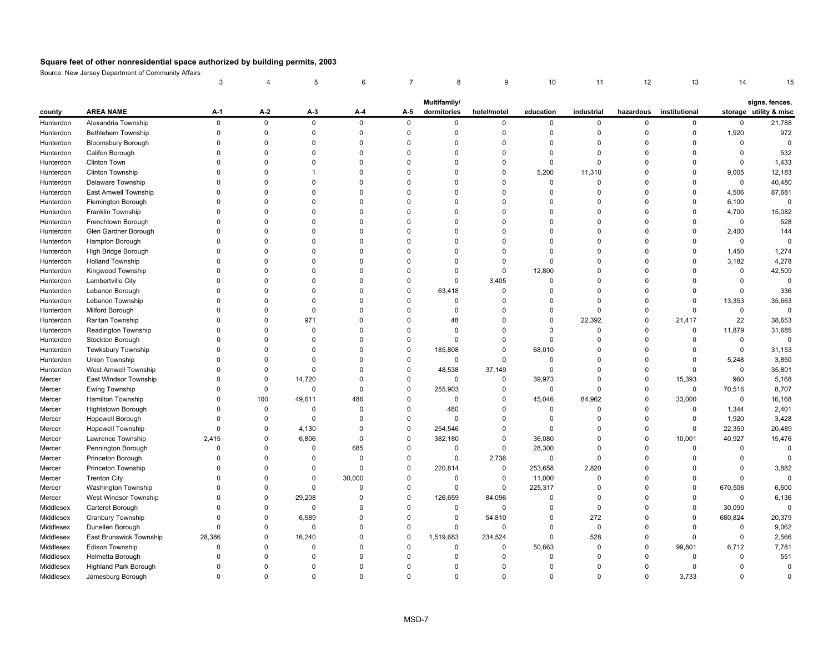|           |                              | 3           |             | 5            | 6           |             | 8            | 9           | 10          | 11          | 12          | 13            | 14          |                        |
|-----------|------------------------------|-------------|-------------|--------------|-------------|-------------|--------------|-------------|-------------|-------------|-------------|---------------|-------------|------------------------|
|           |                              |             |             |              |             |             | Multifamily/ |             |             |             |             |               |             | signs, fences,         |
| county    | <b>AREA NAME</b>             | $A-1$       | $A-2$       | $A-3$        | A-4         | A-5         | dormitories  | hotel/motel | education   | industrial  | hazardous   | institutional |             | storage utility & misc |
| Hunterdon | Alexandria Township          | $\mathsf 0$ | $\mathsf 0$ | $\mathsf{O}$ | 0           | $\mathbf 0$ | $\mathbf 0$  | $\mathbf 0$ | $\mathbf 0$ | $\mathbf 0$ | $\mathbf 0$ | 0             | 0           | 21,788                 |
| Hunterdon | Bethlehem Township           | $\mathsf 0$ | $\mathbf 0$ | $\mathbf 0$  | $\mathbf 0$ | $\mathbf 0$ | $\mathbf 0$  | $\Omega$    | 0           | 0           | $\mathbf 0$ | $\mathbf 0$   | 1,920       | 972                    |
| Hunterdon | <b>Bloomsbury Borough</b>    | $\Omega$    | $\Omega$    | $\Omega$     | $\Omega$    | $\mathbf 0$ | $\mathbf 0$  | $\Omega$    | $\Omega$    | $\Omega$    | $\mathbf 0$ | $\Omega$      | $\Omega$    | $\mathbf 0$            |
| Hunterdon | Califon Borough              | $\mathbf 0$ | $\mathbf 0$ | $\Omega$     | $\mathbf 0$ | $\mathbf 0$ | $\Omega$     | $\mathbf 0$ | $\mathbf 0$ | $\mathbf 0$ | $\mathbf 0$ | $\Omega$      | 0           | 532                    |
| Hunterdon | Clinton Town                 | $\Omega$    | $\Omega$    | $\Omega$     | $\Omega$    | $\mathbf 0$ | $\Omega$     | $\mathbf 0$ | 0           | $\Omega$    | $\mathbf 0$ | $\Omega$      | $\mathsf 0$ | 1,433                  |
| Hunterdon | <b>Clinton Township</b>      | $\Omega$    | $\Omega$    | 1            | $\Omega$    | $\Omega$    | $\Omega$     | $\Omega$    | 5,200       | 11,310      | $\mathbf 0$ | $\Omega$      | 9,005       | 12,183                 |
| Hunterdon | Delaware Township            | $\Omega$    | $\Omega$    | $\Omega$     | $\Omega$    | $\mathbf 0$ | $\mathbf 0$  | $\mathbf 0$ | 0           | $\mathbf 0$ | $\mathbf 0$ | $\Omega$      | 0           | 40,480                 |
| Hunterdon | East Amwell Township         | $\Omega$    | $\Omega$    | $\Omega$     | $\Omega$    | $\Omega$    | $\Omega$     | $\mathbf 0$ | $\mathbf 0$ | $\mathbf 0$ | $\mathbf 0$ | $\Omega$      | 4,506       | 87,681                 |
| Hunterdon | Flemington Borough           | $\Omega$    | $\Omega$    | $\Omega$     | $\Omega$    | $\Omega$    | $\Omega$     | $\Omega$    | $\Omega$    | $\Omega$    | $\mathbf 0$ | $\Omega$      | 6,100       | $\mathbf 0$            |
| Hunterdon | Franklin Township            | $\Omega$    | $\Omega$    | $\Omega$     | $\Omega$    | $\mathbf 0$ | $\Omega$     | $\Omega$    | $\Omega$    | $\Omega$    | $\Omega$    | $\Omega$      | 4,700       | 15,082                 |
| Hunterdon | Frenchtown Borough           | $\Omega$    | $\Omega$    | $\Omega$     | $\Omega$    | $\mathbf 0$ | $\Omega$     | $\Omega$    | $\Omega$    | $\Omega$    | $\mathbf 0$ | $\Omega$      | $\mathbf 0$ | 528                    |
| Hunterdon | Glen Gardner Borough         | $\Omega$    | $\Omega$    | $\Omega$     | $\Omega$    | $\mathbf 0$ | $\Omega$     | $\Omega$    | $\Omega$    | $\Omega$    | $\mathbf 0$ | $\Omega$      | 2,400       | 144                    |
| Hunterdon | Hampton Borough              | $\mathbf 0$ | $\Omega$    | $\Omega$     | $\Omega$    | $\mathbf 0$ | $\Omega$     | $\Omega$    | $\Omega$    | 0           | $\mathbf 0$ | $\Omega$      | 0           | $\mathbf 0$            |
| Hunterdon | High Bridge Borough          | $\Omega$    | $\Omega$    | $\Omega$     | $\Omega$    | $\mathbf 0$ | $\Omega$     | $\Omega$    | $\Omega$    | $\Omega$    | $\mathbf 0$ | $\Omega$      | 1,450       | 1,274                  |
| Hunterdon | <b>Holland Township</b>      | $\Omega$    | $\Omega$    | $\Omega$     | $\Omega$    | $\mathbf 0$ | $\Omega$     | $\mathbf 0$ | $\mathbf 0$ | $\Omega$    | $\mathbf 0$ | $\Omega$      | 3,182       | 4,278                  |
| Hunterdon | Kingwood Township            | $\Omega$    | $\Omega$    | $\Omega$     | $\Omega$    | $\mathbf 0$ | $\Omega$     | $\mathbf 0$ | 12,800      | 0           | $\mathbf 0$ | $\Omega$      | 0           | 42,509                 |
| Hunterdon | Lambertville City            | $\Omega$    | $\Omega$    | $\Omega$     | $\Omega$    | $\Omega$    | $\mathbf 0$  | 3,405       | $\Omega$    | $\Omega$    | $\mathbf 0$ | $\Omega$      | $\Omega$    | $\pmb{0}$              |
| Hunterdon | Lebanon Borough              | $\Omega$    | $\Omega$    | $\Omega$     | $\Omega$    | $\mathbf 0$ | 63,418       | $\Omega$    | $\Omega$    | $\Omega$    | $\mathbf 0$ | $\Omega$      | $\Omega$    | 336                    |
| Hunterdon | Lebanon Township             | $\Omega$    | $\Omega$    | $\Omega$     | 0           | $\mathbf 0$ | 0            | $\Omega$    | $\Omega$    | $\Omega$    | $\mathbf 0$ | $\Omega$      | 13,353      | 35,663                 |
| Hunterdon | Milford Borough              | $\Omega$    | $\Omega$    | $\mathbf 0$  | $\Omega$    | $\mathbf 0$ | $\mathbf 0$  | $\Omega$    | $\Omega$    | $\Omega$    | $\mathbf 0$ | $\Omega$      | $\mathbf 0$ | $\mathbf 0$            |
| Hunterdon | Raritan Township             | $\Omega$    | $\Omega$    | 971          | $\Omega$    | $\mathbf 0$ | 48           | $\Omega$    | $\Omega$    | 22,392      | $\mathbf 0$ | 21,417        | 22          | 38,653                 |
| Hunterdon | Readington Township          | $\Omega$    | $\Omega$    | $\mathbf 0$  | $\Omega$    | $\mathbf 0$ | $\mathbf 0$  | $\Omega$    | 3           | 0           | $\mathbf 0$ | 0             | 11,879      | 31,685                 |
| Hunterdon | Stockton Borough             | $\Omega$    | $\Omega$    | $\Omega$     | $\Omega$    | $\mathbf 0$ | $\mathbf 0$  | $\Omega$    | $\mathbf 0$ | $\Omega$    | $\mathbf 0$ | $\mathbf 0$   | $\mathsf 0$ | $\pmb{0}$              |
| Hunterdon | Tewksbury Township           | $\Omega$    | $\Omega$    | $\Omega$     | $\Omega$    | $\mathbf 0$ | 185,808      | $\Omega$    | 68,010      | $\Omega$    | $\mathbf 0$ | $\Omega$      | 0           | 31,153                 |
| Hunterdon | Union Township               | $\Omega$    | $\Omega$    | $\Omega$     | $\mathbf 0$ | $\mathbf 0$ | $\mathbf 0$  | $\pmb{0}$   | $\mathbf 0$ | 0           | $\mathbf 0$ | $\Omega$      | 5,248       | 3,850                  |
| Hunterdon | West Amwell Township         | $\Omega$    | $\Omega$    | $\mathbf 0$  | $\Omega$    | $\mathbf 0$ | 48,538       | 37,149      | $\mathbf 0$ | $\mathbf 0$ | $\mathbf 0$ | $\Omega$      | 0           | 35,801                 |
| Mercer    | East Windsor Township        | $\Omega$    | $\Omega$    | 14,720       | $\Omega$    | $\pmb{0}$   | $\mathbf 0$  | $\pmb{0}$   | 39,973      | $\Omega$    | $\mathbf 0$ | 15,393        | 960         | 5,168                  |
| Mercer    | <b>Ewing Township</b>        | $\Omega$    | $\mathbf 0$ | $\mathbf 0$  | $\mathbf 0$ | $\pmb{0}$   | 255,903      | $\mathbf 0$ | $\mathbf 0$ | $\mathbf 0$ | $\mathbf 0$ | 0             | 70,516      | 8,707                  |
| Mercer    | Hamilton Township            | $\Omega$    | 100         | 49,611       | 486         | $\mathbf 0$ | $\mathbf 0$  | $\mathbf 0$ | 45,046      | 84,962      | $\mathbf 0$ | 33,000        | $\mathsf 0$ | 16,168                 |
| Mercer    | Hightstown Borough           | $\Omega$    | $\mathbf 0$ | $\Omega$     | $\Omega$    | $\mathbf 0$ | 480          | $\Omega$    | 0           | $\mathbf 0$ | $\mathbf 0$ | $\Omega$      | 1,344       | 2,401                  |
| Mercer    | Hopewell Borough             | $\Omega$    | $\mathbf 0$ | $\mathbf 0$  | $\Omega$    | $\mathbf 0$ | $\Omega$     | $\mathbf 0$ | $\mathbf 0$ | $\Omega$    | $\mathbf 0$ | $\mathbf 0$   | 1,920       | 3,428                  |
| Mercer    | <b>Hopewell Township</b>     | $\mathbf 0$ | $\Omega$    | 4,130        | $\Omega$    | $\mathbf 0$ | 254,546      | $\Omega$    | $\mathbf 0$ | $\Omega$    | $\mathbf 0$ | $\mathbf 0$   | 22,350      | 20,489                 |
| Mercer    | Lawrence Township            | 2,415       | $\mathbf 0$ | 6,806        | $\mathbf 0$ | $\mathbf 0$ | 382,180      | $\pmb{0}$   | 36,080      | 0           | $\mathbf 0$ | 10,001        | 40,927      | 15,476                 |
| Mercer    | Pennington Borough           | $\mathsf 0$ | $\Omega$    | $\mathbf 0$  | 685         | $\pmb{0}$   | $\mathbf 0$  | $\pmb{0}$   | 28,300      | $\mathbf 0$ | $\mathbf 0$ | $\mathbf 0$   | 0           | $\Omega$               |
| Mercer    | Princeton Borough            | $\Omega$    | $\Omega$    | $\Omega$     | $\Omega$    | $\mathbf 0$ | $\mathbf 0$  | 2,736       | 0           | $\Omega$    | $\mathbf 0$ | 0             | $\mathbf 0$ | $\mathbf 0$            |
| Mercer    | Princeton Township           | $\mathbf 0$ | $\Omega$    | $\mathbf 0$  | $\mathbf 0$ | $\mathbf 0$ | 220,814      | $\mathbf 0$ | 253,658     | 2,820       | $\mathbf 0$ | $\Omega$      | 0           | 3,882                  |
| Mercer    | <b>Trenton City</b>          | $\Omega$    | $\Omega$    | $\mathbf 0$  | 30,000      | $\mathbf 0$ | $\mathbf 0$  | $\mathbf 0$ | 11,000      | $\Omega$    | $\mathbf 0$ | $\mathbf 0$   | $\Omega$    | $\mathbf 0$            |
| Mercer    | Washington Township          | $\Omega$    | $\Omega$    | $\Omega$     | $\Omega$    | $\mathbf 0$ | 0            | $\pmb{0}$   | 225,317     | $\Omega$    | $\mathbf 0$ | 0             | 670,506     | 6,600                  |
| Mercer    | West Windsor Township        | $\Omega$    | $\mathbf 0$ | 29,208       | 0           | $\mathbf 0$ | 126,659      | 84,096      | 0           | 0           | $\mathbf 0$ | $\mathbf 0$   | 0           | 6,136                  |
| Middlesex | Carteret Borough             | $\Omega$    | $\Omega$    | $\mathbf 0$  | $\Omega$    | $\mathbf 0$ | 0            | $\mathbf 0$ | $\Omega$    | $\mathbf 0$ | $\mathbf 0$ | $\mathbf 0$   | 30,090      | $\mathbf 0$            |
| Middlesex | Cranbury Township            | $\Omega$    | $\Omega$    | 6,589        | $\Omega$    | $\mathbf 0$ | $\mathbf 0$  | 54,810      | $\Omega$    | 272         | $\mathbf 0$ | $\mathbf 0$   | 680,824     | 20,379                 |
| Middlesex | Dunellen Borough             | $\mathbf 0$ | $\mathbf 0$ | $\mathbf 0$  | $\Omega$    | $\mathbf 0$ | $\mathbf 0$  | $\mathbf 0$ | $\mathbf 0$ | $\mathbf 0$ | $\mathbf 0$ | $\Omega$      | $\mathsf 0$ | 9,062                  |
| Middlesex | East Brunswick Township      | 28,386      | $\Omega$    | 16,240       | $\Omega$    | $\mathbf 0$ | 1,519,683    | 234,524     | $\mathbf 0$ | 528         | $\mathbf 0$ | $\Omega$      | $\mathsf 0$ | 2,566                  |
| Middlesex | <b>Edison Township</b>       | $\mathbf 0$ | $\Omega$    | 0            | $\Omega$    | $\mathbf 0$ | $\mathbf 0$  | $\mathbf 0$ | 50,663      | $\Omega$    | $\mathbf 0$ | 99,801        | 6,712       | 7,781                  |
| Middlesex | Helmetta Borough             | $\Omega$    | $\Omega$    | $\Omega$     | 0           | $\mathbf 0$ | $\mathbf 0$  | $\mathbf 0$ | 0           | $\mathbf 0$ | $\mathbf 0$ | $\Omega$      | 0           | 551                    |
| Middlesex | <b>Highland Park Borough</b> | $\Omega$    | $\Omega$    | $\Omega$     | $\Omega$    | $\Omega$    | $\Omega$     | $\mathbf 0$ | $\Omega$    | $\Omega$    | $\mathbf 0$ | $\Omega$      | $\mathbf 0$ | $\mathbf 0$            |
| Middlesex | Jamesburg Borough            | $\Omega$    | $\Omega$    | $\Omega$     | $\Omega$    | $\Omega$    | $\Omega$     | $\Omega$    | $\Omega$    | $\Omega$    | $\Omega$    | 3,733         | $\Omega$    | $\Omega$               |
|           |                              |             |             |              |             |             |              |             |             |             |             |               |             |                        |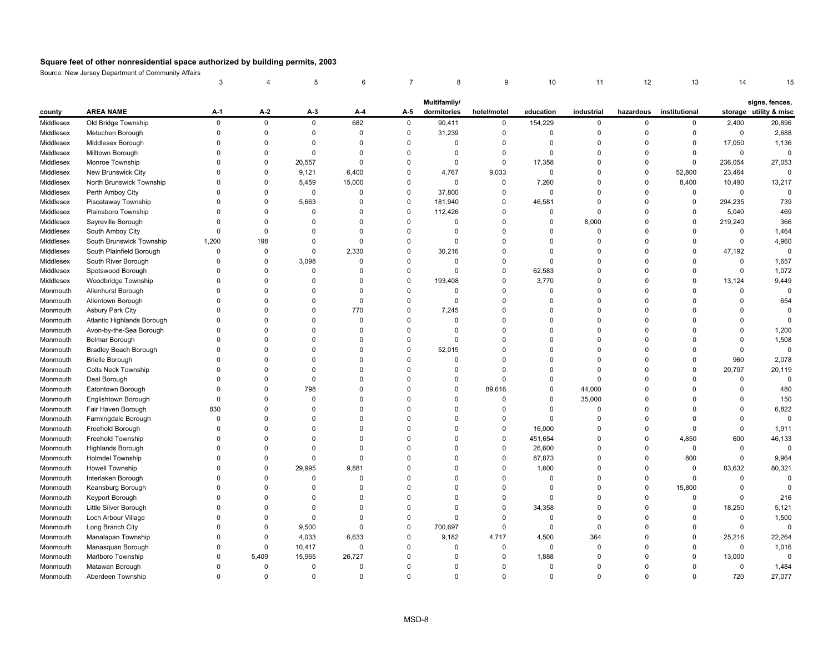|           |                                         | 3           |             | 5           | 6           |                | 8                           | 9            | 10             | 11          | 12          | 13            | 14           |                                          |
|-----------|-----------------------------------------|-------------|-------------|-------------|-------------|----------------|-----------------------------|--------------|----------------|-------------|-------------|---------------|--------------|------------------------------------------|
|           |                                         |             |             |             |             |                |                             |              |                |             |             |               |              |                                          |
| county    | <b>AREA NAME</b>                        | A-1         | A-2         | A-3         | A-4         | A-5            | Multifamily/<br>dormitories | hotel/motel  | education      | industrial  | hazardous   | institutional |              | signs, fences,<br>storage utility & misc |
| Middlesex | Old Bridge Township                     | $\mathsf 0$ | $\mathsf 0$ | $\mathsf 0$ | 682         | $\mathbf 0$    | 90,411                      | $\mathsf 0$  | 154,229        | $\mathbf 0$ | $\mathbf 0$ | 0             | 2,400        | 20,896                                   |
| Middlesex | Metuchen Borough                        | $\Omega$    | $\mathsf 0$ | 0           | $\mathbf 0$ | $\pmb{0}$      | 31,239                      | $\mathsf 0$  | $\mathsf 0$    | $\mathbf 0$ | $\Omega$    | $\mathbf 0$   | $\mathsf{O}$ | 2,688                                    |
| Middlesex | Middlesex Borough                       | $\mathbf 0$ | $\mathbf 0$ | 0           | $\mathbf 0$ | $\mathbf 0$    | $\mathbf 0$                 | 0            | $\mathbf 0$    | $\mathbf 0$ | $\mathbf 0$ | 0             | 17,050       | 1,136                                    |
| Middlesex | Milltown Borough                        | $\Omega$    | $\mathbf 0$ | 0           | $\mathbf 0$ | $\pmb{0}$      | $\mathbf 0$                 | $\mathsf 0$  | $\mathbf 0$    | $\mathbf 0$ | $\mathbf 0$ | 0             | $\mathbf 0$  | $\mathbf 0$                              |
| Middlesex | Monroe Township                         | $\mathbf 0$ | $\mathbf 0$ | 20,557      | $\Omega$    | $\mathbf 0$    | 0                           | 0            | 17,358         | $\Omega$    | $\Omega$    | $\mathbf 0$   | 236,054      | 27,053                                   |
| Middlesex | New Brunswick City                      | $\Omega$    | $\mathbf 0$ | 9,121       | 6,400       | $\pmb{0}$      | 4,767                       | 9,033        | $\overline{0}$ | $\Omega$    | $\mathbf 0$ | 52,800        | 23,464       | $\mathbf 0$                              |
| Middlesex | North Brunswick Township                | $\Omega$    | $\mathsf 0$ | 5,459       | 15,000      | $\pmb{0}$      | $\mathsf 0$                 | 0            | 7,260          | $\Omega$    | $\Omega$    | 8,400         | 10,490       | 13,217                                   |
| Middlesex |                                         | $\Omega$    | $\Omega$    | 0           | 0           | $\mathbf 0$    | 37,800                      | 0            | 0              | $\Omega$    | $\Omega$    | 0             | $\mathbf 0$  | $\mathbf 0$                              |
| Middlesex | Perth Amboy City<br>Piscataway Township | $\Omega$    | $\pmb{0}$   | 5,663       | $\mathbf 0$ | $\pmb{0}$      | 181,940                     | $\mathsf 0$  | 46,581         | $\Omega$    | $\Omega$    | $\mathsf 0$   | 294,235      | 739                                      |
|           |                                         | $\Omega$    | $\mathbf 0$ | $\Omega$    | $\Omega$    | $\pmb{0}$      |                             | $\mathbf 0$  | $\mathbf 0$    | $\mathbf 0$ | $\Omega$    | $\mathbf 0$   |              | 469                                      |
| Middlesex | Plainsboro Township                     | $\Omega$    | $\pmb{0}$   | $\mathbf 0$ | $\Omega$    | $\pmb{0}$      | 112,426<br>$\mathbf 0$      | $\mathsf 0$  |                |             | $\mathbf 0$ | $\mathsf 0$   | 5,040        |                                          |
| Middlesex | Sayreville Borough                      | $\Omega$    |             | $\Omega$    | $\Omega$    |                | $\Omega$                    |              | $\mathbf 0$    | 8,000       | $\Omega$    | $\mathbf 0$   | 219,240      | 366                                      |
| Middlesex | South Amboy City                        |             | $\pmb{0}$   |             |             | $\pmb{0}$      |                             | $\mathsf 0$  | $\mathbf 0$    | $\mathbf 0$ |             |               | $\mathbf 0$  | 1,464                                    |
| Middlesex | South Brunswick Township                | 1,200       | 198         | $\Omega$    | $\Omega$    | $\mathbf 0$    | $\Omega$                    | $\mathbf 0$  | $\Omega$       | $\Omega$    | $\Omega$    | $\mathbf 0$   | $\mathbf 0$  | 4,960                                    |
| Middlesex | South Plainfield Borough                | $\mathbf 0$ | $\mathbf 0$ | 0           | 2,330       | $\mathbf 0$    | 30,216                      | 0            | $\overline{0}$ | $\Omega$    | $\Omega$    | 0             | 47,192       | $\mathbf 0$                              |
| Middlesex | South River Borough                     | $\Omega$    | $\mathbf 0$ | 3,098       | $\Omega$    | $\mathbf 0$    | $\Omega$                    | $\mathsf 0$  | $\mathbf 0$    | $\Omega$    | $\Omega$    | $\mathbf 0$   | 0            | 1,657                                    |
| Middlesex | Spotswood Borough                       | $\Omega$    | $\mathbf 0$ | $\Omega$    | $\Omega$    | $\mathbf 0$    | $\Omega$                    | 0            | 62,583         | $\Omega$    | $\Omega$    | $\Omega$      | $\mathsf 0$  | 1,072                                    |
| Middlesex | Woodbridge Township                     | $\Omega$    | $\Omega$    | $\Omega$    | $\Omega$    | $\pmb{0}$      | 193,408                     | $\Omega$     | 3,770          | $\Omega$    | $\Omega$    | $\Omega$      | 13,124       | 9,449                                    |
| Monmouth  | Allenhurst Borough                      | $\Omega$    | $\Omega$    | $\Omega$    | $\Omega$    | $\mathbf 0$    | $\Omega$                    | $\mathbf 0$  | $\Omega$       | $\Omega$    | $\Omega$    | $\Omega$      | $\Omega$     | $\Omega$                                 |
| Monmouth  | Allentown Borough                       | $\Omega$    | $\mathbf 0$ | $\mathbf 0$ | $\mathbf 0$ | $\pmb{0}$      | $\mathbf 0$                 | 0            | $\mathbf 0$    | $\mathbf 0$ | $\Omega$    | $\Omega$      | 0            | 654                                      |
| Monmouth  | Asbury Park City                        | $\Omega$    | $\mathbf 0$ | $\Omega$    | 770         | $\pmb{0}$      | 7,245                       | $\mathsf 0$  | $\overline{0}$ | $\mathbf 0$ | $\Omega$    | $\Omega$      | 0            | $\mathbf 0$                              |
| Monmouth  | Atlantic Highlands Borough              | $\Omega$    | $\Omega$    | $\Omega$    | $\Omega$    | $\mathbf 0$    | $\Omega$                    | $\mathbf 0$  | $\Omega$       | $\Omega$    | $\Omega$    | $\Omega$      | $\Omega$     | $\mathbf 0$                              |
| Monmouth  | Avon-by-the-Sea Borough                 | $\Omega$    | $\mathbf 0$ | $\mathbf 0$ | $\mathbf 0$ | $\mathbf 0$    | $\mathbf 0$                 | 0            | $\overline{0}$ | $\mathbf 0$ | $\mathbf 0$ | $\Omega$      | 0            | 1,200                                    |
| Monmouth  | Belmar Borough                          | $\Omega$    | $\mathbf 0$ | $\Omega$    | $\mathbf 0$ | $\pmb{0}$      | $\mathbf 0$                 | 0            | $\overline{0}$ | $\Omega$    | $\Omega$    | $\Omega$      | $\Omega$     | 1,508                                    |
| Monmouth  | Bradley Beach Borough                   | $\Omega$    | $\pmb{0}$   | $\Omega$    | $\Omega$    | $\pmb{0}$      | 52,015                      | 0            | $\Omega$       | $\Omega$    | $\Omega$    | $\Omega$      | 0            | $\pmb{0}$                                |
| Monmouth  | <b>Brielle Borough</b>                  | $\Omega$    | $\Omega$    | $\Omega$    | 0           | $\pmb{0}$      | $\Omega$                    | 0            | $\mathbf 0$    | $\Omega$    | $\Omega$    | $\Omega$      | 960          | 2,078                                    |
| Monmouth  | <b>Colts Neck Township</b>              | $\Omega$    | $\Omega$    | $\Omega$    | $\Omega$    | $\mathbf 0$    | $\Omega$                    | $\mathbf 0$  | $\Omega$       | $\Omega$    | $\Omega$    | 0             | 20,797       | 20,119                                   |
| Monmouth  | Deal Borough                            | $\Omega$    | $\mathbf 0$ | $\mathbf 0$ | $\mathbf 0$ | $\overline{0}$ | $\Omega$                    | $\mathbf 0$  | $\overline{0}$ | $\mathbf 0$ | $\Omega$    | $\Omega$      | 0            | $\mathbf 0$                              |
| Monmouth  | Eatontown Borough                       | $\Omega$    | $\pmb{0}$   | 798         | $\Omega$    | $\Omega$       | $\Omega$                    | 89,616       | $\mathbf 0$    | 44,000      | $\Omega$    | $\Omega$      | $\Omega$     | 480                                      |
| Monmouth  | Englishtown Borough                     | $\Omega$    | $\mathbf 0$ | $\Omega$    | $\Omega$    | $\Omega$       | $\Omega$                    | $\mathbf 0$  | $\mathbf 0$    | 35,000      | $\Omega$    | $\Omega$      | $\Omega$     | 150                                      |
| Monmouth  | Fair Haven Borough                      | 830         | $\pmb{0}$   | $\Omega$    | $\Omega$    | $\pmb{0}$      | $\Omega$                    | $\mathsf 0$  | $\mathsf 0$    | $\mathsf 0$ | $\Omega$    | $\Omega$      | $\Omega$     | 6,822                                    |
| Monmouth  | Farmingdale Borough                     | $\Omega$    | $\Omega$    | $\Omega$    | $\mathbf 0$ | $\mathbf 0$    | $\Omega$                    | $\mathsf 0$  | $\Omega$       | $\Omega$    | $\Omega$    | $\Omega$      | $\Omega$     | $\mathbf 0$                              |
| Monmouth  | Freehold Borough                        | $\mathbf 0$ | $\mathbf 0$ | $\Omega$    | $\Omega$    | $\mathbf 0$    | $\Omega$                    | 0            | 16,000         | $\mathbf 0$ | $\mathbf 0$ | 0             | 0            | 1,911                                    |
| Monmouth  | Freehold Township                       | $\mathbf 0$ | $\mathbf 0$ | $\Omega$    | $\Omega$    | $\mathbf 0$    | $\Omega$                    | 0            | 451,654        | $\mathbf 0$ | $\Omega$    | 4,850         | 600          | 46,133                                   |
| Monmouth  | <b>Highlands Borough</b>                | $\Omega$    | $\Omega$    | $\Omega$    | $\Omega$    | $\mathbf 0$    | $\Omega$                    | $\mathbf 0$  | 26,600         | $\Omega$    | $\Omega$    | $\mathbf 0$   | 0            | $\mathbf 0$                              |
| Monmouth  | <b>Holmdel Township</b>                 | 0           | $\mathbf 0$ | 0           | $\Omega$    | $\mathbf 0$    | $\Omega$                    | 0            | 87,873         | $\Omega$    | $\Omega$    | 800           | 0            | 9,964                                    |
| Monmouth  | Howell Township                         | $\Omega$    | $\mathbf 0$ | 29,995      | 9,881       | $\mathbf 0$    | $\Omega$                    | $\mathbf 0$  | 1,600          | $\Omega$    | $\Omega$    | $\mathbf 0$   | 83,632       | 80,321                                   |
| Monmouth  | Interlaken Borough                      | $\Omega$    | $\mathbf 0$ | $\Omega$    | $\Omega$    | $\mathbf 0$    | $\Omega$                    | $\mathbf 0$  | $\Omega$       | $\Omega$    | $\Omega$    | $\Omega$      | $\Omega$     | $\Omega$                                 |
| Monmouth  | Keansburg Borough                       | $\Omega$    | $\Omega$    | $\Omega$    | $\Omega$    | $\Omega$       | $\Omega$                    | $\mathbf 0$  | $\mathbf 0$    | $\Omega$    | $\Omega$    | 15,800        | $\Omega$     | $\mathbf 0$                              |
| Monmouth  | Keyport Borough                         | $\Omega$    | $\mathbf 0$ | $\Omega$    | $\Omega$    | $\Omega$       | $\Omega$                    | $\mathbf 0$  | $\Omega$       | $\Omega$    | $\Omega$    | $\mathbf 0$   | $\Omega$     | 216                                      |
| Monmouth  | Little Silver Borough                   | $\Omega$    | $\mathbf 0$ | $\Omega$    | 0           | $\overline{0}$ | $\mathbf 0$                 | $\mathsf 0$  | 34,358         | $\mathbf 0$ | $\Omega$    | 0             | 18,250       | 5,121                                    |
| Monmouth  | Loch Arbour Village                     | $\Omega$    | $\mathbf 0$ | $\mathbf 0$ | $\mathbf 0$ | $\mathbf 0$    | $\Omega$                    | 0            | $\overline{0}$ | $\mathbf 0$ | $\mathbf 0$ | 0             | 0            | 1,500                                    |
| Monmouth  | Long Branch City                        | $\Omega$    | $\pmb{0}$   | 9,500       | $\Omega$    | $\pmb{0}$      | 700,697                     | $\mathsf 0$  | 0              | $\mathbf 0$ | $\Omega$    | 0             | $\mathsf{O}$ | $\mathbf 0$                              |
| Monmouth  | Manalapan Township                      | 0           | $\pmb{0}$   | 4,033       | 6,633       | $\pmb{0}$      | 9,182                       | 4,717        | 4,500          | 364         | $\mathbf 0$ | 0             | 25,216       | 22,264                                   |
| Monmouth  | Manasquan Borough                       | $\Omega$    | $\pmb{0}$   | 10,417      | $\mathbf 0$ | $\mathbf 0$    | $\mathbf 0$                 | 0            | $\overline{0}$ | $\mathbf 0$ | $\Omega$    | $\Omega$      | $\mathsf 0$  | 1,016                                    |
| Monmouth  | Marlboro Township                       | $\Omega$    | 5,409       | 15,965      | 26,727      | $\Omega$       | $\Omega$                    | 0            | 1,888          | $\Omega$    | $\Omega$    | $\Omega$      | 13,000       | $\mathbf 0$                              |
| Monmouth  | Matawan Borough                         | $\Omega$    | $\mathbf 0$ | $\Omega$    | $\mathbf 0$ | $\Omega$       | $\Omega$                    | $\mathbf 0$  | $\Omega$       | $\Omega$    | $\Omega$    | $\Omega$      | 0            | 1,484                                    |
| Monmouth  | Aberdeen Township                       | $\Omega$    | $\Omega$    | $\Omega$    | $\Omega$    | $\Omega$       | $\Omega$                    | $\mathbf{0}$ | $\Omega$       | $\Omega$    | $\Omega$    | $\Omega$      | 720          | 27,077                                   |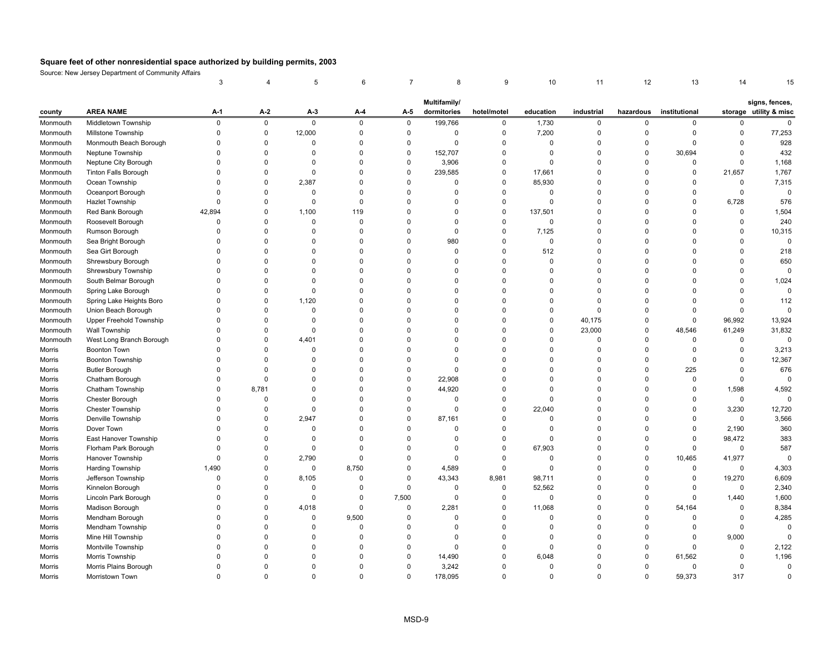|          |                                | 3           |             | 5           | 6           | 7           | 8            | 9           | 10          | 11             | 12          | 13            | 14           |                        |
|----------|--------------------------------|-------------|-------------|-------------|-------------|-------------|--------------|-------------|-------------|----------------|-------------|---------------|--------------|------------------------|
|          |                                |             |             |             |             |             | Multifamily/ |             |             |                |             |               |              | signs, fences,         |
| county   | <b>AREA NAME</b>               | A-1         | $A-2$       | $A-3$       | A-4         | A-5         | dormitories  | hotel/motel | education   | industrial     | hazardous   | institutional |              | storage utility & misc |
| Monmouth | Middletown Township            | $\mathsf 0$ | $\mathsf 0$ | $\mathsf 0$ | 0           | $\mathsf 0$ | 199,766      | $\mathbf 0$ | 1,730       | $\mathsf{O}$   | $\mathbf 0$ | 0             | 0            | 0                      |
| Monmouth | Millstone Township             | $\mathbf 0$ | $\mathbf 0$ | 12,000      | $\mathbf 0$ | $\mathbf 0$ | $\mathbf 0$  | $\pmb{0}$   | 7,200       | $\mathbf 0$    | $\mathbf 0$ | $\mathbf 0$   | $\Omega$     | 77,253                 |
| Monmouth | Monmouth Beach Borough         | $\mathbf 0$ | $\mathbf 0$ | 0           | $\mathbf 0$ | $\mathbf 0$ | $\mathbf 0$  | $\mathbf 0$ | $\mathbf 0$ | 0              | $\mathbf 0$ | $\Omega$      | 0            | 928                    |
| Monmouth | Neptune Township               | $\Omega$    | $\Omega$    | $\mathbf 0$ | $\mathbf 0$ | $\mathbf 0$ | 152,707      | $\pmb{0}$   | $\mathbf 0$ | $\mathbf 0$    | $\mathbf 0$ | 30,694        | $\mathsf 0$  | 432                    |
| Monmouth | Neptune City Borough           | $\Omega$    | $\Omega$    | 0           | $\Omega$    | $\mathbf 0$ | 3,906        | $\mathbf 0$ | 0           | 0              | $\mathbf 0$ | $\Omega$      | 0            | 1,168                  |
| Monmouth | <b>Tinton Falls Borough</b>    | $\mathbf 0$ | $\mathbf 0$ | $\mathbf 0$ | $\Omega$    | $\mathbf 0$ | 239,585      | $\mathbf 0$ | 17,661      | 0              | $\mathbf 0$ | 0             | 21,657       | 1,767                  |
| Monmouth | Ocean Township                 | $\Omega$    | $\mathbf 0$ | 2,387       | $\Omega$    | $\mathbf 0$ | $\mathbf 0$  | $\mathbf 0$ | 85,930      | $\mathbf 0$    | $\mathbf 0$ | $\Omega$      | 0            | 7,315                  |
| Monmouth | Oceanport Borough              | $\Omega$    | $\Omega$    | $\mathbf 0$ | $\Omega$    | $\mathbf 0$ | $\Omega$     | $\mathbf 0$ | 0           | $\Omega$       | $\mathbf 0$ | $\Omega$      | 0            | $\mathbf 0$            |
| Monmouth | <b>Hazlet Township</b>         | $\mathbf 0$ | $\Omega$    | $\mathbf 0$ | $\Omega$    | $\mathbf 0$ | 0            | $\pmb{0}$   | $\mathbf 0$ | $\Omega$       | $\mathbf 0$ | $\Omega$      | 6,728        | 576                    |
| Monmouth | Red Bank Borough               | 42,894      | $\Omega$    | 1,100       | 119         | $\mathbf 0$ | $\Omega$     | $\mathbf 0$ | 137,501     | $\Omega$       | $\mathbf 0$ | $\Omega$      | $\mathbf 0$  | 1,504                  |
| Monmouth | Roosevelt Borough              | $\mathbf 0$ | $\mathbf 0$ | $\mathbf 0$ | $\mathbf 0$ | $\mathbf 0$ | $\mathbf 0$  | $\pmb{0}$   | 0           | 0              | $\mathbf 0$ | $\Omega$      | 0            | 240                    |
| Monmouth | Rumson Borough                 | $\Omega$    | $\Omega$    | $\Omega$    | $\Omega$    | $\mathbf 0$ | $\Omega$     | $\pmb{0}$   | 7,125       | $\Omega$       | $\mathbf 0$ | $\Omega$      | $\Omega$     | 10,315                 |
| Monmouth | Sea Bright Borough             | $\Omega$    | $\Omega$    | $\Omega$    | $\Omega$    | $\mathbf 0$ | 980          | $\mathbf 0$ | $\mathbf 0$ | $\mathbf 0$    | $\mathbf 0$ | $\Omega$      | $\Omega$     | $\Omega$               |
| Monmouth | Sea Girt Borough               | $\Omega$    | $\Omega$    | $\Omega$    | $\Omega$    | $\mathbf 0$ | $\mathbf 0$  | $\mathbf 0$ | 512         | $\Omega$       | $\mathbf 0$ | $\Omega$      | $\mathbf 0$  | 218                    |
| Monmouth | Shrewsbury Borough             | $\Omega$    | $\Omega$    | $\Omega$    | $\Omega$    | $\mathbf 0$ | $\Omega$     | $\mathbf 0$ | $\mathbf 0$ | $\Omega$       | $\mathbf 0$ | $\Omega$      | $\Omega$     | 650                    |
| Monmouth | Shrewsbury Township            | $\Omega$    | $\Omega$    | $\Omega$    | $\Omega$    | $\mathbf 0$ | $\Omega$     | $\Omega$    | $\Omega$    | $\Omega$       | $\Omega$    | $\Omega$      | $\Omega$     | $\mathbf 0$            |
| Monmouth | South Belmar Borough           | $\Omega$    | $\Omega$    | $\Omega$    | 0           | $\mathbf 0$ | $\Omega$     | $\Omega$    | $\Omega$    | $\Omega$       | $\mathbf 0$ | $\Omega$      | $\Omega$     | 1,024                  |
| Monmouth | Spring Lake Borough            | $\Omega$    | $\Omega$    | $\mathbf 0$ | $\Omega$    | $\mathbf 0$ | $\Omega$     | $\mathbf 0$ | $\Omega$    | $\Omega$       | $\mathbf 0$ | $\Omega$      | $\mathbf{0}$ | $\mathbf 0$            |
| Monmouth | Spring Lake Heights Boro       | $\mathbf 0$ | $\Omega$    | 1,120       | $\Omega$    | $\mathbf 0$ | $\Omega$     | $\pmb{0}$   | $\mathbf 0$ | 0              | $\mathbf 0$ | $\Omega$      | $\mathsf 0$  | 112                    |
| Monmouth | Union Beach Borough            | $\Omega$    | $\Omega$    | $\mathbf 0$ | $\Omega$    | $\mathbf 0$ | $\Omega$     | $\mathbf 0$ | $\mathbf 0$ | $\Omega$       | $\mathbf 0$ | $\Omega$      | $\mathbf 0$  | $\mathbf 0$            |
| Monmouth | <b>Upper Freehold Township</b> | $\Omega$    | $\Omega$    | $\Omega$    | $\Omega$    | $\mathbf 0$ | $\Omega$     | $\mathbf 0$ | $\mathbf 0$ | 40,175         | $\mathbf 0$ | $\mathbf 0$   | 96,992       | 13,924                 |
| Monmouth | Wall Township                  | $\Omega$    | $\mathbf 0$ | $\mathbf 0$ | 0           | $\mathbf 0$ | $\mathbf 0$  | $\mathbf 0$ | 0           | 23,000         | $\mathbf 0$ | 48,546        | 61,249       | 31,832                 |
| Monmouth | West Long Branch Borough       | $\Omega$    | $\Omega$    | 4,401       | $\Omega$    | $\mathbf 0$ | $\Omega$     | $\mathbf 0$ | $\mathbf 0$ | $\overline{0}$ | $\mathbf 0$ | $\Omega$      | 0            | $\mathbf 0$            |
| Morris   | <b>Boonton Town</b>            | $\Omega$    | $\Omega$    | $\Omega$    | $\Omega$    | $\mathbf 0$ | $\Omega$     | $\Omega$    | $\Omega$    | $\Omega$       | $\mathbf 0$ | $\Omega$      | 0            | 3,213                  |
| Morris   | <b>Boonton Township</b>        | $\Omega$    | $\Omega$    | $\Omega$    | $\Omega$    | $\mathbf 0$ | $\Omega$     | $\mathbf 0$ | $\Omega$    | 0              | $\mathbf 0$ | $\Omega$      | 0            | 12,367                 |
| Morris   | <b>Butler Borough</b>          | $\Omega$    | $\Omega$    | $\Omega$    | $\Omega$    | $\mathbf 0$ | $\Omega$     | $\Omega$    | $\Omega$    | $\Omega$       | $\mathbf 0$ | 225           | $\mathbf 0$  | 676                    |
| Morris   | Chatham Borough                | $\mathbf 0$ | $\mathbf 0$ | $\Omega$    | $\Omega$    | $\mathbf 0$ | 22,908       | $\mathbf 0$ | $\Omega$    | $\Omega$       | $\mathbf 0$ | $\Omega$      | $\mathsf 0$  | $\mathbf 0$            |
| Morris   | Chatham Township               | $\Omega$    | 8,781       | $\Omega$    | $\Omega$    | $\mathbf 0$ | 44,920       | $\Omega$    | $\mathbf 0$ | $\Omega$       | $\mathbf 0$ | $\Omega$      | 1,598        | 4,592                  |
| Morris   | Chester Borough                | $\mathbf 0$ | $\Omega$    | $\Omega$    | $\Omega$    | $\mathbf 0$ | $\Omega$     | $\mathbf 0$ | $\mathbf 0$ | $\Omega$       | $\mathbf 0$ | $\Omega$      | $\mathbf 0$  | $\mathbf 0$            |
| Morris   | <b>Chester Township</b>        | $\mathbf 0$ | $\mathbf 0$ | $\mathsf 0$ | $\Omega$    | $\pmb{0}$   | $\mathbf 0$  | $\pmb{0}$   | 22,040      | 0              | $\mathbf 0$ | $\Omega$      | 3,230        | 12,720                 |
| Morris   | Denville Township              | $\Omega$    | $\Omega$    | 2,947       | $\Omega$    | $\mathbf 0$ | 87,161       | $\mathbf 0$ | $\mathbf 0$ | $\Omega$       | $\mathbf 0$ | $\mathbf 0$   | $\mathbf 0$  | 3,566                  |
| Morris   | Dover Town                     | $\mathbf 0$ | $\mathbf 0$ | $\mathbf 0$ | $\Omega$    | $\mathbf 0$ | 0            | $\mathbf 0$ | $\mathbf 0$ | 0              | $\mathbf 0$ | 0             | 2,190        | 360                    |
| Morris   | East Hanover Township          | $\Omega$    | $\Omega$    | $\mathbf 0$ | $\Omega$    | $\mathbf 0$ | $\Omega$     | $\mathbf 0$ | $\mathbf 0$ | $\mathbf 0$    | $\mathbf 0$ | $\mathbf 0$   | 98,472       | 383                    |
| Morris   | Florham Park Borough           | $\Omega$    | $\Omega$    | 0           | $\Omega$    | $\mathbf 0$ | $\Omega$     | $\mathbf 0$ | 67,903      | 0              | $\mathbf 0$ | $\mathbf 0$   | $\mathbf 0$  | 587                    |
| Morris   | Hanover Township               | $\mathbf 0$ | 0           | 2,790       | $\Omega$    | $\mathbf 0$ | $\Omega$     | $\mathbf 0$ | 0           | 0              | $\mathbf 0$ | 10,465        | 41,977       | $\mathbf 0$            |
| Morris   | Harding Township               | 1,490       | $\Omega$    | $\mathbf 0$ | 8,750       | $\mathbf 0$ | 4,589        | $\mathbf 0$ | $\mathbf 0$ | $\Omega$       | $\mathbf 0$ | $\mathbf 0$   | $\mathbf 0$  | 4,303                  |
| Morris   | Jefferson Township             | 0           | $\Omega$    | 8,105       | $\Omega$    | $\mathbf 0$ | 43,343       | 8,981       | 98,711      | $\Omega$       | $\mathbf 0$ | $\mathbf 0$   | 19,270       | 6,609                  |
| Morris   | Kinnelon Borough               | $\Omega$    | $\Omega$    | $\mathbf 0$ | $\Omega$    | $\mathbf 0$ | $\mathbf 0$  | $\pmb{0}$   | 52,562      | $\Omega$       | $\mathbf 0$ | $\Omega$      | $\mathbf 0$  | 2,340                  |
| Morris   | Lincoln Park Borough           | $\Omega$    | $\Omega$    | $\Omega$    | $\Omega$    | 7,500       | $\mathbf 0$  | $\mathbf 0$ | $\mathbf 0$ | $\Omega$       | $\mathbf 0$ | $\Omega$      | 1,440        | 1,600                  |
| Morris   | Madison Borough                | $\mathbf 0$ | $\mathbf 0$ | 4,018       | $\Omega$    | $\mathbf 0$ | 2,281        | $\pmb{0}$   | 11,068      | 0              | $\mathbf 0$ | 54,164        | 0            | 8,384                  |
| Morris   | Mendham Borough                | $\mathbf 0$ | $\mathbf 0$ | $\mathbf 0$ | 9,500       | $\mathbf 0$ | $\mathbf 0$  | $\mathbf 0$ | $\mathbf 0$ | 0              | $\mathbf 0$ | $\Omega$      | 0            | 4,285                  |
| Morris   | Mendham Township               | $\Omega$    | $\Omega$    | 0           | $\Omega$    | 0           | $\Omega$     | $\pmb{0}$   | 0           | $\Omega$       | $\mathbf 0$ | 0             | $\mathsf 0$  | $\mathbf 0$            |
| Morris   | Mine Hill Township             | $\Omega$    | $\Omega$    | $\Omega$    | $\Omega$    | $\mathbf 0$ | 0            | $\mathbf 0$ | 0           | 0              | $\mathbf 0$ | $\Omega$      | 9,000        | $\Omega$               |
| Morris   | Montville Township             | $\Omega$    | $\Omega$    | $\Omega$    | $\Omega$    | $\mathbf 0$ | $\Omega$     | $\mathbf 0$ | $\Omega$    | $\Omega$       | $\mathbf 0$ | $\Omega$      | 0            | 2,122                  |
| Morris   | Morris Township                | $\Omega$    | $\Omega$    | $\Omega$    | $\Omega$    | $\mathbf 0$ | 14,490       | $\mathbf 0$ | 6,048       | $\mathbf 0$    | $\mathbf 0$ | 61,562        | 0            | 1,196                  |
| Morris   | Morris Plains Borough          | $\Omega$    | $\Omega$    | $\Omega$    | $\Omega$    | $\mathbf 0$ | 3,242        | $\Omega$    | $\mathbf 0$ | $\Omega$       | $\Omega$    | $\Omega$      | $\mathsf 0$  | $\mathbf 0$            |
| Morris   | Morristown Town                | $\Omega$    | $\Omega$    | $\Omega$    | $\Omega$    | $\Omega$    | 178,095      | $\Omega$    | $\Omega$    | $\Omega$       | $\Omega$    | 59.373        | 317          | $\Omega$               |
|          |                                |             |             |             |             |             |              |             |             |                |             |               |              |                        |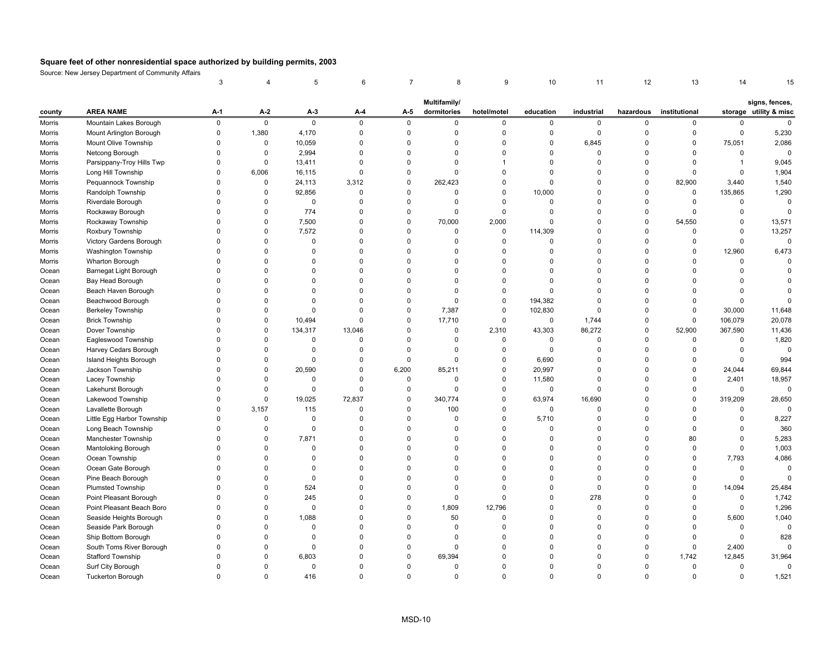|        |                            | 3           | 4           | 5           | 6           |                | 8            | 9            | 10          | 11          | 12          | 13            | 14             |                        |
|--------|----------------------------|-------------|-------------|-------------|-------------|----------------|--------------|--------------|-------------|-------------|-------------|---------------|----------------|------------------------|
|        |                            |             |             |             |             |                | Multifamily/ |              |             |             |             |               |                | signs, fences,         |
| county | <b>AREA NAME</b>           | $A-1$       | $A-2$       | $A-3$       | A-4         | A-5            | dormitories  | hotel/motel  | education   | industrial  | hazardous   | institutional |                | storage utility & misc |
| Morris | Mountain Lakes Borough     | $\mathsf 0$ | $\pmb{0}$   | $\mathsf 0$ | $\mathsf 0$ | $\mathbf 0$    | $\mathbf 0$  | 0            | $\mathbf 0$ | $\mathbf 0$ | $\mathbf 0$ | 0             | 0              | $\mathbf 0$            |
| Morris | Mount Arlington Borough    | $\mathbf 0$ | 1,380       | 4,170       | $\mathbf 0$ | $\pmb{0}$      | $\Omega$     | $\mathsf 0$  | $\mathsf 0$ | $\mathsf 0$ | $\mathbf 0$ | $\Omega$      | 0              | 5,230                  |
| Morris | Mount Olive Township       | $\Omega$    | $\mathbf 0$ | 10,059      | $\Omega$    | $\Omega$       | $\Omega$     | $\mathbf 0$  | $\mathbf 0$ | 6,845       | $\Omega$    | $\Omega$      | 75,051         | 2,086                  |
| Morris | Netcong Borough            | $\mathbf 0$ | $\pmb{0}$   | 2,994       | $\mathbf 0$ | $\mathbf 0$    | $\Omega$     | 0            | $\mathbf 0$ | $\mathbf 0$ | $\Omega$    | $\mathbf 0$   | 0              | $\mathbf 0$            |
| Morris | Parsippany-Troy Hills Twp  | $\mathbf 0$ | $\pmb{0}$   | 13,411      | $\Omega$    | $\pmb{0}$      | $\Omega$     | $\mathbf{1}$ | $\mathbf 0$ | $\Omega$    | $\Omega$    | $\Omega$      | $\overline{1}$ | 9,045                  |
| Morris | Long Hill Township         | $\Omega$    | 6,006       | 16,115      | $\Omega$    | $\mathbf 0$    | $\Omega$     | $\mathbf 0$  | $\Omega$    | $\Omega$    | $\Omega$    | $\Omega$      | 0              | 1,904                  |
| Morris | Pequannock Township        | $\Omega$    | $\pmb{0}$   | 24,113      | 3,312       | $\pmb{0}$      | 262,423      | 0            | $\mathbf 0$ | $\Omega$    | $\Omega$    | 82,900        | 3,440          | 1,540                  |
| Morris | Randolph Township          | $\Omega$    | $\mathbf 0$ | 92,856      | $\pmb{0}$   | $\mathbf 0$    | $\mathbf 0$  | 0            | 10,000      | $\Omega$    | $\Omega$    | $\mathbf 0$   | 135,865        | 1,290                  |
| Morris | Riverdale Borough          | $\Omega$    | $\mathbf 0$ | 0           | $\Omega$    | $\mathbf 0$    | $\Omega$     | $\mathbf 0$  | $\Omega$    | $\Omega$    | $\Omega$    | $\mathbf 0$   | 0              | $\pmb{0}$              |
| Morris | Rockaway Borough           | $\Omega$    | $\mathbf 0$ | 774         | $\mathbf 0$ | $\pmb{0}$      | $\Omega$     | $\mathbf 0$  | $\mathbf 0$ | $\Omega$    | $\Omega$    | $\mathbf 0$   | 0              | $\mathbf 0$            |
| Morris | Rockaway Township          | $\Omega$    | $\mathbf 0$ | 7,500       | $\Omega$    | $\pmb{0}$      | 70,000       | 2,000        | $\mathbf 0$ | $\Omega$    | $\Omega$    | 54,550        | 0              | 13,571                 |
| Morris | Roxbury Township           | $\Omega$    | $\mathbf 0$ | 7,572       | $\Omega$    | $\mathbf 0$    | $\mathbf 0$  | $\mathbf 0$  | 114,309     | $\Omega$    | $\Omega$    | $\mathbf 0$   | 0              | 13,257                 |
| Morris | Victory Gardens Borough    | $\Omega$    | $\mathbf 0$ | $\mathbf 0$ | $\mathbf 0$ | $\pmb{0}$      | $\Omega$     | 0            | $\mathbf 0$ | 0           | $\Omega$    | $\mathbf 0$   | 0              | $\mathbf 0$            |
| Morris | Washington Township        | $\Omega$    | $\Omega$    | $\Omega$    | $\mathbf 0$ | $\mathbf 0$    | $\Omega$     | $\mathbf 0$  | $\mathbf 0$ | $\Omega$    | $\Omega$    | $\mathbf 0$   | 12,960         | 6,473                  |
| Morris | Wharton Borough            | $\Omega$    | $\Omega$    | $\Omega$    | $\Omega$    | $\mathbf 0$    | $\Omega$     | $\mathbf 0$  | $\mathbf 0$ | $\Omega$    | $\Omega$    | $\Omega$      | 0              | $\Omega$               |
| Ocean  | Barnegat Light Borough     | $\Omega$    | $\Omega$    | $\Omega$    | $\Omega$    | $\mathbf 0$    | $\Omega$     | $\mathbf 0$  | $\Omega$    | $\Omega$    | $\Omega$    | $\Omega$      | 0              | $\Omega$               |
| Ocean  | Bay Head Borough           | $\Omega$    | $\Omega$    | $\Omega$    | $\Omega$    | $\mathbf 0$    | $\Omega$     | $\mathbf 0$  | $\Omega$    | $\Omega$    | $\Omega$    | $\Omega$      | $\Omega$       | $\Omega$               |
| Ocean  | Beach Haven Borough        | $\Omega$    | $\Omega$    | $\Omega$    | $\Omega$    | $\mathbf 0$    | $\Omega$     | $\mathbf 0$  | $\Omega$    | $\Omega$    | $\Omega$    | $\Omega$      | $\Omega$       | $\Omega$               |
| Ocean  | Beachwood Borough          | $\Omega$    | $\Omega$    | $\Omega$    | $\Omega$    | $\mathbf 0$    | $\Omega$     | $\mathbf 0$  | 194,382     | $\Omega$    | $\Omega$    | $\Omega$      | $\mathbf 0$    | $\Omega$               |
| Ocean  | <b>Berkeley Township</b>   | $\Omega$    | $\Omega$    | $\Omega$    | $\Omega$    | $\mathbf 0$    | 7,387        | $\mathbf 0$  | 102,830     | $\Omega$    | $\Omega$    | $\mathbf 0$   | 30,000         | 11,648                 |
| Ocean  | <b>Brick Township</b>      | $\Omega$    | $\Omega$    | 10,494      | $\Omega$    | $\mathbf 0$    | 17,710       | $\mathbf 0$  | $\mathbf 0$ | 1,744       | $\Omega$    | $\mathbf 0$   | 106,079        | 20,078                 |
| Ocean  | Dover Township             | $\Omega$    | $\pmb{0}$   | 134,317     | 13,046      | $\mathbf 0$    | $\mathbf 0$  | 2,310        | 43,303      | 86,272      | $\Omega$    | 52,900        | 367,590        | 11,436                 |
| Ocean  | Eagleswood Township        | $\Omega$    | $\mathbf 0$ | $\mathbf 0$ | $\Omega$    | $\Omega$       | $\Omega$     | $\mathsf 0$  | $\mathbf 0$ | $\mathbf 0$ | $\Omega$    | $\mathbf 0$   | $\mathbf 0$    | 1,820                  |
| Ocean  | Harvey Cedars Borough      | $\Omega$    | $\mathbf 0$ | $\Omega$    | $\Omega$    | $\mathbf 0$    | $\Omega$     | 0            | $\mathbf 0$ | $\Omega$    | $\Omega$    | $\Omega$      | 0              | $\mathbf 0$            |
| Ocean  | Island Heights Borough     | $\Omega$    | $\pmb{0}$   | $\mathbf 0$ | $\mathbf 0$ | $\pmb{0}$      | $\mathbf 0$  | 0            | 6,690       | 0           | $\Omega$    | $\mathbf 0$   | 0              | 994                    |
| Ocean  | Jackson Township           | $\Omega$    | $\pmb{0}$   | 20,590      | $\mathbf 0$ | 6,200          | 85,211       | 0            | 20,997      | $\Omega$    | $\Omega$    | 0             | 24,044         | 69,844                 |
| Ocean  | Lacey Township             | $\Omega$    | 0           | 0           | $\Omega$    | $\pmb{0}$      | 0            | 0            | 11,580      | $\Omega$    | $\Omega$    | $\Omega$      | 2,401          | 18,957                 |
| Ocean  | Lakehurst Borough          | $\Omega$    | $\pmb{0}$   | $\mathbf 0$ | $\mathbf 0$ | $\mathbf 0$    | $\mathbf 0$  | 0            | $\mathbf 0$ | $\Omega$    | $\Omega$    | 0             | $\mathbf 0$    | $\mathbf 0$            |
| Ocean  | Lakewood Township          | $\Omega$    | $\pmb{0}$   | 19,025      | 72,837      | $\pmb{0}$      | 340,774      | $\mathsf 0$  | 63,974      | 16,690      | $\Omega$    | $\Omega$      | 319,209        | 28,650                 |
| Ocean  | Lavallette Borough         | $\Omega$    | 3,157       | 115         | $\Omega$    | $\pmb{0}$      | 100          | 0            | $\mathbf 0$ | $\Omega$    | $\Omega$    | $\Omega$      | 0              | $\Omega$               |
| Ocean  | Little Egg Harbor Township | $\Omega$    | $\pmb{0}$   | $\mathbf 0$ | $\mathbf 0$ | $\pmb{0}$      | $\Omega$     | $\mathsf 0$  | 5,710       | $\Omega$    | $\Omega$    | $\mathbf 0$   | 0              | 8,227                  |
| Ocean  | Long Beach Township        | $\Omega$    | $\pmb{0}$   | $\mathbf 0$ | $\Omega$    | $\mathbf 0$    | $\Omega$     | $\mathbf 0$  | $\mathbf 0$ | $\Omega$    | $\Omega$    | $\mathbf 0$   | $\mathbf 0$    | 360                    |
| Ocean  | Manchester Township        | $\Omega$    | $\pmb{0}$   | 7,871       | $\mathbf 0$ | $\mathbf 0$    | $\Omega$     | $\mathsf 0$  | $\mathbf 0$ | 0           | $\Omega$    | 80            | 0              | 5,283                  |
| Ocean  | Mantoloking Borough        | $\Omega$    | $\mathbf 0$ | $\mathbf 0$ | $\Omega$    | $\pmb{0}$      | $\Omega$     | $\mathbf 0$  | $\Omega$    | $\mathbf 0$ | $\Omega$    | $\mathbf 0$   | 0              | 1,003                  |
| Ocean  | Ocean Township             | $\Omega$    | $\Omega$    | $\Omega$    | $\mathbf 0$ | $\mathbf 0$    | $\Omega$     | $\mathbf 0$  | $\Omega$    | $\Omega$    | $\Omega$    | $\mathbf 0$   | 7,793          | 4,086                  |
| Ocean  | Ocean Gate Borough         | $\Omega$    | $\mathbf 0$ | $\mathbf 0$ | $\mathbf 0$ | $\mathbf 0$    | $\Omega$     | 0            | $\Omega$    | $\Omega$    | $\mathbf 0$ | 0             | 0              | $\overline{0}$         |
| Ocean  | Pine Beach Borough         | $\Omega$    | $\Omega$    | 0           | $\Omega$    | $\mathbf 0$    | $\Omega$     | 0            | $\Omega$    | $\Omega$    | $\Omega$    | $\mathbf 0$   | 0              | $\mathbf 0$            |
| Ocean  | Plumsted Township          | $\Omega$    | $\Omega$    | 524         | $\Omega$    | $\mathbf 0$    | $\Omega$     | $\mathbf 0$  | $\Omega$    | $\Omega$    | $\Omega$    | $\Omega$      | 14,094         | 25,484                 |
| Ocean  | Point Pleasant Borough     | $\Omega$    | $\mathbf 0$ | 245         | $\Omega$    | $\mathbf 0$    | $\mathbf 0$  | $\mathbf 0$  | $\Omega$    | 278         | $\mathbf 0$ | $\Omega$      | 0              | 1,742                  |
| Ocean  | Point Pleasant Beach Boro  | $\Omega$    | $\mathbf 0$ | $\mathbf 0$ | $\Omega$    | $\pmb{0}$      | 1,809        | 12,796       | $\Omega$    | $\Omega$    | $\Omega$    | $\Omega$      | 0              | 1,296                  |
| Ocean  | Seaside Heights Borough    | $\Omega$    | $\Omega$    | 1,088       | $\Omega$    | $\mathbf 0$    | 50           | $\mathbf 0$  | $\Omega$    | $\Omega$    | $\Omega$    | $\Omega$      | 5,600          | 1,040                  |
| Ocean  | Seaside Park Borough       | $\Omega$    | $\mathbf 0$ | $\mathbf 0$ | $\mathbf 0$ | $\mathbf 0$    | $\mathbf 0$  | 0            | $\Omega$    | 0           | $\Omega$    | 0             | 0              | $\mathbf 0$            |
| Ocean  | Ship Bottom Borough        | $\Omega$    | $\mathbf 0$ | $\mathbf 0$ | $\Omega$    | $\overline{0}$ | $\Omega$     | $\mathsf 0$  | $\Omega$    | 0           | $\Omega$    | $\Omega$      | 0              | 828                    |
| Ocean  | South Toms River Borough   | $\Omega$    | $\Omega$    | $\Omega$    | $\Omega$    | $\mathbf 0$    | $\Omega$     | $\mathbf 0$  | $\Omega$    | $\Omega$    | $\Omega$    | $\mathbf 0$   | 2,400          | $\mathbf 0$            |
| Ocean  | Stafford Township          | $\Omega$    | $\mathbf 0$ | 6,803       | $\mathbf 0$ | $\mathbf 0$    | 69,394       | 0            | $\mathbf 0$ | 0           | $\Omega$    | 1,742         | 12,845         | 31,964                 |
| Ocean  | Surf City Borough          | $\Omega$    | $\mathbf 0$ | 0           | $\Omega$    | $\mathbf 0$    | $\Omega$     | $\mathbf 0$  | $\Omega$    | $\Omega$    | $\Omega$    | $\mathsf 0$   | 0              | $\mathbf 0$            |
| Ocean  | <b>Tuckerton Borough</b>   | $\Omega$    | $\Omega$    | 416         | $\Omega$    | $\Omega$       | $\Omega$     | $\Omega$     | $\Omega$    | $\Omega$    | $\Omega$    | $\Omega$      | $\Omega$       | 1,521                  |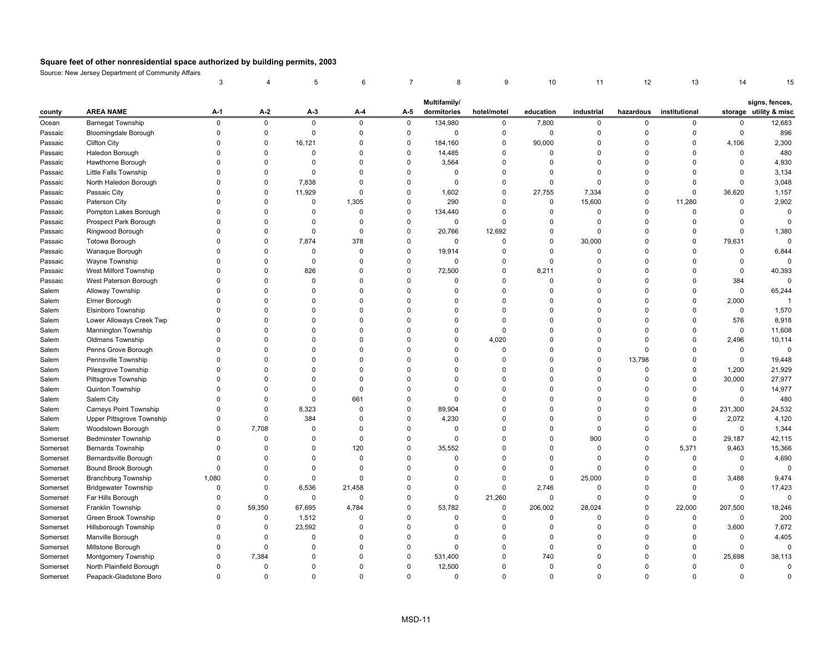|          |                             | 3           |             | 5           | 6              |                | 8            | 9           | 10             | 11          | 12          | 13            | 14          |                        |
|----------|-----------------------------|-------------|-------------|-------------|----------------|----------------|--------------|-------------|----------------|-------------|-------------|---------------|-------------|------------------------|
|          |                             |             |             |             |                |                | Multifamily/ |             |                |             |             |               |             | signs, fences,         |
| county   | <b>AREA NAME</b>            | $A-1$       | $A-2$       | $A-3$       | $A-4$          | A-5            | dormitories  | hotel/motel | education      | industrial  | hazardous   | institutional |             | storage utility & misc |
| Ocean    | <b>Barnegat Township</b>    | $\mathsf 0$ | $\mathsf 0$ | $\mathsf 0$ | $\mathsf 0$    | $\mathbf 0$    | 134,980      | 0           | 7,800          | $\mathbf 0$ | $\mathbf 0$ | 0             | 0           | 12,683                 |
| Passaic  | <b>Bloomingdale Borough</b> | $\mathbf 0$ | $\mathsf 0$ | 0           | 0              | $\pmb{0}$      | $\mathsf 0$  | $\mathsf 0$ | $\mathsf 0$    | $\mathsf 0$ | $\Omega$    | $\mathbf 0$   | 0           | 896                    |
| Passaic  | <b>Clifton City</b>         | $\Omega$    | $\mathbf 0$ | 16,121      | $\Omega$       | $\mathbf 0$    | 184,160      | 0           | 90,000         | $\Omega$    | $\Omega$    | $\Omega$      | 4,106       | 2,300                  |
| Passaic  | Haledon Borough             | $\Omega$    | $\mathbf 0$ | 0           | $\mathbf 0$    | $\pmb{0}$      | 14,485       | 0           | $\overline{0}$ | $\mathbf 0$ | $\mathbf 0$ | $\mathbf 0$   | 0           | 480                    |
| Passaic  | Hawthorne Borough           | $\mathbf 0$ | $\mathbf 0$ | $\mathbf 0$ | $\Omega$       | $\pmb{0}$      | 3,564        | $\mathsf 0$ | $\mathbf 0$    | $\Omega$    | $\Omega$    | $\Omega$      | 0           | 4,930                  |
| Passaic  | Little Falls Township       | $\Omega$    | $\mathbf 0$ | $\Omega$    | $\Omega$       | $\mathbf 0$    | 0            | 0           | $\Omega$       | $\Omega$    | $\Omega$    | $\Omega$      | $\Omega$    | 3,134                  |
| Passaic  | North Haledon Borough       | $\Omega$    | $\mathbf 0$ | 7,838       | $\mathbf 0$    | $\mathbf 0$    | $\mathbf 0$  | 0           | $\mathbf 0$    | $\mathbf 0$ | $\Omega$    | $\Omega$      | 0           | 3,048                  |
| Passaic  | Passaic City                | $\Omega$    | $\mathsf 0$ | 11,929      | $\mathbf 0$    | $\pmb{0}$      | 1,602        | 0           | 27,755         | 7,334       | $\Omega$    | 0             | 36,620      | 1,157                  |
| Passaic  | Paterson City               | $\Omega$    | $\mathbf 0$ | 0           | 1,305          | $\pmb{0}$      | 290          | $\mathbf 0$ | $\mathbf 0$    | 15,600      | $\Omega$    | 11,280        | 0           | 2,902                  |
| Passaic  | Pompton Lakes Borough       | $\Omega$    | $\pmb{0}$   | $\Omega$    | $\mathbf 0$    | $\pmb{0}$      | 134,440      | 0           | $\mathbf 0$    | $\mathbf 0$ | $\Omega$    | $\mathbf 0$   | 0           | $\mathbf 0$            |
| Passaic  | Prospect Park Borough       | $\Omega$    | $\Omega$    | $\Omega$    | $\mathbf 0$    | $\pmb{0}$      | $\mathbf 0$  | $\mathbf 0$ | $\mathbf 0$    | $\mathsf 0$ | $\Omega$    | $\mathbf 0$   | 0           | $\mathbf 0$            |
| Passaic  | Ringwood Borough            | $\Omega$    | $\mathbf 0$ | $\mathbf 0$ | $\mathbf 0$    | $\mathbf 0$    | 20,766       | 12,692      | $\mathbf 0$    | $\mathbf 0$ | $\Omega$    | $\mathbf 0$   | $\Omega$    | 1,380                  |
| Passaic  | Totowa Borough              | $\Omega$    | $\mathsf 0$ | 7,874       | 378            | $\pmb{0}$      | $\mathbf 0$  | 0           | $\mathbf 0$    | 30,000      | $\Omega$    | 0             | 79,631      | $\mathbf 0$            |
| Passaic  | Wanaque Borough             | $\Omega$    | $\mathbf 0$ | $\mathbf 0$ | $\Omega$       | $\pmb{0}$      | 19,914       | $\mathbf 0$ | $\mathbf 0$    | $\mathbf 0$ | $\Omega$    | $\mathbf 0$   | 0           | 6,844                  |
| Passaic  | Wayne Township              | $\Omega$    | $\mathbf 0$ | $\mathbf 0$ | $\mathbf 0$    | $\mathbf 0$    | $\mathbf 0$  | $\mathbf 0$ | $\mathbf 0$    | $\mathbf 0$ | $\Omega$    | $\mathbf 0$   | 0           | $\mathbf 0$            |
| Passaic  | West Milford Township       | $\Omega$    | $\mathbf 0$ | 826         | $\mathbf 0$    | $\mathbf 0$    | 72,500       | 0           | 8,211          | $\Omega$    | $\Omega$    | $\Omega$      | $\Omega$    | 40,393                 |
| Passaic  | West Paterson Borough       | $\Omega$    | $\Omega$    | $\Omega$    | $\Omega$       | $\mathbf 0$    | $\Omega$     | $\mathbf 0$ | $\mathbf 0$    | $\Omega$    | $\Omega$    | $\Omega$      | 384         | $\Omega$               |
| Salem    | Alloway Township            | $\Omega$    | $\Omega$    | $\Omega$    | $\Omega$       | $\Omega$       | $\Omega$     | $\mathbf 0$ | $\Omega$       | $\Omega$    | $\Omega$    | $\Omega$      | $\mathbf 0$ | 65,244                 |
| Salem    | Elmer Borough               | $\Omega$    | $\Omega$    | $\Omega$    | $\Omega$       | $\mathbf 0$    | $\Omega$     | $\mathbf 0$ | $\Omega$       | $\Omega$    | $\Omega$    | $\Omega$      | 2,000       | $\overline{1}$         |
| Salem    | Elsinboro Township          | $\Omega$    | $\Omega$    | $\Omega$    | $\Omega$       | $\Omega$       | $\Omega$     | $\mathbf 0$ | $\Omega$       | $\Omega$    | $\Omega$    | $\Omega$      | $\mathbf 0$ | 1,570                  |
| Salem    | Lower Alloways Creek Twp    | $\Omega$    | $\Omega$    | $\Omega$    | $\Omega$       | $\Omega$       | $\Omega$     | $\mathbf 0$ | $\Omega$       | $\Omega$    | $\Omega$    | $\Omega$      | 576         | 8,918                  |
| Salem    | Mannington Township         | $\Omega$    | $\mathbf 0$ | $\Omega$    | $\Omega$       | $\overline{0}$ | $\Omega$     | $\mathsf 0$ | $\overline{0}$ | $\mathbf 0$ | $\Omega$    | $\Omega$      | 0           | 11,608                 |
| Salem    | <b>Oldmans Township</b>     | $\Omega$    | $\Omega$    | $\Omega$    | $\Omega$       | $\Omega$       | $\Omega$     | 4,020       | $\Omega$       | $\Omega$    | $\Omega$    | $\mathbf 0$   | 2,496       | 10,114                 |
| Salem    | Penns Grove Borough         | $\Omega$    | $\mathbf 0$ | $\Omega$    | $\Omega$       | $\mathbf 0$    | $\Omega$     | 0           | $\Omega$       | $\Omega$    | $\Omega$    | 0             | 0           | $\mathbf 0$            |
| Salem    | Pennsville Township         | $\Omega$    | $\mathbf 0$ | $\Omega$    | $\mathbf 0$    | $\Omega$       | $\Omega$     | 0           | $\overline{0}$ | $\Omega$    | 13,798      | $\mathbf 0$   | 0           | 19,448                 |
| Salem    | Pilesgrove Township         | $\Omega$    | $\pmb{0}$   | $\Omega$    | $\Omega$       | $\mathbf 0$    | $\Omega$     | 0           | $\Omega$       | $\Omega$    | $\Omega$    | $\mathbf 0$   | 1,200       | 21,929                 |
| Salem    | Pittsgrove Township         | $\Omega$    | $\Omega$    | $\Omega$    | $\Omega$       | $\mathbf 0$    | $\Omega$     | 0           | $\Omega$       | $\Omega$    | $\Omega$    | 0             | 30,000      | 27,977                 |
| Salem    | Quinton Township            | $\mathbf 0$ | $\mathbf 0$ | $\Omega$    | $\mathbf 0$    | $\pmb{0}$      | $\Omega$     | 0           | $\overline{0}$ | $\Omega$    | $\Omega$    | $\mathbf 0$   | $\mathbf 0$ | 14,977                 |
| Salem    | Salem City                  | $\Omega$    | $\pmb{0}$   | $\mathbf 0$ | 661            | $\pmb{0}$      | $\Omega$     | $\mathbf 0$ | $\Omega$       | $\Omega$    | $\Omega$    | $\mathbf 0$   | $\mathbf 0$ | 480                    |
| Salem    | Carneys Point Township      | $\Omega$    | $\mathsf 0$ | 8,323       | $\Omega$       | $\pmb{0}$      | 89,904       | 0           | $\Omega$       | $\Omega$    | $\Omega$    | 0             | 231,300     | 24,532                 |
| Salem    | Upper Pittsgrove Township   | $\Omega$    | $\pmb{0}$   | 384         | $\mathbf 0$    | $\pmb{0}$      | 4,230        | 0           | $\Omega$       | $\Omega$    | $\Omega$    | $\Omega$      | 2,072       | 4,120                  |
| Salem    | Woodstown Borough           | $\Omega$    | 7,708       | $\Omega$    | $\mathbf 0$    | $\mathbf 0$    | $\mathbf 0$  | $\mathbf 0$ | $\Omega$       | $\mathbf 0$ | $\Omega$    | $\Omega$      | $\mathbf 0$ | 1,344                  |
| Somerset | <b>Bedminster Township</b>  | $\mathbf 0$ | $\mathbf 0$ | 0           | $\mathbf 0$    | $\pmb{0}$      | $\mathbf 0$  | 0           | $\mathbf 0$    | 900         | $\mathbf 0$ | $\mathsf 0$   | 29,187      | 42,115                 |
| Somerset | Bernards Township           | $\Omega$    | $\pmb{0}$   | $\mathbf 0$ | 120            | $\pmb{0}$      | 35,552       | $\mathsf 0$ | $\mathbf 0$    | $\mathsf 0$ | $\Omega$    | 5,371         | 9,463       | 15,366                 |
| Somerset | Bernardsville Borough       | $\Omega$    | $\mathbf 0$ | $\mathbf 0$ | $\Omega$       | $\mathbf 0$    | 0            | $\mathbf 0$ | $\mathbf 0$    | $\mathbf 0$ | $\Omega$    | $\mathbf 0$   | $\mathbf 0$ | 4,690                  |
| Somerset | Bound Brook Borough         | $\mathbf 0$ | $\mathbf 0$ | 0           | $\overline{0}$ | $\mathbf 0$    | $\Omega$     | 0           | $\mathbf 0$    | $\mathbf 0$ | $\Omega$    | 0             | 0           | $\mathbf 0$            |
| Somerset | <b>Branchburg Township</b>  | 1,080       | $\mathbf 0$ | 0           | $\Omega$       | $\mathbf 0$    | $\Omega$     | $\mathbf 0$ | $\mathbf 0$    | 25,000      | $\Omega$    | $\mathbf 0$   | 3,488       | 9,474                  |
| Somerset | <b>Bridgewater Township</b> | 0           | 0           | 6,536       | 21,458         | 0              | 0            | $\mathbf 0$ | 2,746          | $\mathbf 0$ | 0           | 0             | 0           | 17,423                 |
| Somerset | Far Hills Borough           | $\Omega$    | $\mathbf 0$ | 0           | $\overline{0}$ | $\mathbf 0$    | $\mathbf 0$  | 21,260      | $\mathbf 0$    | $\mathbf 0$ | $\Omega$    | $\mathbf 0$   | $\Omega$    | $\mathbf 0$            |
| Somerset | Franklin Township           | $\mathbf 0$ | 59,350      | 67,695      | 4,784          | $\pmb{0}$      | 53,782       | 0           | 206,002        | 28,024      | $\Omega$    | 22,000        | 207,500     | 18,246                 |
| Somerset | Green Brook Township        | $\Omega$    | $\mathbf 0$ | 1,512       | $\Omega$       | $\Omega$       | $\Omega$     | $\mathbf 0$ | $\mathbf 0$    | $\mathbf 0$ | $\Omega$    | $\Omega$      | $\Omega$    | 200                    |
| Somerset | Hillsborough Township       | $\Omega$    | $\mathbf 0$ | 23,592      | $\mathbf 0$    | $\mathbf 0$    | $\mathbf 0$  | 0           | $\mathbf 0$    | $\mathbf 0$ | $\Omega$    | 0             | 3,600       | 7,672                  |
| Somerset | Manville Borough            | $\Omega$    | $\pmb{0}$   | $\mathbf 0$ | $\Omega$       | $\pmb{0}$      | $\Omega$     | $\mathsf 0$ | $\mathbf 0$    | $\mathbf 0$ | $\Omega$    | $\Omega$      | 0           | 4,405                  |
| Somerset | Millstone Borough           | $\Omega$    | $\mathbf 0$ | $\Omega$    | $\Omega$       | $\pmb{0}$      | $\Omega$     | $\mathbf 0$ | $\Omega$       | $\Omega$    | $\Omega$    | $\Omega$      | 0           | $\mathbf 0$            |
| Somerset | Montgomery Township         | $\Omega$    | 7,384       | 0           | 0              | $\mathbf 0$    | 531,400      | 0           | 740            | $\mathbf 0$ | $\mathbf 0$ | 0             | 25,698      | 38,113                 |
| Somerset | North Plainfield Borough    | $\Omega$    | $\mathbf 0$ | $\Omega$    | $\Omega$       | $\mathbf 0$    | 12,500       | 0           | $\overline{0}$ | $\Omega$    | $\Omega$    | $\mathbf 0$   | 0           | $\mathbf 0$            |
| Somerset | Peapack-Gladstone Boro      | $\Omega$    | $\Omega$    | $\Omega$    | $\Omega$       | $\Omega$       | $\Omega$     | $\Omega$    | $\Omega$       | $\Omega$    | $\Omega$    | $\Omega$      | $\Omega$    | $\Omega$               |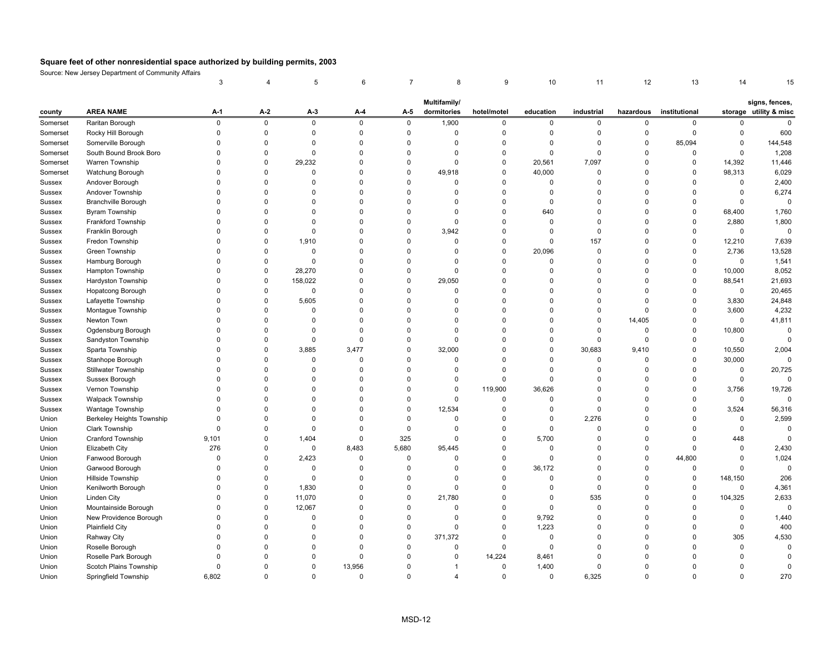|               |                                  | 3           |             | 5           | 6           |             | 8                       | 9           | 10          | 11          | 12          | 13            | 14           | 15                     |
|---------------|----------------------------------|-------------|-------------|-------------|-------------|-------------|-------------------------|-------------|-------------|-------------|-------------|---------------|--------------|------------------------|
|               |                                  |             |             |             |             |             | Multifamily/            |             |             |             |             |               |              | signs, fences,         |
| county        | <b>AREA NAME</b>                 | A-1         | A-2         | A-3         | A-4         | A-5         | dormitories             | hotel/motel | education   | industrial  | hazardous   | institutional |              | storage utility & misc |
| Somerset      | Raritan Borough                  | $\mathsf 0$ | $\pmb{0}$   | $\mathsf 0$ | $\pmb{0}$   | $\mathsf 0$ | 1,900                   | 0           | $\mathbf 0$ | $\mathsf 0$ | $\mathbf 0$ | $\mathbf 0$   | 0            | $\mathbf 0$            |
| Somerset      | Rocky Hill Borough               | $\mathbf 0$ | $\pmb{0}$   | $\Omega$    | $\Omega$    | $\mathbf 0$ | $\Omega$                | $\mathbf 0$ | $\mathbf 0$ | $\mathbf 0$ | $\mathsf 0$ | $\mathbf 0$   | 0            | 600                    |
| Somerset      | Somerville Borough               | $\Omega$    | $\mathbf 0$ | 0           | $\mathbf 0$ | $\Omega$    | 0                       | 0           | $\mathbf 0$ | $\mathbf 0$ | $\mathbf 0$ | 85,094        | 0            | 144,548                |
| Somerset      | South Bound Brook Boro           | $\Omega$    | $\pmb{0}$   | 0           | $\mathbf 0$ | $\Omega$    | $\Omega$                | 0           | $\mathbf 0$ | $\mathbf 0$ | $\pmb{0}$   | 0             | 0            | 1,208                  |
| Somerset      | Warren Township                  | $\Omega$    | $\mathbf 0$ | 29,232      | $\Omega$    | $\mathbf 0$ | $\Omega$                | 0           | 20,561      | 7,097       | 0           | 0             | 14,392       | 11,446                 |
| Somerset      | Watchung Borough                 | $\Omega$    | $\mathbf 0$ | $\Omega$    | 0           | $\Omega$    | 49,918                  | 0           | 40,000      | $\mathbf 0$ | $\mathbf 0$ | 0             | 98,313       | 6,029                  |
| Sussex        | Andover Borough                  | $\Omega$    | $\Omega$    | $\Omega$    | $\Omega$    | $\Omega$    | $\Omega$                | $\mathbf 0$ | $\mathbf 0$ | $\mathbf 0$ | $\Omega$    | $\mathbf 0$   | $\mathbf 0$  | 2,400                  |
| Sussex        | Andover Township                 | $\Omega$    | $\Omega$    | $\Omega$    | $\Omega$    | $\Omega$    | $\Omega$                | 0           | $\mathbf 0$ | $\Omega$    | $\Omega$    | $\Omega$      | 0            | 6,274                  |
| Sussex        | <b>Branchville Borough</b>       | $\Omega$    | $\Omega$    | $\Omega$    | $\Omega$    | $\Omega$    | $\Omega$                | $\mathbf 0$ | $\mathbf 0$ | $\Omega$    | $\Omega$    | $\Omega$      | $\mathbf 0$  | $\mathbf 0$            |
| <b>Sussex</b> | <b>Byram Township</b>            | $\Omega$    | $\Omega$    | $\Omega$    | $\Omega$    | $\Omega$    | $\Omega$                | $\mathbf 0$ | 640         | $\Omega$    | $\Omega$    | $\mathbf 0$   | 68,400       | 1,760                  |
| Sussex        | Frankford Township               | $\Omega$    | $\mathbf 0$ | $\Omega$    | $\mathbf 0$ | $\Omega$    | $\pmb{0}$               | 0           | $\mathbf 0$ | $\mathbf 0$ | $\mathbf 0$ | 0             | 2,880        | 1,800                  |
| Sussex        | Franklin Borough                 | $\Omega$    | $\Omega$    | $\Omega$    | $\Omega$    | $\mathbf 0$ | 3,942                   | $\mathbf 0$ | $\mathbf 0$ | $\mathbf 0$ | $\Omega$    | $\mathbf 0$   | $\mathsf 0$  | $\mathbf 0$            |
| Sussex        | Fredon Township                  | $\Omega$    | $\mathbf 0$ | 1,910       | $\Omega$    | $\Omega$    | $\Omega$                | 0           | $\mathbf 0$ | 157         | $\Omega$    | $\mathbf 0$   | 12,210       | 7,639                  |
| Sussex        | Green Township                   | $\Omega$    | $\mathbf 0$ | 0           | $\Omega$    | $\Omega$    | $\Omega$                | 0           | 20,096      | $\mathbf 0$ | 0           | 0             | 2,736        | 13,528                 |
| Sussex        | Hamburg Borough                  | $\Omega$    | $\mathbf 0$ | $\Omega$    | $\Omega$    | $\Omega$    | $\Omega$                | $\Omega$    | $\mathbf 0$ | $\mathbf 0$ | $\Omega$    | $\mathbf 0$   | $\mathbf 0$  | 1,541                  |
| Sussex        | Hampton Township                 | $\Omega$    | $\mathbf 0$ | 28,270      | $\Omega$    | $\Omega$    | $\Omega$                | $\Omega$    | $\mathbf 0$ | $\Omega$    | $\Omega$    | 0             | 10,000       | 8,052                  |
| Sussex        | Hardyston Township               | $\Omega$    | $\mathbf 0$ | 158,022     | $\Omega$    | $\Omega$    | 29,050                  | $\Omega$    | $\mathbf 0$ | $\Omega$    | $\Omega$    | $\mathbf 0$   | 88,541       | 21,693                 |
| Sussex        | <b>Hopatcong Borough</b>         | $\Omega$    | $\mathbf 0$ | 0           | $\Omega$    | $\Omega$    | $\Omega$                | $\Omega$    | $\mathbf 0$ | $\Omega$    | $\Omega$    | $\mathbf 0$   | $\mathbf 0$  | 20,465                 |
| Sussex        | Lafayette Township               | $\Omega$    | $\pmb{0}$   | 5,605       | $\mathbf 0$ | $\Omega$    | $\Omega$                | 0           | $\mathbf 0$ | $\mathbf 0$ | $\Omega$    | 0             | 3,830        | 24,848                 |
| Sussex        | Montague Township                | $\Omega$    | $\pmb{0}$   | 0           | $\Omega$    | $\Omega$    | $\Omega$                | $\mathbf 0$ | $\mathbf 0$ | $\mathbf 0$ | $\Omega$    | $\mathbf 0$   | 3,600        | 4,232                  |
| Sussex        | Newton Town                      | $\Omega$    | $\Omega$    | $\Omega$    | $\Omega$    | $\Omega$    | $\Omega$                | 0           | $\Omega$    | $\Omega$    | 14,405      | $\mathbf 0$   | $\mathbf 0$  | 41,811                 |
| Sussex        | Ogdensburg Borough               | $\Omega$    | $\mathbf 0$ | 0           | $\mathbf 0$ | $\Omega$    | $\mathbf 0$             | 0           | $\mathbf 0$ | $\mathbf 0$ | $\mathbf 0$ | 0             | 10,800       | $\overline{0}$         |
| Sussex        | Sandyston Township               | $\Omega$    | $\mathbf 0$ | 0           | $\Omega$    | $\Omega$    | $\Omega$                | 0           | $\mathbf 0$ | $\mathsf 0$ | $\mathbf 0$ | $\mathbf 0$   | $\mathsf 0$  | $\Omega$               |
| Sussex        | Sparta Township                  | $\Omega$    | $\pmb{0}$   | 3,885       | 3,477       | $\mathbf 0$ | 32,000                  | 0           | $\mathbf 0$ | 30,683      | 9,410       | 0             | 10,550       | 2,004                  |
| Sussex        | Stanhope Borough                 | $\Omega$    | $\mathbf 0$ | $\Omega$    | $\mathbf 0$ | $\Omega$    | $\Omega$                | $\mathbf 0$ | $\mathbf 0$ | $\mathbf 0$ | $\mathbf 0$ | $\mathbf 0$   | 30,000       | $\mathbf 0$            |
| Sussex        | <b>Stillwater Township</b>       | $\Omega$    | $\Omega$    | $\Omega$    | $\Omega$    | $\Omega$    | $\Omega$                | $\Omega$    | $\mathbf 0$ | 0           | $\Omega$    | 0             | 0            | 20,725                 |
| Sussex        | Sussex Borough                   | $\Omega$    | $\Omega$    | $\Omega$    | $\mathbf 0$ | $\Omega$    | $\mathbf 0$             | $\mathbf 0$ | $\mathbf 0$ | $\Omega$    | $\mathbf 0$ | $\Omega$      | $\mathsf 0$  | $\mathbf 0$            |
| Sussex        | Vernon Township                  | $\Omega$    | $\Omega$    | $\Omega$    | $\Omega$    | $\Omega$    | $\mathbf 0$             | 119,900     | 36,626      | $\Omega$    | $\Omega$    | $\Omega$      | 3,756        | 19,726                 |
| Sussex        | <b>Walpack Township</b>          | $\Omega$    | $\Omega$    | $\Omega$    | $\Omega$    | $\mathbf 0$ | $\Omega$                | 0           | $\mathbf 0$ | $\mathbf 0$ | $\Omega$    | $\mathbf 0$   | $\mathbf 0$  | $\mathbf 0$            |
| Sussex        | Wantage Township                 | $\Omega$    | $\Omega$    | $\Omega$    | $\Omega$    | $\mathsf 0$ | 12,534                  | 0           | $\mathbf 0$ | $\mathsf 0$ | $\Omega$    | 0             | 3,524        | 56,316                 |
| Union         | <b>Berkeley Heights Township</b> | $\Omega$    | $\Omega$    | $\Omega$    | $\Omega$    | $\mathbf 0$ | $\Omega$                | 0           | $\mathbf 0$ | 2,276       | $\Omega$    | $\mathbf 0$   | $\mathsf 0$  | 2,599                  |
| Union         | Clark Township                   | $\Omega$    | $\mathbf 0$ | 0           | $\Omega$    | $\mathbf 0$ | $\mathbf 0$             | 0           | $\mathbf 0$ | $\mathbf 0$ | 0           | 0             | 0            | $\mathbf 0$            |
| Union         | Cranford Township                | 9,101       | $\mathbf 0$ | 1,404       | $\mathbf 0$ | 325         | $\Omega$                | 0           | 5,700       | $\mathbf 0$ | 0           | $\mathbf 0$   | 448          | $\mathbf 0$            |
| Union         | Elizabeth City                   | 276         | $\Omega$    | $\mathsf 0$ | 8,483       | 5,680       | 95,445                  | $\Omega$    | $\mathbf 0$ | 0           | $\mathbf 0$ | $\mathbf 0$   | $\mathbf 0$  | 2,430                  |
| Union         | Fanwood Borough                  | $\Omega$    | $\mathbf 0$ | 2,423       | $\Omega$    | $\mathbf 0$ | $\Omega$                | 0           | $\mathbf 0$ | $\mathbf 0$ | $\mathbf 0$ | 44,800        | $\Omega$     | 1,024                  |
| Union         | Garwood Borough                  | $\Omega$    | $\Omega$    | $\Omega$    | $\Omega$    | $\Omega$    | $\Omega$                | $\Omega$    | 36,172      | $\Omega$    | $\Omega$    | 0             | $\Omega$     | $\mathbf 0$            |
| Union         | Hillside Township                | $\Omega$    | $\Omega$    | $\Omega$    | $\Omega$    | $\Omega$    | $\Omega$                | $\Omega$    | $\mathbf 0$ | $\mathbf 0$ | $\mathbf 0$ | 0             | 148,150      | 206                    |
| Union         | Kenilworth Borough               | $\Omega$    | $\Omega$    | 1,830       | $\Omega$    | $\mathbf 0$ | $\mathbf 0$             | $\Omega$    | $\mathbf 0$ | $\mathbf 0$ | $\Omega$    | 0             | $\mathsf 0$  | 4,361                  |
| Union         | <b>Linden City</b>               | $\Omega$    | $\mathbf 0$ | 11,070      | $\Omega$    | $\mathbf 0$ | 21,780                  | $\Omega$    | $\mathbf 0$ | 535         | $\Omega$    | $\mathbf 0$   | 104,325      | 2,633                  |
| Union         | Mountainside Borough             | $\Omega$    | $\mathbf 0$ | 12,067      | $\mathbf 0$ | $\Omega$    | $\mathbf 0$             | 0           | $\mathbf 0$ | $\mathbf 0$ | $\Omega$    | $\Omega$      | 0            | $\mathbf 0$            |
| Union         | New Providence Borough           | $\Omega$    | $\mathbf 0$ | 0           | $\mathbf 0$ | $\mathbf 0$ | $\mathbf 0$             | 0           | 9,792       | $\mathbf 0$ | $\mathbf 0$ | $\Omega$      | 0            | 1,440                  |
| Union         | <b>Plainfield City</b>           | $\Omega$    | $\Omega$    | $\Omega$    | $\Omega$    | $\mathbf 0$ | $\Omega$                | 0           | 1,223       | 0           | $\Omega$    | $\Omega$      | $\mathsf{O}$ | 400                    |
| Union         | Rahway City                      | $\Omega$    | $\mathbf 0$ | $\Omega$    | 0           | $\mathbf 0$ | 371,372                 | 0           | $\mathbf 0$ | $\mathbf 0$ | $\mathbf 0$ | $\Omega$      | 305          | 4,530                  |
| Union         | Roselle Borough                  | $\Omega$    | $\Omega$    | $\Omega$    | $\Omega$    | $\mathbf 0$ | $\mathbf 0$             | $\mathbf 0$ | $\mathbf 0$ | $\Omega$    | $\Omega$    | $\Omega$      | 0            | $\overline{0}$         |
| Union         | Roselle Park Borough             | $\Omega$    | $\Omega$    | $\Omega$    | $\Omega$    | $\Omega$    | $\Omega$                | 14,224      | 8,461       | $\Omega$    | $\Omega$    | $\Omega$      | $\Omega$     | $\Omega$               |
| Union         | Scotch Plains Township           | $\Omega$    | $\Omega$    | $\Omega$    | 13,956      | $\Omega$    | -1                      | $\mathbf 0$ | 1,400       | $\mathbf 0$ | $\Omega$    | $\Omega$      | $\Omega$     | $\mathbf 0$            |
| Union         | Springfield Township             | 6,802       | $\Omega$    | $\Omega$    | $\Omega$    | $\Omega$    | $\overline{\mathbf{A}}$ | $\Omega$    | $\mathbf 0$ | 6,325       | $\Omega$    | $\Omega$      | $\Omega$     | 270                    |
|               |                                  |             |             |             |             |             |                         |             |             |             |             |               |              |                        |